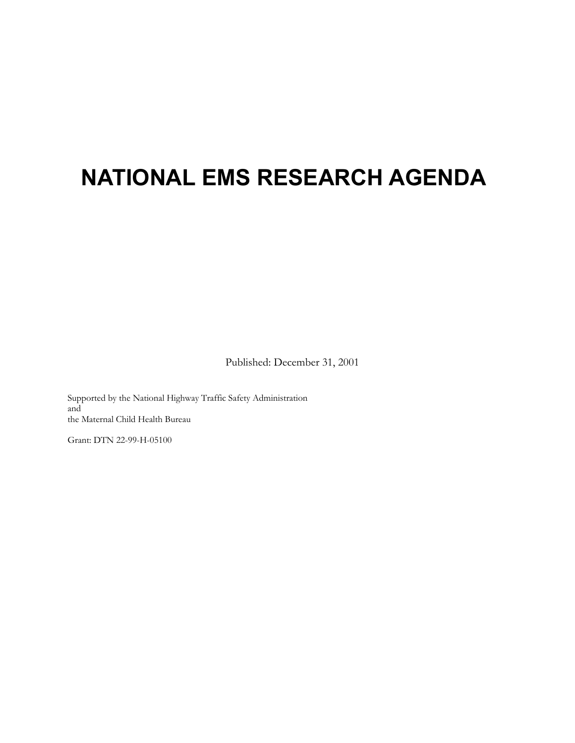# **NATIONAL EMS RESEARCH AGENDA**

Published: December 31, 2001

Supported by the National Highway Traffic Safety Administration and the Maternal Child Health Bureau

Grant: DTN 22-99-H-05100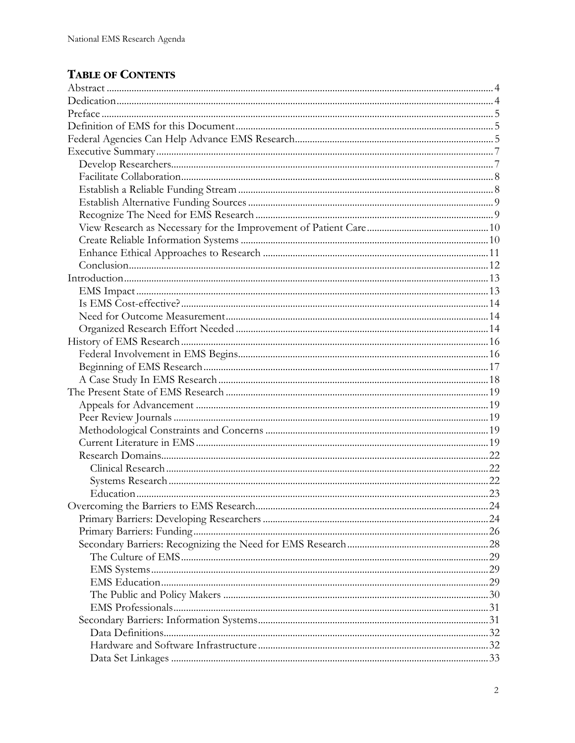# **TABLE OF CONTENTS**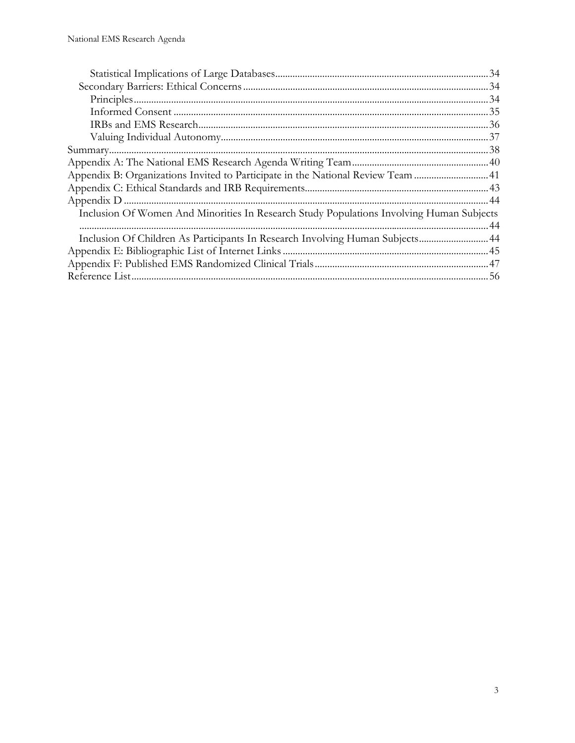| Appendix B: Organizations Invited to Participate in the National Review Team 41<br>Inclusion Of Women And Minorities In Research Study Populations Involving Human Subjects<br>Inclusion Of Children As Participants In Research Involving Human Subjects 44 |  |
|--------------------------------------------------------------------------------------------------------------------------------------------------------------------------------------------------------------------------------------------------------------|--|
|                                                                                                                                                                                                                                                              |  |
|                                                                                                                                                                                                                                                              |  |
|                                                                                                                                                                                                                                                              |  |
|                                                                                                                                                                                                                                                              |  |
|                                                                                                                                                                                                                                                              |  |
|                                                                                                                                                                                                                                                              |  |
|                                                                                                                                                                                                                                                              |  |
|                                                                                                                                                                                                                                                              |  |
|                                                                                                                                                                                                                                                              |  |
|                                                                                                                                                                                                                                                              |  |
|                                                                                                                                                                                                                                                              |  |
|                                                                                                                                                                                                                                                              |  |
|                                                                                                                                                                                                                                                              |  |
|                                                                                                                                                                                                                                                              |  |
|                                                                                                                                                                                                                                                              |  |
|                                                                                                                                                                                                                                                              |  |
|                                                                                                                                                                                                                                                              |  |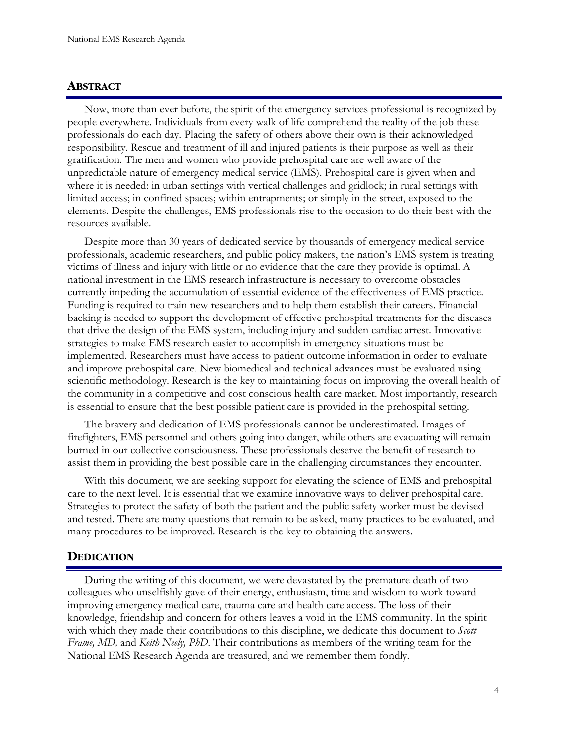#### **ABSTRACT**

Now, more than ever before, the spirit of the emergency services professional is recognized by people everywhere. Individuals from every walk of life comprehend the reality of the job these professionals do each day. Placing the safety of others above their own is their acknowledged responsibility. Rescue and treatment of ill and injured patients is their purpose as well as their gratification. The men and women who provide prehospital care are well aware of the unpredictable nature of emergency medical service (EMS). Prehospital care is given when and where it is needed: in urban settings with vertical challenges and gridlock; in rural settings with limited access; in confined spaces; within entrapments; or simply in the street, exposed to the elements. Despite the challenges, EMS professionals rise to the occasion to do their best with the resources available.

Despite more than 30 years of dedicated service by thousands of emergency medical service professionals, academic researchers, and public policy makers, the nation's EMS system is treating victims of illness and injury with little or no evidence that the care they provide is optimal. A national investment in the EMS research infrastructure is necessary to overcome obstacles currently impeding the accumulation of essential evidence of the effectiveness of EMS practice. Funding is required to train new researchers and to help them establish their careers. Financial backing is needed to support the development of effective prehospital treatments for the diseases that drive the design of the EMS system, including injury and sudden cardiac arrest. Innovative strategies to make EMS research easier to accomplish in emergency situations must be implemented. Researchers must have access to patient outcome information in order to evaluate and improve prehospital care. New biomedical and technical advances must be evaluated using scientific methodology. Research is the key to maintaining focus on improving the overall health of the community in a competitive and cost conscious health care market. Most importantly, research is essential to ensure that the best possible patient care is provided in the prehospital setting.

The bravery and dedication of EMS professionals cannot be underestimated. Images of firefighters, EMS personnel and others going into danger, while others are evacuating will remain burned in our collective consciousness. These professionals deserve the benefit of research to assist them in providing the best possible care in the challenging circumstances they encounter.

With this document, we are seeking support for elevating the science of EMS and prehospital care to the next level. It is essential that we examine innovative ways to deliver prehospital care. Strategies to protect the safety of both the patient and the public safety worker must be devised and tested. There are many questions that remain to be asked, many practices to be evaluated, and many procedures to be improved. Research is the key to obtaining the answers.

#### **DEDICATION**

During the writing of this document, we were devastated by the premature death of two colleagues who unselfishly gave of their energy, enthusiasm, time and wisdom to work toward improving emergency medical care, trauma care and health care access. The loss of their knowledge, friendship and concern for others leaves a void in the EMS community. In the spirit with which they made their contributions to this discipline, we dedicate this document to *Scott Frame, MD,* and *Keith Neely, PhD*. Their contributions as members of the writing team for the National EMS Research Agenda are treasured, and we remember them fondly.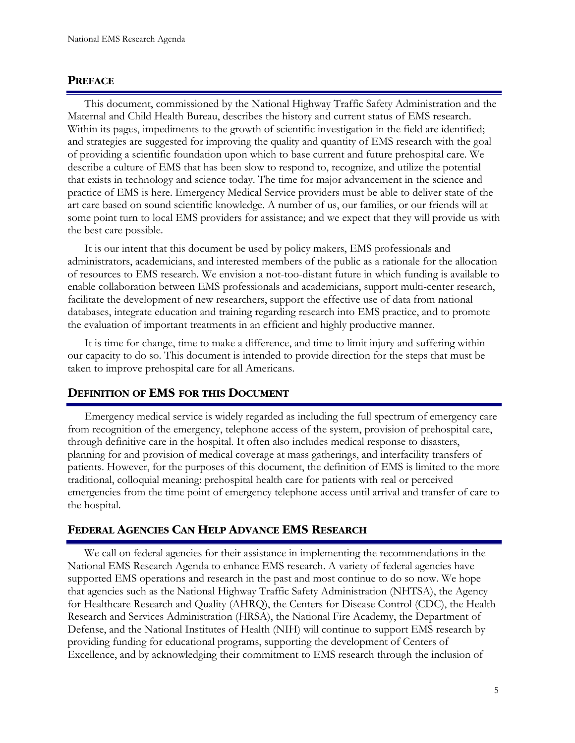# **PREFACE**

This document, commissioned by the National Highway Traffic Safety Administration and the Maternal and Child Health Bureau, describes the history and current status of EMS research. Within its pages, impediments to the growth of scientific investigation in the field are identified; and strategies are suggested for improving the quality and quantity of EMS research with the goal of providing a scientific foundation upon which to base current and future prehospital care. We describe a culture of EMS that has been slow to respond to, recognize, and utilize the potential that exists in technology and science today. The time for major advancement in the science and practice of EMS is here. Emergency Medical Service providers must be able to deliver state of the art care based on sound scientific knowledge. A number of us, our families, or our friends will at some point turn to local EMS providers for assistance; and we expect that they will provide us with the best care possible.

It is our intent that this document be used by policy makers, EMS professionals and administrators, academicians, and interested members of the public as a rationale for the allocation of resources to EMS research. We envision a not-too-distant future in which funding is available to enable collaboration between EMS professionals and academicians, support multi-center research, facilitate the development of new researchers, support the effective use of data from national databases, integrate education and training regarding research into EMS practice, and to promote the evaluation of important treatments in an efficient and highly productive manner.

It is time for change, time to make a difference, and time to limit injury and suffering within our capacity to do so. This document is intended to provide direction for the steps that must be taken to improve prehospital care for all Americans.

### **DEFINITION OF EMS FOR THIS DOCUMENT**

Emergency medical service is widely regarded as including the full spectrum of emergency care from recognition of the emergency, telephone access of the system, provision of prehospital care, through definitive care in the hospital. It often also includes medical response to disasters, planning for and provision of medical coverage at mass gatherings, and interfacility transfers of patients. However, for the purposes of this document, the definition of EMS is limited to the more traditional, colloquial meaning: prehospital health care for patients with real or perceived emergencies from the time point of emergency telephone access until arrival and transfer of care to the hospital.

#### **FEDERAL AGENCIES CAN HELP ADVANCE EMS RESEARCH**

We call on federal agencies for their assistance in implementing the recommendations in the National EMS Research Agenda to enhance EMS research. A variety of federal agencies have supported EMS operations and research in the past and most continue to do so now. We hope that agencies such as the National Highway Traffic Safety Administration (NHTSA), the Agency for Healthcare Research and Quality (AHRQ), the Centers for Disease Control (CDC), the Health Research and Services Administration (HRSA), the National Fire Academy, the Department of Defense, and the National Institutes of Health (NIH) will continue to support EMS research by providing funding for educational programs, supporting the development of Centers of Excellence, and by acknowledging their commitment to EMS research through the inclusion of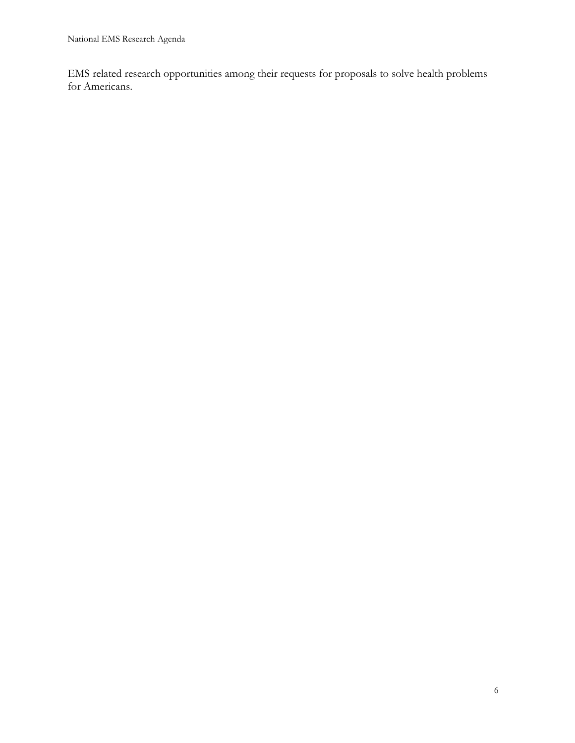EMS related research opportunities among their requests for proposals to solve health problems for Americans.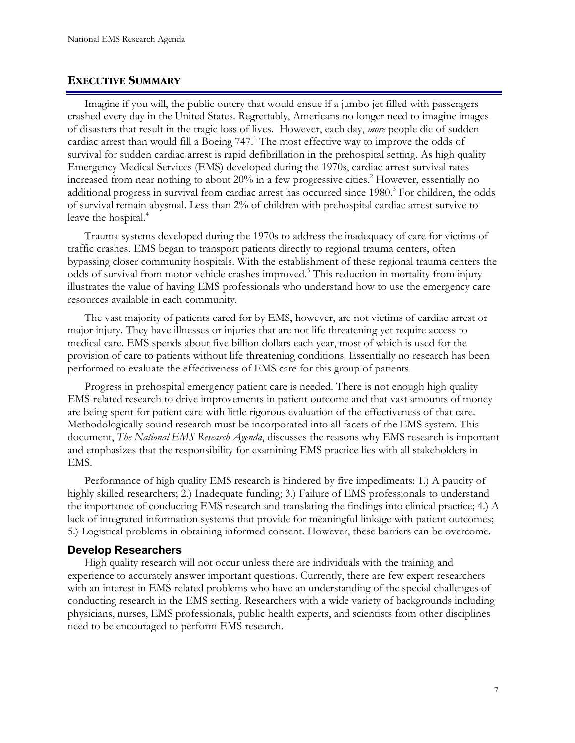### **EXECUTIVE SUMMARY**

Imagine if you will, the public outcry that would ensue if a jumbo jet filled with passengers crashed every day in the United States. Regrettably, Americans no longer need to imagine images of disasters that result in the tragic loss of lives. However, each day, *more* people die of sudden cardiac arrest than would fill a Boeing 747.<sup>1</sup> The most effective way to improve the odds of survival for sudden cardiac arrest is rapid defibrillation in the prehospital setting. As high quality Emergency Medical Services (EMS) developed during the 1970s, cardiac arrest survival rates increased from near nothing to about 20% in a few progressive cities.<sup>2</sup> However, essentially no additional progress in survival from cardiac arrest has occurred since 1980.<sup>3</sup> For children, the odds of survival remain abysmal. Less than 2% of children with prehospital cardiac arrest survive to leave the hospital.<sup>4</sup>

Trauma systems developed during the 1970s to address the inadequacy of care for victims of traffic crashes. EMS began to transport patients directly to regional trauma centers, often bypassing closer community hospitals. With the establishment of these regional trauma centers the odds of survival from motor vehicle crashes improved.<sup>5</sup> This reduction in mortality from injury illustrates the value of having EMS professionals who understand how to use the emergency care resources available in each community.

The vast majority of patients cared for by EMS, however, are not victims of cardiac arrest or major injury. They have illnesses or injuries that are not life threatening yet require access to medical care. EMS spends about five billion dollars each year, most of which is used for the provision of care to patients without life threatening conditions. Essentially no research has been performed to evaluate the effectiveness of EMS care for this group of patients.

Progress in prehospital emergency patient care is needed. There is not enough high quality EMS-related research to drive improvements in patient outcome and that vast amounts of money are being spent for patient care with little rigorous evaluation of the effectiveness of that care. Methodologically sound research must be incorporated into all facets of the EMS system. This document, *The National EMS Research Agenda*, discusses the reasons why EMS research is important and emphasizes that the responsibility for examining EMS practice lies with all stakeholders in EMS.

Performance of high quality EMS research is hindered by five impediments: 1.) A paucity of highly skilled researchers; 2.) Inadequate funding; 3.) Failure of EMS professionals to understand the importance of conducting EMS research and translating the findings into clinical practice; 4.) A lack of integrated information systems that provide for meaningful linkage with patient outcomes; 5.) Logistical problems in obtaining informed consent. However, these barriers can be overcome.

### **Develop Researchers**

High quality research will not occur unless there are individuals with the training and experience to accurately answer important questions. Currently, there are few expert researchers with an interest in EMS-related problems who have an understanding of the special challenges of conducting research in the EMS setting. Researchers with a wide variety of backgrounds including physicians, nurses, EMS professionals, public health experts, and scientists from other disciplines need to be encouraged to perform EMS research.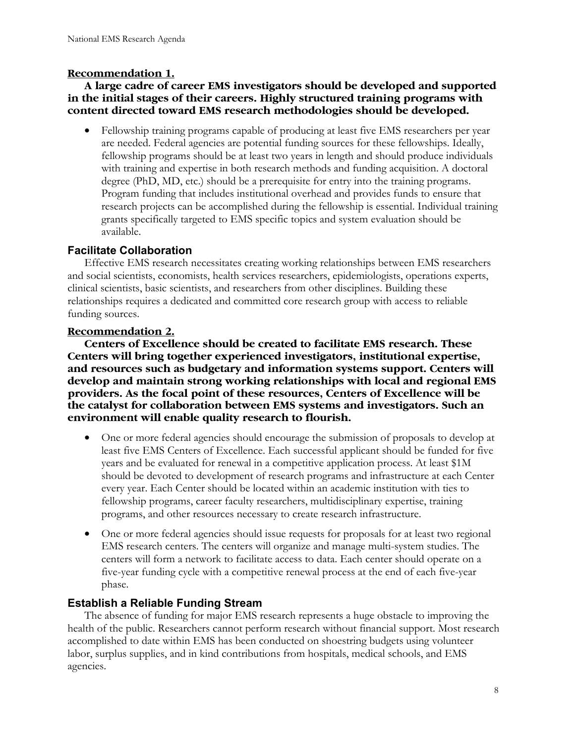# **Recommendation 1.**

**A large cadre of career EMS investigators should be developed and supported in the initial stages of their careers. Highly structured training programs with content directed toward EMS research methodologies should be developed.** 

• Fellowship training programs capable of producing at least five EMS researchers per year are needed. Federal agencies are potential funding sources for these fellowships. Ideally, fellowship programs should be at least two years in length and should produce individuals with training and expertise in both research methods and funding acquisition. A doctoral degree (PhD, MD, etc.) should be a prerequisite for entry into the training programs. Program funding that includes institutional overhead and provides funds to ensure that research projects can be accomplished during the fellowship is essential. Individual training grants specifically targeted to EMS specific topics and system evaluation should be available.

# **Facilitate Collaboration**

Effective EMS research necessitates creating working relationships between EMS researchers and social scientists, economists, health services researchers, epidemiologists, operations experts, clinical scientists, basic scientists, and researchers from other disciplines. Building these relationships requires a dedicated and committed core research group with access to reliable funding sources.

# **Recommendation 2.**

**Centers of Excellence should be created to facilitate EMS research. These Centers will bring together experienced investigators, institutional expertise, and resources such as budgetary and information systems support. Centers will develop and maintain strong working relationships with local and regional EMS providers. As the focal point of these resources, Centers of Excellence will be the catalyst for collaboration between EMS systems and investigators. Such an environment will enable quality research to flourish.** 

- One or more federal agencies should encourage the submission of proposals to develop at least five EMS Centers of Excellence. Each successful applicant should be funded for five years and be evaluated for renewal in a competitive application process. At least \$1M should be devoted to development of research programs and infrastructure at each Center every year. Each Center should be located within an academic institution with ties to fellowship programs, career faculty researchers, multidisciplinary expertise, training programs, and other resources necessary to create research infrastructure.
- One or more federal agencies should issue requests for proposals for at least two regional EMS research centers. The centers will organize and manage multi-system studies. The centers will form a network to facilitate access to data. Each center should operate on a five-year funding cycle with a competitive renewal process at the end of each five-year phase.

# **Establish a Reliable Funding Stream**

The absence of funding for major EMS research represents a huge obstacle to improving the health of the public. Researchers cannot perform research without financial support. Most research accomplished to date within EMS has been conducted on shoestring budgets using volunteer labor, surplus supplies, and in kind contributions from hospitals, medical schools, and EMS agencies.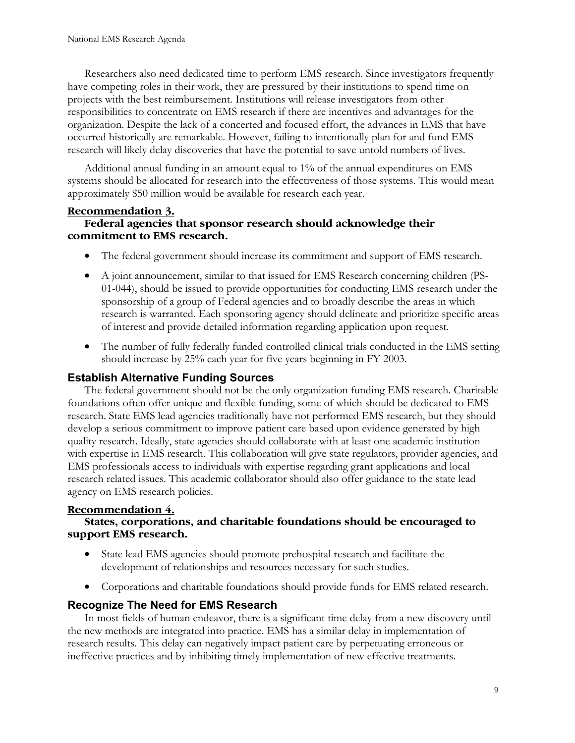Researchers also need dedicated time to perform EMS research. Since investigators frequently have competing roles in their work, they are pressured by their institutions to spend time on projects with the best reimbursement. Institutions will release investigators from other responsibilities to concentrate on EMS research if there are incentives and advantages for the organization. Despite the lack of a concerted and focused effort, the advances in EMS that have occurred historically are remarkable. However, failing to intentionally plan for and fund EMS research will likely delay discoveries that have the potential to save untold numbers of lives.

Additional annual funding in an amount equal to 1% of the annual expenditures on EMS systems should be allocated for research into the effectiveness of those systems. This would mean approximately \$50 million would be available for research each year.

# **Recommendation 3.**

# **Federal agencies that sponsor research should acknowledge their commitment to EMS research.**

- The federal government should increase its commitment and support of EMS research.
- A joint announcement, similar to that issued for EMS Research concerning children (PS-01-044), should be issued to provide opportunities for conducting EMS research under the sponsorship of a group of Federal agencies and to broadly describe the areas in which research is warranted. Each sponsoring agency should delineate and prioritize specific areas of interest and provide detailed information regarding application upon request.
- The number of fully federally funded controlled clinical trials conducted in the EMS setting should increase by 25% each year for five years beginning in FY 2003.

# **Establish Alternative Funding Sources**

The federal government should not be the only organization funding EMS research. Charitable foundations often offer unique and flexible funding, some of which should be dedicated to EMS research. State EMS lead agencies traditionally have not performed EMS research, but they should develop a serious commitment to improve patient care based upon evidence generated by high quality research. Ideally, state agencies should collaborate with at least one academic institution with expertise in EMS research. This collaboration will give state regulators, provider agencies, and EMS professionals access to individuals with expertise regarding grant applications and local research related issues. This academic collaborator should also offer guidance to the state lead agency on EMS research policies.

# **Recommendation 4.**

# **States, corporations, and charitable foundations should be encouraged to support EMS research.**

- State lead EMS agencies should promote prehospital research and facilitate the development of relationships and resources necessary for such studies.
- Corporations and charitable foundations should provide funds for EMS related research.

# **Recognize The Need for EMS Research**

In most fields of human endeavor, there is a significant time delay from a new discovery until the new methods are integrated into practice. EMS has a similar delay in implementation of research results. This delay can negatively impact patient care by perpetuating erroneous or ineffective practices and by inhibiting timely implementation of new effective treatments.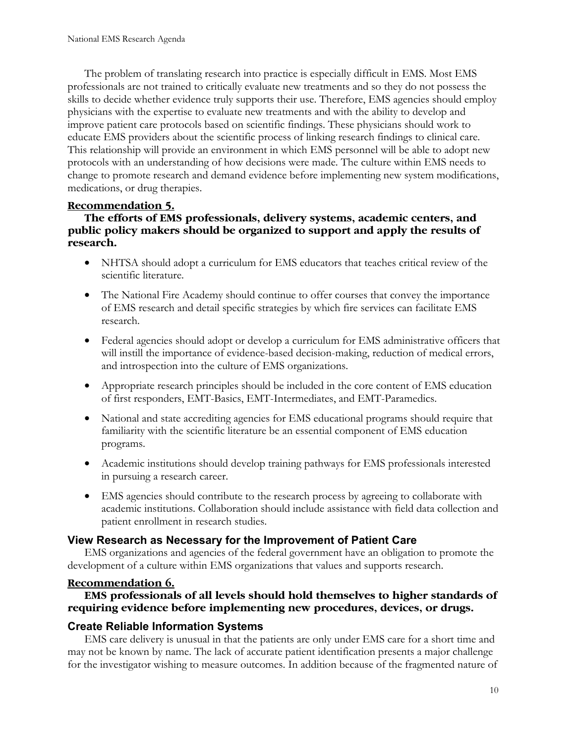The problem of translating research into practice is especially difficult in EMS. Most EMS professionals are not trained to critically evaluate new treatments and so they do not possess the skills to decide whether evidence truly supports their use. Therefore, EMS agencies should employ physicians with the expertise to evaluate new treatments and with the ability to develop and improve patient care protocols based on scientific findings. These physicians should work to educate EMS providers about the scientific process of linking research findings to clinical care. This relationship will provide an environment in which EMS personnel will be able to adopt new protocols with an understanding of how decisions were made. The culture within EMS needs to change to promote research and demand evidence before implementing new system modifications, medications, or drug therapies.

# **Recommendation 5.**

### **The efforts of EMS professionals, delivery systems, academic centers, and public policy makers should be organized to support and apply the results of research.**

- NHTSA should adopt a curriculum for EMS educators that teaches critical review of the scientific literature.
- The National Fire Academy should continue to offer courses that convey the importance of EMS research and detail specific strategies by which fire services can facilitate EMS research.
- Federal agencies should adopt or develop a curriculum for EMS administrative officers that will instill the importance of evidence-based decision-making, reduction of medical errors, and introspection into the culture of EMS organizations.
- Appropriate research principles should be included in the core content of EMS education of first responders, EMT-Basics, EMT-Intermediates, and EMT-Paramedics.
- National and state accrediting agencies for EMS educational programs should require that familiarity with the scientific literature be an essential component of EMS education programs.
- Academic institutions should develop training pathways for EMS professionals interested in pursuing a research career.
- EMS agencies should contribute to the research process by agreeing to collaborate with academic institutions. Collaboration should include assistance with field data collection and patient enrollment in research studies.

### **View Research as Necessary for the Improvement of Patient Care**

EMS organizations and agencies of the federal government have an obligation to promote the development of a culture within EMS organizations that values and supports research.

### **Recommendation 6.**

# **EMS professionals of all levels should hold themselves to higher standards of requiring evidence before implementing new procedures, devices, or drugs.**

# **Create Reliable Information Systems**

EMS care delivery is unusual in that the patients are only under EMS care for a short time and may not be known by name. The lack of accurate patient identification presents a major challenge for the investigator wishing to measure outcomes. In addition because of the fragmented nature of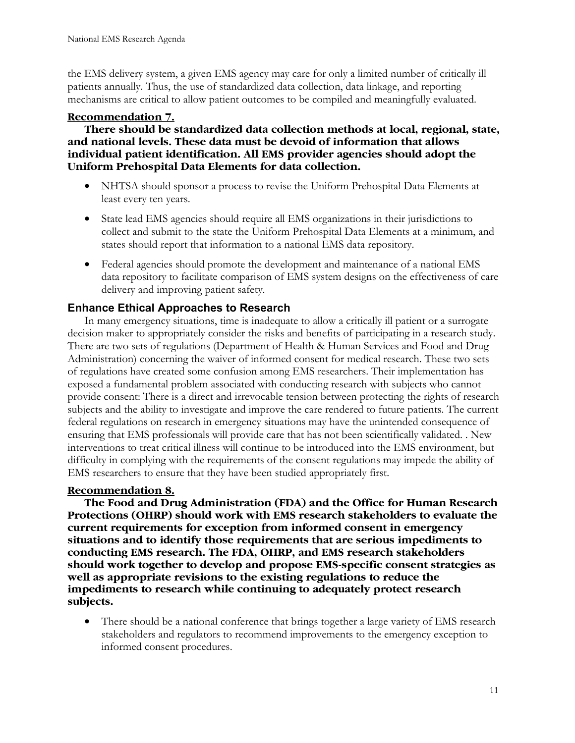the EMS delivery system, a given EMS agency may care for only a limited number of critically ill patients annually. Thus, the use of standardized data collection, data linkage, and reporting mechanisms are critical to allow patient outcomes to be compiled and meaningfully evaluated.

# **Recommendation 7.**

**There should be standardized data collection methods at local, regional, state, and national levels. These data must be devoid of information that allows individual patient identification. All EMS provider agencies should adopt the Uniform Prehospital Data Elements for data collection.** 

- NHTSA should sponsor a process to revise the Uniform Prehospital Data Elements at least every ten years.
- State lead EMS agencies should require all EMS organizations in their jurisdictions to collect and submit to the state the Uniform Prehospital Data Elements at a minimum, and states should report that information to a national EMS data repository.
- Federal agencies should promote the development and maintenance of a national EMS data repository to facilitate comparison of EMS system designs on the effectiveness of care delivery and improving patient safety.

# **Enhance Ethical Approaches to Research**

In many emergency situations, time is inadequate to allow a critically ill patient or a surrogate decision maker to appropriately consider the risks and benefits of participating in a research study. There are two sets of regulations (Department of Health & Human Services and Food and Drug Administration) concerning the waiver of informed consent for medical research. These two sets of regulations have created some confusion among EMS researchers. Their implementation has exposed a fundamental problem associated with conducting research with subjects who cannot provide consent: There is a direct and irrevocable tension between protecting the rights of research subjects and the ability to investigate and improve the care rendered to future patients. The current federal regulations on research in emergency situations may have the unintended consequence of ensuring that EMS professionals will provide care that has not been scientifically validated. . New interventions to treat critical illness will continue to be introduced into the EMS environment, but difficulty in complying with the requirements of the consent regulations may impede the ability of EMS researchers to ensure that they have been studied appropriately first.

### **Recommendation 8.**

**The Food and Drug Administration (FDA) and the Office for Human Research Protections (OHRP) should work with EMS research stakeholders to evaluate the current requirements for exception from informed consent in emergency situations and to identify those requirements that are serious impediments to conducting EMS research. The FDA, OHRP, and EMS research stakeholders should work together to develop and propose EMS-specific consent strategies as well as appropriate revisions to the existing regulations to reduce the impediments to research while continuing to adequately protect research subjects.** 

• There should be a national conference that brings together a large variety of EMS research stakeholders and regulators to recommend improvements to the emergency exception to informed consent procedures.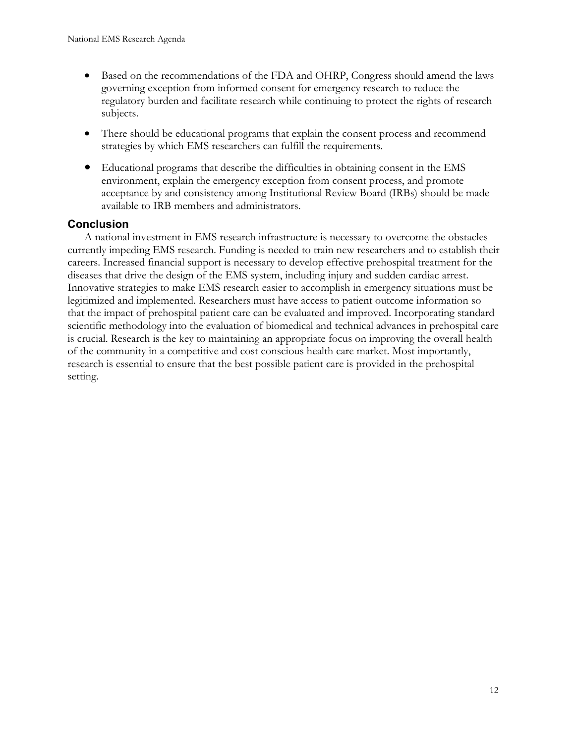- Based on the recommendations of the FDA and OHRP, Congress should amend the laws governing exception from informed consent for emergency research to reduce the regulatory burden and facilitate research while continuing to protect the rights of research subjects.
- There should be educational programs that explain the consent process and recommend strategies by which EMS researchers can fulfill the requirements.
- Educational programs that describe the difficulties in obtaining consent in the EMS environment, explain the emergency exception from consent process, and promote acceptance by and consistency among Institutional Review Board (IRBs) should be made available to IRB members and administrators.

# **Conclusion**

A national investment in EMS research infrastructure is necessary to overcome the obstacles currently impeding EMS research. Funding is needed to train new researchers and to establish their careers. Increased financial support is necessary to develop effective prehospital treatment for the diseases that drive the design of the EMS system, including injury and sudden cardiac arrest. Innovative strategies to make EMS research easier to accomplish in emergency situations must be legitimized and implemented. Researchers must have access to patient outcome information so that the impact of prehospital patient care can be evaluated and improved. Incorporating standard scientific methodology into the evaluation of biomedical and technical advances in prehospital care is crucial. Research is the key to maintaining an appropriate focus on improving the overall health of the community in a competitive and cost conscious health care market. Most importantly, research is essential to ensure that the best possible patient care is provided in the prehospital setting.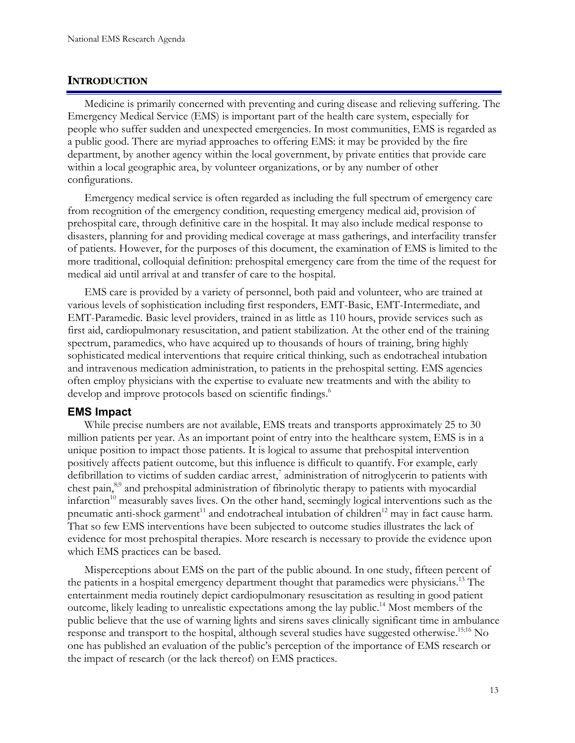# **INTRODUCTION**

Medicine is primarily concerned with preventing and curing disease and relieving suffering. The Emergency Medical Service (EMS) is important part of the health care system, especially for people who suffer sudden and unexpected emergencies. In most communities, EMS is regarded as a public good. There are myriad approaches to offering EMS: it may be provided by the fire department, by another agency within the local government, by private entities that provide care within a local geographic area, by volunteer organizations, or by any number of other configurations.

Emergency medical service is often regarded as including the full spectrum of emergency care from recognition of the emergency condition, requesting emergency medical aid, provision of prehospital care, through definitive care in the hospital. It may also include medical response to disasters, planning for and providing medical coverage at mass gatherings, and interfacility transfer of patients. However, for the purposes of this document, the examination of EMS is limited to the more traditional, colloquial definition: prehospital emergency care from the time of the request for medical aid until arrival at and transfer of care to the hospital.

EMS care is provided by a variety of personnel, both paid and volunteer, who are trained at various levels of sophistication including first responders, EMT-Basic, EMT-Intermediate, and EMT-Paramedic. Basic level providers, trained in as little as 110 hours, provide services such as first aid, cardiopulmonary resuscitation, and patient stabilization. At the other end of the training spectrum, paramedics, who have acquired up to thousands of hours of training, bring highly sophisticated medical interventions that require critical thinking, such as endotracheal intubation and intravenous medication administration, to patients in the prehospital setting. EMS agencies often employ physicians with the expertise to evaluate new treatments and with the ability to develop and improve protocols based on scientific findings.<sup>6</sup>

### **EMS Impact**

While precise numbers are not available, EMS treats and transports approximately 25 to 30 million patients per year. As an important point of entry into the healthcare system, EMS is in a unique position to impact those patients. It is logical to assume that prehospital intervention positively affects patient outcome, but this influence is difficult to quantify. For example, early defibrillation to victims of sudden cardiac arrest,<sup>7</sup> administration of nitroglycerin to patients with chest pain,<sup>8;9</sup> and prehospital administration of fibrinolytic therapy to patients with myocardial infarction<sup>10</sup> measurably saves lives. On the other hand, seemingly logical interventions such as the pneumatic anti-shock garment<sup>11</sup> and endotracheal intubation of children<sup>12</sup> may in fact cause harm. That so few EMS interventions have been subjected to outcome studies illustrates the lack of evidence for most prehospital therapies. More research is necessary to provide the evidence upon which EMS practices can be based.

Misperceptions about EMS on the part of the public abound. In one study, fifteen percent of the patients in a hospital emergency department thought that paramedics were physicians.<sup>13</sup> The entertainment media routinely depict cardiopulmonary resuscitation as resulting in good patient outcome, likely leading to unrealistic expectations among the lay public.14 Most members of the public believe that the use of warning lights and sirens saves clinically significant time in ambulance response and transport to the hospital, although several studies have suggested otherwise.<sup>15;16</sup> No one has published an evaluation of the public's perception of the importance of EMS research or the impact of research (or the lack thereof) on EMS practices.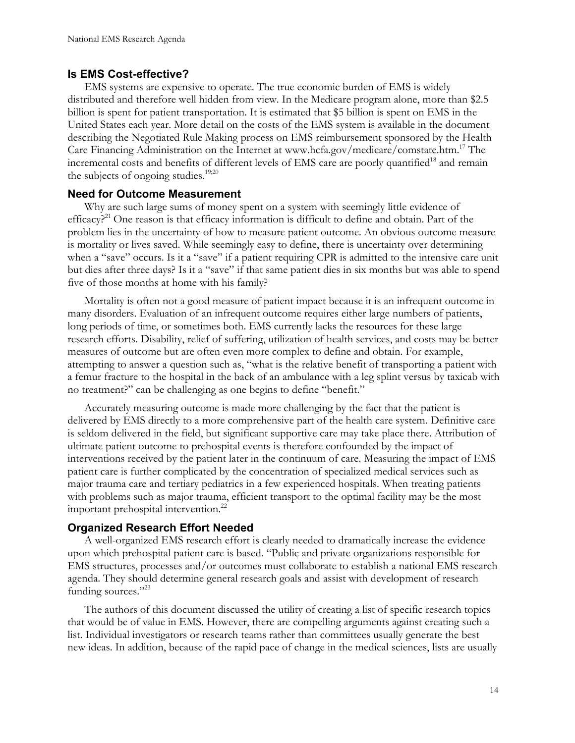### **Is EMS Cost-effective?**

EMS systems are expensive to operate. The true economic burden of EMS is widely distributed and therefore well hidden from view. In the Medicare program alone, more than \$2.5 billion is spent for patient transportation. It is estimated that \$5 billion is spent on EMS in the United States each year. More detail on the costs of the EMS system is available in the document describing the Negotiated Rule Making process on EMS reimbursement sponsored by the Health Care Financing Administration on the Internet at www.hcfa.gov/medicare/comstate.htm.17 The incremental costs and benefits of different levels of EMS care are poorly quantified<sup>18</sup> and remain the subjects of ongoing studies. $19,20$ 

# **Need for Outcome Measurement**

Why are such large sums of money spent on a system with seemingly little evidence of efficacy?<sup>21</sup> One reason is that efficacy information is difficult to define and obtain. Part of the problem lies in the uncertainty of how to measure patient outcome. An obvious outcome measure is mortality or lives saved. While seemingly easy to define, there is uncertainty over determining when a "save" occurs. Is it a "save" if a patient requiring CPR is admitted to the intensive care unit but dies after three days? Is it a "save" if that same patient dies in six months but was able to spend five of those months at home with his family?

Mortality is often not a good measure of patient impact because it is an infrequent outcome in many disorders. Evaluation of an infrequent outcome requires either large numbers of patients, long periods of time, or sometimes both. EMS currently lacks the resources for these large research efforts. Disability, relief of suffering, utilization of health services, and costs may be better measures of outcome but are often even more complex to define and obtain. For example, attempting to answer a question such as, "what is the relative benefit of transporting a patient with a femur fracture to the hospital in the back of an ambulance with a leg splint versus by taxicab with no treatment?" can be challenging as one begins to define "benefit."

Accurately measuring outcome is made more challenging by the fact that the patient is delivered by EMS directly to a more comprehensive part of the health care system. Definitive care is seldom delivered in the field, but significant supportive care may take place there. Attribution of ultimate patient outcome to prehospital events is therefore confounded by the impact of interventions received by the patient later in the continuum of care. Measuring the impact of EMS patient care is further complicated by the concentration of specialized medical services such as major trauma care and tertiary pediatrics in a few experienced hospitals. When treating patients with problems such as major trauma, efficient transport to the optimal facility may be the most important prehospital intervention.<sup>22</sup>

### **Organized Research Effort Needed**

A well-organized EMS research effort is clearly needed to dramatically increase the evidence upon which prehospital patient care is based. "Public and private organizations responsible for EMS structures, processes and/or outcomes must collaborate to establish a national EMS research agenda. They should determine general research goals and assist with development of research funding sources."23

The authors of this document discussed the utility of creating a list of specific research topics that would be of value in EMS. However, there are compelling arguments against creating such a list. Individual investigators or research teams rather than committees usually generate the best new ideas. In addition, because of the rapid pace of change in the medical sciences, lists are usually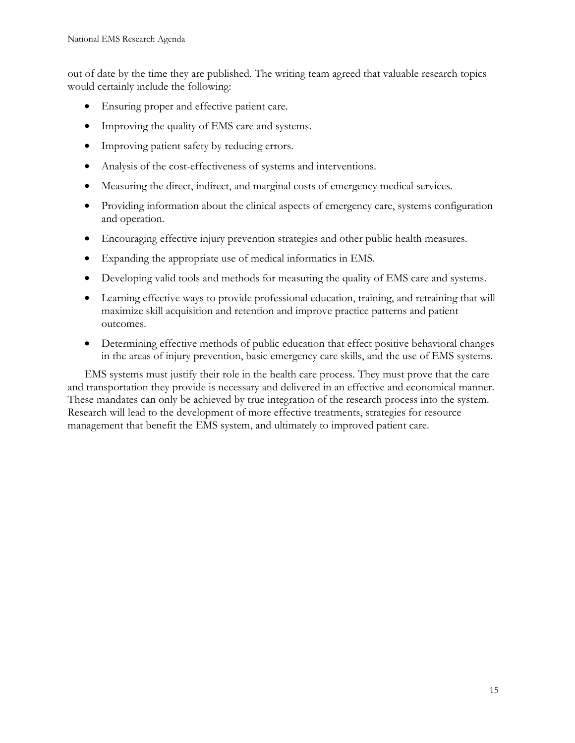out of date by the time they are published. The writing team agreed that valuable research topics would certainly include the following:

- Ensuring proper and effective patient care.
- Improving the quality of EMS care and systems.
- Improving patient safety by reducing errors.
- Analysis of the cost-effectiveness of systems and interventions.
- Measuring the direct, indirect, and marginal costs of emergency medical services.
- Providing information about the clinical aspects of emergency care, systems configuration and operation.
- Encouraging effective injury prevention strategies and other public health measures.
- Expanding the appropriate use of medical informatics in EMS.
- Developing valid tools and methods for measuring the quality of EMS care and systems.
- Learning effective ways to provide professional education, training, and retraining that will maximize skill acquisition and retention and improve practice patterns and patient outcomes.
- Determining effective methods of public education that effect positive behavioral changes in the areas of injury prevention, basic emergency care skills, and the use of EMS systems.

EMS systems must justify their role in the health care process. They must prove that the care and transportation they provide is necessary and delivered in an effective and economical manner. These mandates can only be achieved by true integration of the research process into the system. Research will lead to the development of more effective treatments, strategies for resource management that benefit the EMS system, and ultimately to improved patient care.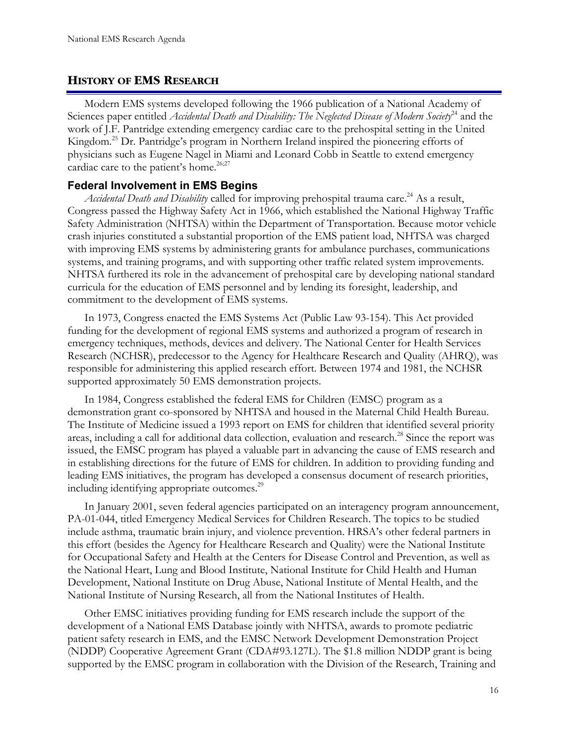# **HISTORY OF EMS RESEARCH**

Modern EMS systems developed following the 1966 publication of a National Academy of Sciences paper entitled *Accidental Death and Disability: The Neglected Disease of Modern Society*<sup>24</sup> and the work of J.F. Pantridge extending emergency cardiac care to the prehospital setting in the United Kingdom.25 Dr. Pantridge's program in Northern Ireland inspired the pioneering efforts of physicians such as Eugene Nagel in Miami and Leonard Cobb in Seattle to extend emergency cardiac care to the patient's home. $26:27$ 

#### **Federal Involvement in EMS Begins**

*Accidental Death and Disability* called for improving prehospital trauma care.<sup>24</sup> As a result, Congress passed the Highway Safety Act in 1966, which established the National Highway Traffic Safety Administration (NHTSA) within the Department of Transportation. Because motor vehicle crash injuries constituted a substantial proportion of the EMS patient load, NHTSA was charged with improving EMS systems by administering grants for ambulance purchases, communications systems, and training programs, and with supporting other traffic related system improvements. NHTSA furthered its role in the advancement of prehospital care by developing national standard curricula for the education of EMS personnel and by lending its foresight, leadership, and commitment to the development of EMS systems.

In 1973, Congress enacted the EMS Systems Act (Public Law 93-154). This Act provided funding for the development of regional EMS systems and authorized a program of research in emergency techniques, methods, devices and delivery. The National Center for Health Services Research (NCHSR), predecessor to the Agency for Healthcare Research and Quality (AHRQ), was responsible for administering this applied research effort. Between 1974 and 1981, the NCHSR supported approximately 50 EMS demonstration projects.

In 1984, Congress established the federal EMS for Children (EMSC) program as a demonstration grant co-sponsored by NHTSA and housed in the Maternal Child Health Bureau. The Institute of Medicine issued a 1993 report on EMS for children that identified several priority areas, including a call for additional data collection, evaluation and research.<sup>28</sup> Since the report was issued, the EMSC program has played a valuable part in advancing the cause of EMS research and in establishing directions for the future of EMS for children. In addition to providing funding and leading EMS initiatives, the program has developed a consensus document of research priorities, including identifying appropriate outcomes.<sup>29</sup>

In January 2001, seven federal agencies participated on an interagency program announcement, PA-01-044, titled Emergency Medical Services for Children Research. The topics to be studied include asthma, traumatic brain injury, and violence prevention. HRSA's other federal partners in this effort (besides the Agency for Healthcare Research and Quality) were the National Institute for Occupational Safety and Health at the Centers for Disease Control and Prevention, as well as the National Heart, Lung and Blood Institute, National Institute for Child Health and Human Development, National Institute on Drug Abuse, National Institute of Mental Health, and the National Institute of Nursing Research, all from the National Institutes of Health.

Other EMSC initiatives providing funding for EMS research include the support of the development of a National EMS Database jointly with NHTSA, awards to promote pediatric patient safety research in EMS, and the EMSC Network Development Demonstration Project (NDDP) Cooperative Agreement Grant (CDA#93.127L). The \$1.8 million NDDP grant is being supported by the EMSC program in collaboration with the Division of the Research, Training and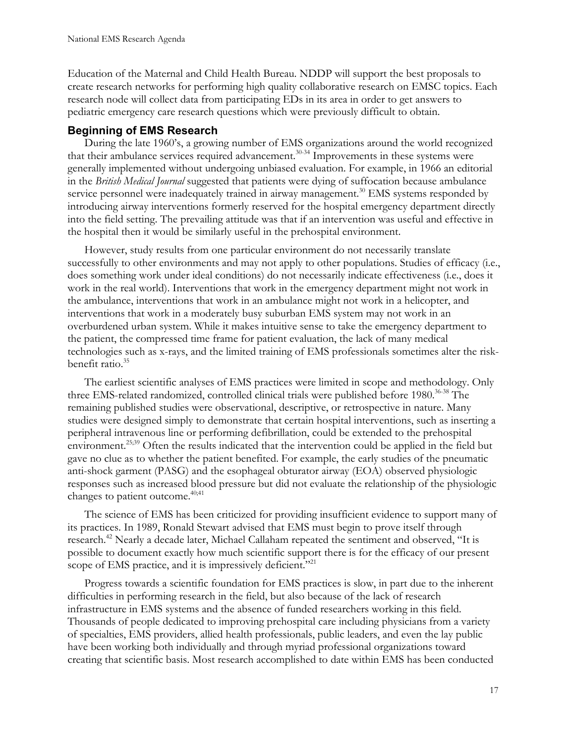Education of the Maternal and Child Health Bureau. NDDP will support the best proposals to create research networks for performing high quality collaborative research on EMSC topics. Each research node will collect data from participating EDs in its area in order to get answers to pediatric emergency care research questions which were previously difficult to obtain.

# **Beginning of EMS Research**

During the late 1960's, a growing number of EMS organizations around the world recognized that their ambulance services required advancement.<sup>30-34</sup> Improvements in these systems were generally implemented without undergoing unbiased evaluation. For example, in 1966 an editorial in the *British Medical Journal* suggested that patients were dying of suffocation because ambulance service personnel were inadequately trained in airway management.<sup>30</sup> EMS systems responded by introducing airway interventions formerly reserved for the hospital emergency department directly into the field setting. The prevailing attitude was that if an intervention was useful and effective in the hospital then it would be similarly useful in the prehospital environment.

However, study results from one particular environment do not necessarily translate successfully to other environments and may not apply to other populations. Studies of efficacy (i.e., does something work under ideal conditions) do not necessarily indicate effectiveness (i.e., does it work in the real world). Interventions that work in the emergency department might not work in the ambulance, interventions that work in an ambulance might not work in a helicopter, and interventions that work in a moderately busy suburban EMS system may not work in an overburdened urban system. While it makes intuitive sense to take the emergency department to the patient, the compressed time frame for patient evaluation, the lack of many medical technologies such as x-rays, and the limited training of EMS professionals sometimes alter the riskbenefit ratio.<sup>35</sup>

The earliest scientific analyses of EMS practices were limited in scope and methodology. Only three EMS-related randomized, controlled clinical trials were published before 1980.<sup>36-38</sup> The remaining published studies were observational, descriptive, or retrospective in nature. Many studies were designed simply to demonstrate that certain hospital interventions, such as inserting a peripheral intravenous line or performing defibrillation, could be extended to the prehospital environment.<sup>25;39</sup> Often the results indicated that the intervention could be applied in the field but gave no clue as to whether the patient benefited. For example, the early studies of the pneumatic anti-shock garment (PASG) and the esophageal obturator airway (EOA) observed physiologic responses such as increased blood pressure but did not evaluate the relationship of the physiologic changes to patient outcome. $40;41$ 

The science of EMS has been criticized for providing insufficient evidence to support many of its practices. In 1989, Ronald Stewart advised that EMS must begin to prove itself through research.<sup>42</sup> Nearly a decade later, Michael Callaham repeated the sentiment and observed, "It is possible to document exactly how much scientific support there is for the efficacy of our present scope of EMS practice, and it is impressively deficient."<sup>21</sup>

Progress towards a scientific foundation for EMS practices is slow, in part due to the inherent difficulties in performing research in the field, but also because of the lack of research infrastructure in EMS systems and the absence of funded researchers working in this field. Thousands of people dedicated to improving prehospital care including physicians from a variety of specialties, EMS providers, allied health professionals, public leaders, and even the lay public have been working both individually and through myriad professional organizations toward creating that scientific basis. Most research accomplished to date within EMS has been conducted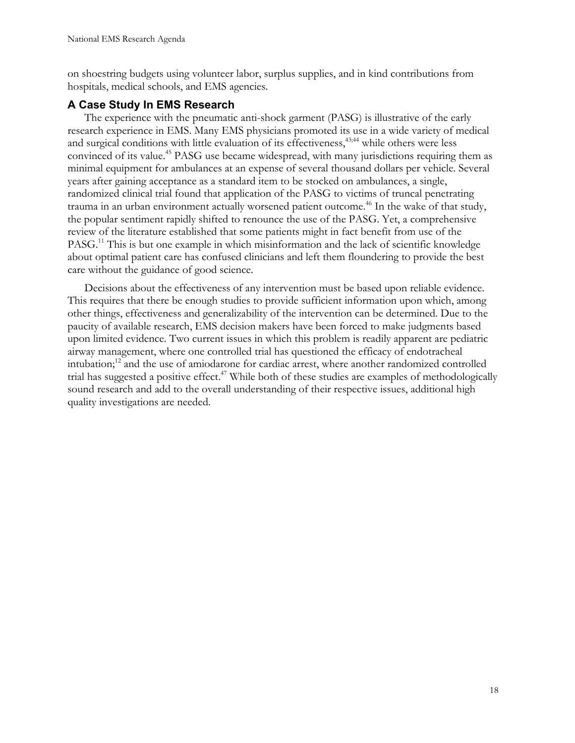on shoestring budgets using volunteer labor, surplus supplies, and in kind contributions from hospitals, medical schools, and EMS agencies.

# **A Case Study In EMS Research**

The experience with the pneumatic anti-shock garment (PASG) is illustrative of the early research experience in EMS. Many EMS physicians promoted its use in a wide variety of medical and surgical conditions with little evaluation of its effectiveness,<sup>43;44</sup> while others were less convinced of its value.<sup>45</sup> PASG use became widespread, with many jurisdictions requiring them as minimal equipment for ambulances at an expense of several thousand dollars per vehicle. Several years after gaining acceptance as a standard item to be stocked on ambulances, a single, randomized clinical trial found that application of the PASG to victims of truncal penetrating trauma in an urban environment actually worsened patient outcome.<sup>46</sup> In the wake of that study, the popular sentiment rapidly shifted to renounce the use of the PASG. Yet, a comprehensive review of the literature established that some patients might in fact benefit from use of the PASG.11 This is but one example in which misinformation and the lack of scientific knowledge about optimal patient care has confused clinicians and left them floundering to provide the best care without the guidance of good science.

Decisions about the effectiveness of any intervention must be based upon reliable evidence. This requires that there be enough studies to provide sufficient information upon which, among other things, effectiveness and generalizability of the intervention can be determined. Due to the paucity of available research, EMS decision makers have been forced to make judgments based upon limited evidence. Two current issues in which this problem is readily apparent are pediatric airway management, where one controlled trial has questioned the efficacy of endotracheal intubation;<sup>12</sup> and the use of amiodarone for cardiac arrest, where another randomized controlled trial has suggested a positive effect.<sup>47</sup> While both of these studies are examples of methodologically sound research and add to the overall understanding of their respective issues, additional high quality investigations are needed.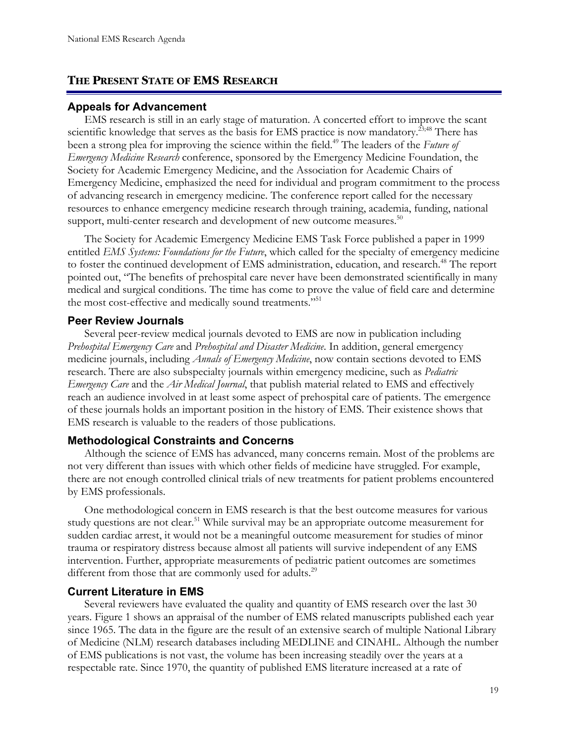# **THE PRESENT STATE OF EMS RESEARCH**

#### **Appeals for Advancement**

EMS research is still in an early stage of maturation. A concerted effort to improve the scant scientific knowledge that serves as the basis for EMS practice is now mandatory.<sup>23;48</sup> There has been a strong plea for improving the science within the field.<sup>49</sup> The leaders of the *Future of Emergency Medicine Research* conference, sponsored by the Emergency Medicine Foundation, the Society for Academic Emergency Medicine, and the Association for Academic Chairs of Emergency Medicine, emphasized the need for individual and program commitment to the process of advancing research in emergency medicine. The conference report called for the necessary resources to enhance emergency medicine research through training, academia, funding, national support, multi-center research and development of new outcome measures.<sup>50</sup>

The Society for Academic Emergency Medicine EMS Task Force published a paper in 1999 entitled *EMS Systems: Foundations for the Future*, which called for the specialty of emergency medicine to foster the continued development of EMS administration, education, and research.<sup>48</sup> The report pointed out, "The benefits of prehospital care never have been demonstrated scientifically in many medical and surgical conditions. The time has come to prove the value of field care and determine the most cost-effective and medically sound treatments."<sup>51</sup>

#### **Peer Review Journals**

Several peer-review medical journals devoted to EMS are now in publication including *Prehospital Emergency Care* and *Prehospital and Disaster Medicine*. In addition, general emergency medicine journals, including *Annals of Emergency Medicine*, now contain sections devoted to EMS research. There are also subspecialty journals within emergency medicine, such as *Pediatric Emergency Care* and the *Air Medical Journal*, that publish material related to EMS and effectively reach an audience involved in at least some aspect of prehospital care of patients. The emergence of these journals holds an important position in the history of EMS. Their existence shows that EMS research is valuable to the readers of those publications.

### **Methodological Constraints and Concerns**

Although the science of EMS has advanced, many concerns remain. Most of the problems are not very different than issues with which other fields of medicine have struggled. For example, there are not enough controlled clinical trials of new treatments for patient problems encountered by EMS professionals.

One methodological concern in EMS research is that the best outcome measures for various study questions are not clear.<sup>51</sup> While survival may be an appropriate outcome measurement for sudden cardiac arrest, it would not be a meaningful outcome measurement for studies of minor trauma or respiratory distress because almost all patients will survive independent of any EMS intervention. Further, appropriate measurements of pediatric patient outcomes are sometimes different from those that are commonly used for adults.<sup>29</sup>

### **Current Literature in EMS**

Several reviewers have evaluated the quality and quantity of EMS research over the last 30 years. Figure 1 shows an appraisal of the number of EMS related manuscripts published each year since 1965. The data in the figure are the result of an extensive search of multiple National Library of Medicine (NLM) research databases including MEDLINE and CINAHL. Although the number of EMS publications is not vast, the volume has been increasing steadily over the years at a respectable rate. Since 1970, the quantity of published EMS literature increased at a rate of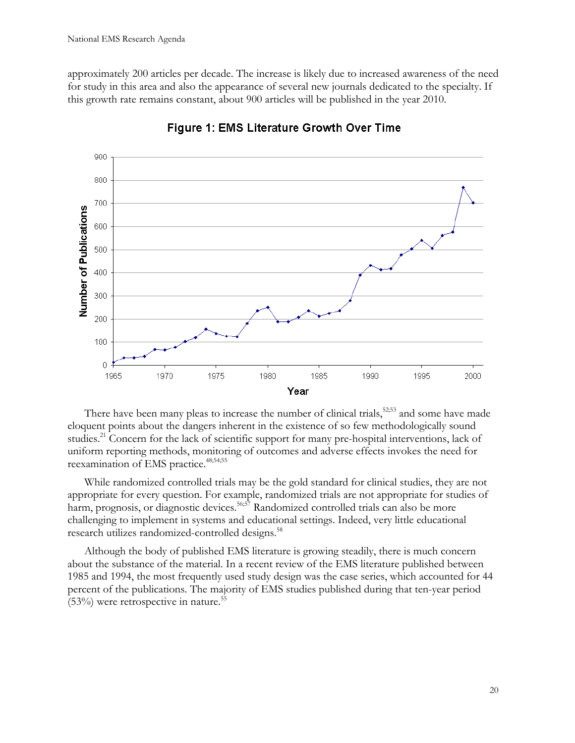approximately 200 articles per decade. The increase is likely due to increased awareness of the need for study in this area and also the appearance of several new journals dedicated to the specialty. If this growth rate remains constant, about 900 articles will be published in the year 2010.



Figure 1: EMS Literature Growth Over Time

There have been many pleas to increase the number of clinical trials,<sup>52,53</sup> and some have made eloquent points about the dangers inherent in the existence of so few methodologically sound studies.<sup>21</sup> Concern for the lack of scientific support for many pre-hospital interventions, lack of uniform reporting methods, monitoring of outcomes and adverse effects invokes the need for reexamination of EMS practice.<sup>48;54;55</sup>

While randomized controlled trials may be the gold standard for clinical studies, they are not appropriate for every question. For example, randomized trials are not appropriate for studies of harm, prognosis, or diagnostic devices.<sup>56;57</sup> Randomized controlled trials can also be more challenging to implement in systems and educational settings. Indeed, very little educational research utilizes randomized-controlled designs.<sup>58</sup>

Although the body of published EMS literature is growing steadily, there is much concern about the substance of the material. In a recent review of the EMS literature published between 1985 and 1994, the most frequently used study design was the case series, which accounted for 44 percent of the publications. The majority of EMS studies published during that ten-year period  $(53%)$  were retrospective in nature.<sup>55</sup>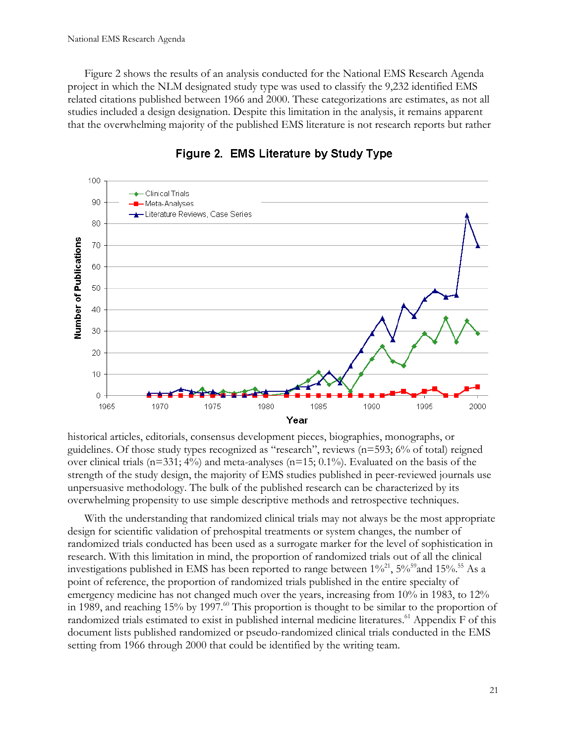Figure 2 shows the results of an analysis conducted for the National EMS Research Agenda project in which the NLM designated study type was used to classify the 9,232 identified EMS related citations published between 1966 and 2000. These categorizations are estimates, as not all studies included a design designation. Despite this limitation in the analysis, it remains apparent that the overwhelming majority of the published EMS literature is not research reports but rather



#### Figure 2. EMS Literature by Study Type

historical articles, editorials, consensus development pieces, biographies, monographs, or guidelines. Of those study types recognized as "research", reviews (n=593; 6% of total) reigned over clinical trials ( $n=331$ ; 4%) and meta-analyses ( $n=15$ ; 0.1%). Evaluated on the basis of the strength of the study design, the majority of EMS studies published in peer-reviewed journals use unpersuasive methodology. The bulk of the published research can be characterized by its overwhelming propensity to use simple descriptive methods and retrospective techniques.

With the understanding that randomized clinical trials may not always be the most appropriate design for scientific validation of prehospital treatments or system changes, the number of randomized trials conducted has been used as a surrogate marker for the level of sophistication in research. With this limitation in mind, the proportion of randomized trials out of all the clinical investigations published in EMS has been reported to range between  $1\frac{^{62}}{^{21}}$ ,  $5\frac{^{65}}{^{20}}$  and  $15\frac{^{65}}{^{55}}$  As a point of reference, the proportion of randomized trials published in the entire specialty of emergency medicine has not changed much over the years, increasing from 10% in 1983, to 12% in 1989, and reaching 15% by 1997.<sup>60</sup> This proportion is thought to be similar to the proportion of randomized trials estimated to exist in published internal medicine literatures.<sup>61</sup> Appendix F of this document lists published randomized or pseudo-randomized clinical trials conducted in the EMS setting from 1966 through 2000 that could be identified by the writing team.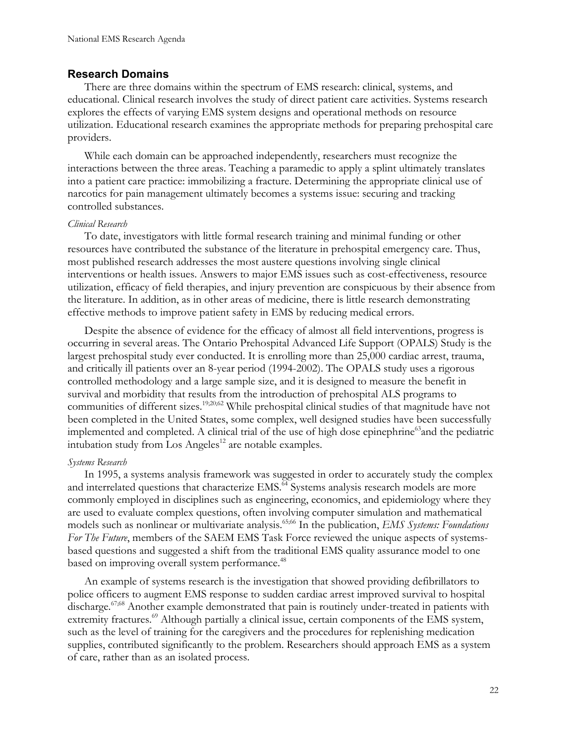#### **Research Domains**

There are three domains within the spectrum of EMS research: clinical, systems, and educational. Clinical research involves the study of direct patient care activities. Systems research explores the effects of varying EMS system designs and operational methods on resource utilization. Educational research examines the appropriate methods for preparing prehospital care providers.

While each domain can be approached independently, researchers must recognize the interactions between the three areas. Teaching a paramedic to apply a splint ultimately translates into a patient care practice: immobilizing a fracture. Determining the appropriate clinical use of narcotics for pain management ultimately becomes a systems issue: securing and tracking controlled substances.

#### *Clinical Research*

To date, investigators with little formal research training and minimal funding or other resources have contributed the substance of the literature in prehospital emergency care. Thus, most published research addresses the most austere questions involving single clinical interventions or health issues. Answers to major EMS issues such as cost-effectiveness, resource utilization, efficacy of field therapies, and injury prevention are conspicuous by their absence from the literature. In addition, as in other areas of medicine, there is little research demonstrating effective methods to improve patient safety in EMS by reducing medical errors.

Despite the absence of evidence for the efficacy of almost all field interventions, progress is occurring in several areas. The Ontario Prehospital Advanced Life Support (OPALS) Study is the largest prehospital study ever conducted. It is enrolling more than 25,000 cardiac arrest, trauma, and critically ill patients over an 8-year period (1994-2002). The OPALS study uses a rigorous controlled methodology and a large sample size, and it is designed to measure the benefit in survival and morbidity that results from the introduction of prehospital ALS programs to communities of different sizes.<sup>19;20;62</sup> While prehospital clinical studies of that magnitude have not been completed in the United States, some complex, well designed studies have been successfully implemented and completed. A clinical trial of the use of high dose epinephrine<sup>63</sup> and the pediatric intubation study from Los Angeles<sup>12</sup> are notable examples.

#### *Systems Research*

In 1995, a systems analysis framework was suggested in order to accurately study the complex and interrelated questions that characterize EMS.<sup>64</sup> Systems analysis research models are more commonly employed in disciplines such as engineering, economics, and epidemiology where they are used to evaluate complex questions, often involving computer simulation and mathematical models such as nonlinear or multivariate analysis.65;66 In the publication, *EMS Systems: Foundations For The Future*, members of the SAEM EMS Task Force reviewed the unique aspects of systemsbased questions and suggested a shift from the traditional EMS quality assurance model to one based on improving overall system performance.<sup>48</sup>

An example of systems research is the investigation that showed providing defibrillators to police officers to augment EMS response to sudden cardiac arrest improved survival to hospital discharge.<sup>67,68</sup> Another example demonstrated that pain is routinely under-treated in patients with extremity fractures.<sup>69</sup> Although partially a clinical issue, certain components of the EMS system, such as the level of training for the caregivers and the procedures for replenishing medication supplies, contributed significantly to the problem. Researchers should approach EMS as a system of care, rather than as an isolated process.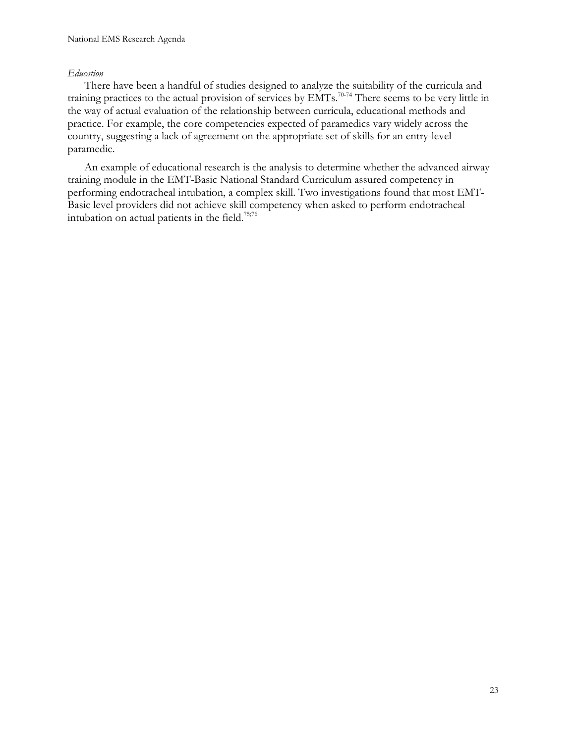#### *Education*

There have been a handful of studies designed to analyze the suitability of the curricula and training practices to the actual provision of services by EMTs.<sup>70-74</sup> There seems to be very little in the way of actual evaluation of the relationship between curricula, educational methods and practice. For example, the core competencies expected of paramedics vary widely across the country, suggesting a lack of agreement on the appropriate set of skills for an entry-level paramedic.

An example of educational research is the analysis to determine whether the advanced airway training module in the EMT-Basic National Standard Curriculum assured competency in performing endotracheal intubation, a complex skill. Two investigations found that most EMT-Basic level providers did not achieve skill competency when asked to perform endotracheal intubation on actual patients in the field.<sup>75;76</sup>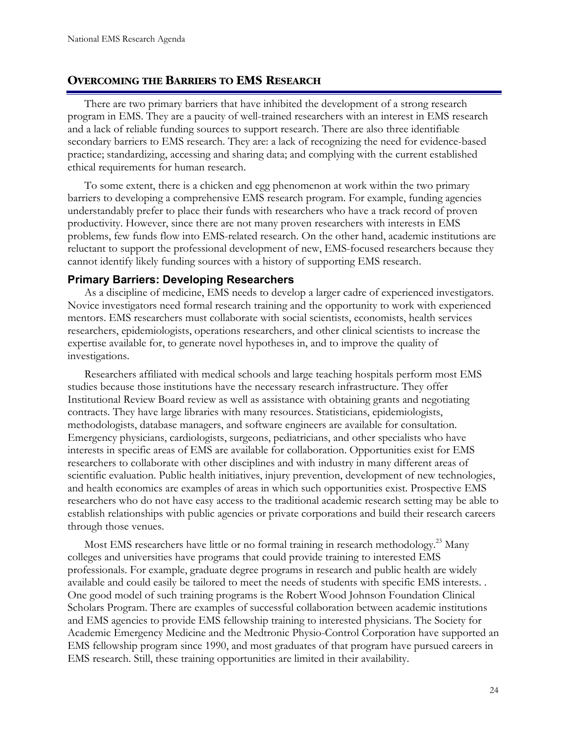#### **OVERCOMING THE BARRIERS TO EMS RESEARCH**

There are two primary barriers that have inhibited the development of a strong research program in EMS. They are a paucity of well-trained researchers with an interest in EMS research and a lack of reliable funding sources to support research. There are also three identifiable secondary barriers to EMS research. They are: a lack of recognizing the need for evidence-based practice; standardizing, accessing and sharing data; and complying with the current established ethical requirements for human research.

To some extent, there is a chicken and egg phenomenon at work within the two primary barriers to developing a comprehensive EMS research program. For example, funding agencies understandably prefer to place their funds with researchers who have a track record of proven productivity. However, since there are not many proven researchers with interests in EMS problems, few funds flow into EMS-related research. On the other hand, academic institutions are reluctant to support the professional development of new, EMS-focused researchers because they cannot identify likely funding sources with a history of supporting EMS research.

#### **Primary Barriers: Developing Researchers**

As a discipline of medicine, EMS needs to develop a larger cadre of experienced investigators. Novice investigators need formal research training and the opportunity to work with experienced mentors. EMS researchers must collaborate with social scientists, economists, health services researchers, epidemiologists, operations researchers, and other clinical scientists to increase the expertise available for, to generate novel hypotheses in, and to improve the quality of investigations.

Researchers affiliated with medical schools and large teaching hospitals perform most EMS studies because those institutions have the necessary research infrastructure. They offer Institutional Review Board review as well as assistance with obtaining grants and negotiating contracts. They have large libraries with many resources. Statisticians, epidemiologists, methodologists, database managers, and software engineers are available for consultation. Emergency physicians, cardiologists, surgeons, pediatricians, and other specialists who have interests in specific areas of EMS are available for collaboration. Opportunities exist for EMS researchers to collaborate with other disciplines and with industry in many different areas of scientific evaluation. Public health initiatives, injury prevention, development of new technologies, and health economics are examples of areas in which such opportunities exist. Prospective EMS researchers who do not have easy access to the traditional academic research setting may be able to establish relationships with public agencies or private corporations and build their research careers through those venues.

Most EMS researchers have little or no formal training in research methodology.23 Many colleges and universities have programs that could provide training to interested EMS professionals. For example, graduate degree programs in research and public health are widely available and could easily be tailored to meet the needs of students with specific EMS interests. . One good model of such training programs is the Robert Wood Johnson Foundation Clinical Scholars Program. There are examples of successful collaboration between academic institutions and EMS agencies to provide EMS fellowship training to interested physicians. The Society for Academic Emergency Medicine and the Medtronic Physio-Control Corporation have supported an EMS fellowship program since 1990, and most graduates of that program have pursued careers in EMS research. Still, these training opportunities are limited in their availability.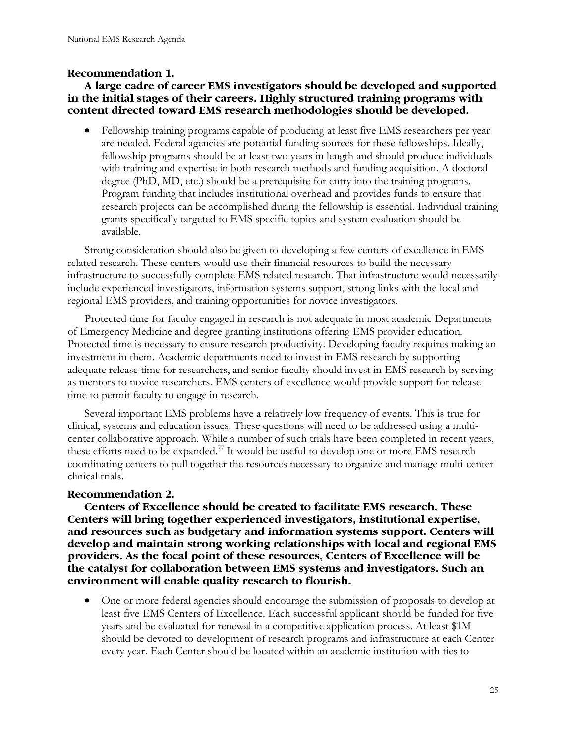#### **Recommendation 1.**

**A large cadre of career EMS investigators should be developed and supported in the initial stages of their careers. Highly structured training programs with content directed toward EMS research methodologies should be developed.** 

• Fellowship training programs capable of producing at least five EMS researchers per year are needed. Federal agencies are potential funding sources for these fellowships. Ideally, fellowship programs should be at least two years in length and should produce individuals with training and expertise in both research methods and funding acquisition. A doctoral degree (PhD, MD, etc.) should be a prerequisite for entry into the training programs. Program funding that includes institutional overhead and provides funds to ensure that research projects can be accomplished during the fellowship is essential. Individual training grants specifically targeted to EMS specific topics and system evaluation should be available.

Strong consideration should also be given to developing a few centers of excellence in EMS related research. These centers would use their financial resources to build the necessary infrastructure to successfully complete EMS related research. That infrastructure would necessarily include experienced investigators, information systems support, strong links with the local and regional EMS providers, and training opportunities for novice investigators.

Protected time for faculty engaged in research is not adequate in most academic Departments of Emergency Medicine and degree granting institutions offering EMS provider education. Protected time is necessary to ensure research productivity. Developing faculty requires making an investment in them. Academic departments need to invest in EMS research by supporting adequate release time for researchers, and senior faculty should invest in EMS research by serving as mentors to novice researchers. EMS centers of excellence would provide support for release time to permit faculty to engage in research.

Several important EMS problems have a relatively low frequency of events. This is true for clinical, systems and education issues. These questions will need to be addressed using a multicenter collaborative approach. While a number of such trials have been completed in recent years, these efforts need to be expanded.<sup>77</sup> It would be useful to develop one or more EMS research coordinating centers to pull together the resources necessary to organize and manage multi-center clinical trials.

### **Recommendation 2.**

**Centers of Excellence should be created to facilitate EMS research. These Centers will bring together experienced investigators, institutional expertise, and resources such as budgetary and information systems support. Centers will develop and maintain strong working relationships with local and regional EMS providers. As the focal point of these resources, Centers of Excellence will be the catalyst for collaboration between EMS systems and investigators. Such an environment will enable quality research to flourish.** 

• One or more federal agencies should encourage the submission of proposals to develop at least five EMS Centers of Excellence. Each successful applicant should be funded for five years and be evaluated for renewal in a competitive application process. At least \$1M should be devoted to development of research programs and infrastructure at each Center every year. Each Center should be located within an academic institution with ties to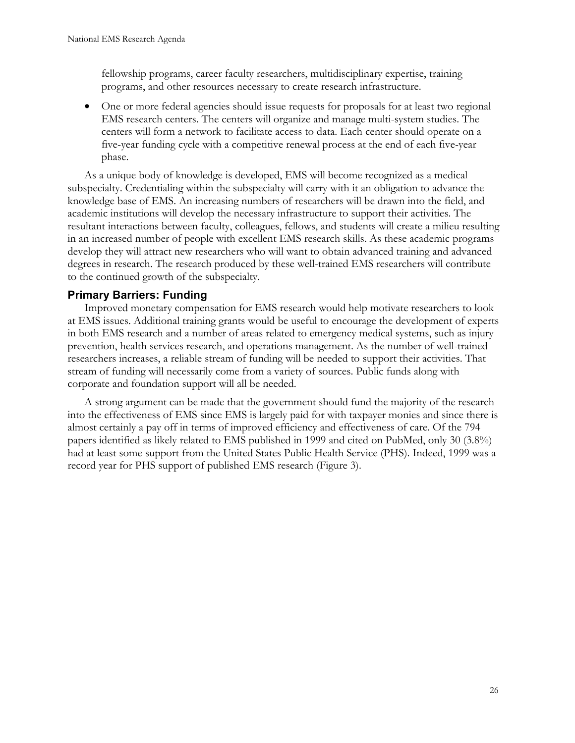fellowship programs, career faculty researchers, multidisciplinary expertise, training programs, and other resources necessary to create research infrastructure.

• One or more federal agencies should issue requests for proposals for at least two regional EMS research centers. The centers will organize and manage multi-system studies. The centers will form a network to facilitate access to data. Each center should operate on a five-year funding cycle with a competitive renewal process at the end of each five-year phase.

As a unique body of knowledge is developed, EMS will become recognized as a medical subspecialty. Credentialing within the subspecialty will carry with it an obligation to advance the knowledge base of EMS. An increasing numbers of researchers will be drawn into the field, and academic institutions will develop the necessary infrastructure to support their activities. The resultant interactions between faculty, colleagues, fellows, and students will create a milieu resulting in an increased number of people with excellent EMS research skills. As these academic programs develop they will attract new researchers who will want to obtain advanced training and advanced degrees in research. The research produced by these well-trained EMS researchers will contribute to the continued growth of the subspecialty.

# **Primary Barriers: Funding**

Improved monetary compensation for EMS research would help motivate researchers to look at EMS issues. Additional training grants would be useful to encourage the development of experts in both EMS research and a number of areas related to emergency medical systems, such as injury prevention, health services research, and operations management. As the number of well-trained researchers increases, a reliable stream of funding will be needed to support their activities. That stream of funding will necessarily come from a variety of sources. Public funds along with corporate and foundation support will all be needed.

A strong argument can be made that the government should fund the majority of the research into the effectiveness of EMS since EMS is largely paid for with taxpayer monies and since there is almost certainly a pay off in terms of improved efficiency and effectiveness of care. Of the 794 papers identified as likely related to EMS published in 1999 and cited on PubMed, only 30 (3.8%) had at least some support from the United States Public Health Service (PHS). Indeed, 1999 was a record year for PHS support of published EMS research (Figure 3).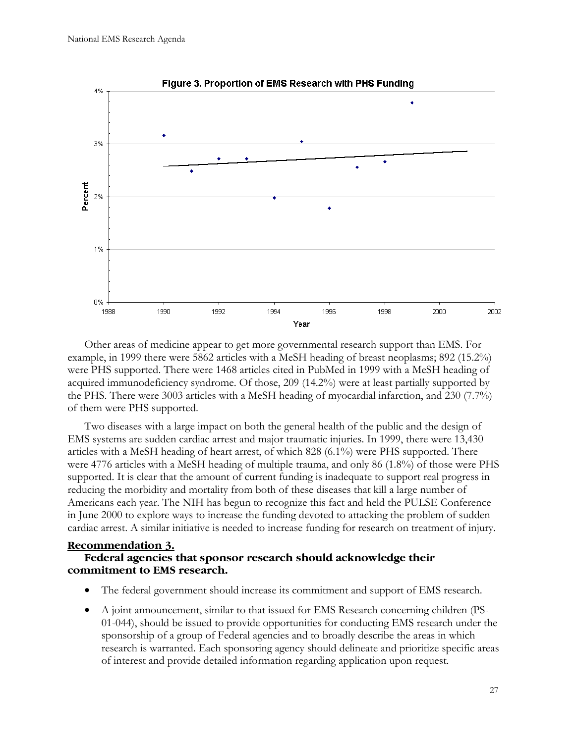

Other areas of medicine appear to get more governmental research support than EMS. For example, in 1999 there were 5862 articles with a MeSH heading of breast neoplasms; 892 (15.2%) were PHS supported. There were 1468 articles cited in PubMed in 1999 with a MeSH heading of acquired immunodeficiency syndrome. Of those, 209 (14.2%) were at least partially supported by the PHS. There were 3003 articles with a MeSH heading of myocardial infarction, and 230 (7.7%) of them were PHS supported.

Two diseases with a large impact on both the general health of the public and the design of EMS systems are sudden cardiac arrest and major traumatic injuries. In 1999, there were 13,430 articles with a MeSH heading of heart arrest, of which 828 (6.1%) were PHS supported. There were 4776 articles with a MeSH heading of multiple trauma, and only 86 (1.8%) of those were PHS supported. It is clear that the amount of current funding is inadequate to support real progress in reducing the morbidity and mortality from both of these diseases that kill a large number of Americans each year. The NIH has begun to recognize this fact and held the PULSE Conference in June 2000 to explore ways to increase the funding devoted to attacking the problem of sudden cardiac arrest. A similar initiative is needed to increase funding for research on treatment of injury.

#### **Recommendation 3. Federal agencies that sponsor research should acknowledge their commitment to EMS research.**

- - The federal government should increase its commitment and support of EMS research.
	- A joint announcement, similar to that issued for EMS Research concerning children (PS-01-044), should be issued to provide opportunities for conducting EMS research under the sponsorship of a group of Federal agencies and to broadly describe the areas in which research is warranted. Each sponsoring agency should delineate and prioritize specific areas of interest and provide detailed information regarding application upon request.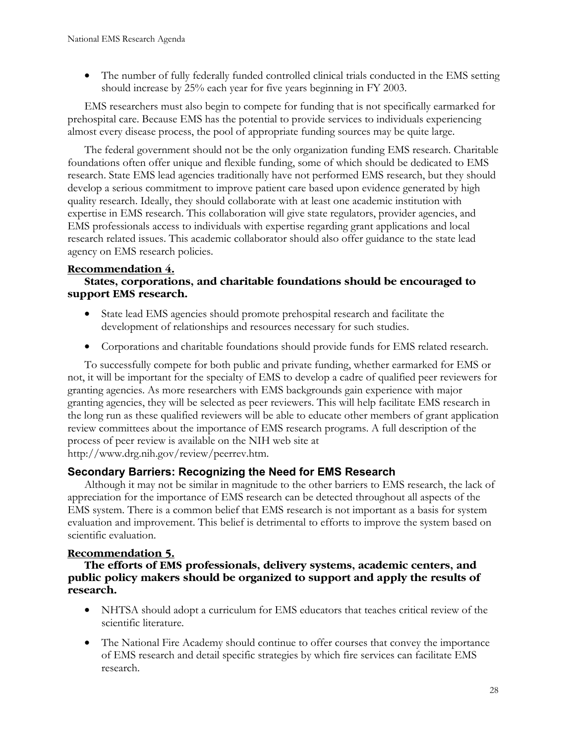• The number of fully federally funded controlled clinical trials conducted in the EMS setting should increase by 25% each year for five years beginning in FY 2003.

EMS researchers must also begin to compete for funding that is not specifically earmarked for prehospital care. Because EMS has the potential to provide services to individuals experiencing almost every disease process, the pool of appropriate funding sources may be quite large.

The federal government should not be the only organization funding EMS research. Charitable foundations often offer unique and flexible funding, some of which should be dedicated to EMS research. State EMS lead agencies traditionally have not performed EMS research, but they should develop a serious commitment to improve patient care based upon evidence generated by high quality research. Ideally, they should collaborate with at least one academic institution with expertise in EMS research. This collaboration will give state regulators, provider agencies, and EMS professionals access to individuals with expertise regarding grant applications and local research related issues. This academic collaborator should also offer guidance to the state lead agency on EMS research policies.

# **Recommendation 4.**

# **States, corporations, and charitable foundations should be encouraged to support EMS research.**

- State lead EMS agencies should promote prehospital research and facilitate the development of relationships and resources necessary for such studies.
- Corporations and charitable foundations should provide funds for EMS related research.

To successfully compete for both public and private funding, whether earmarked for EMS or not, it will be important for the specialty of EMS to develop a cadre of qualified peer reviewers for granting agencies. As more researchers with EMS backgrounds gain experience with major granting agencies, they will be selected as peer reviewers. This will help facilitate EMS research in the long run as these qualified reviewers will be able to educate other members of grant application review committees about the importance of EMS research programs. A full description of the process of peer review is available on the NIH web site at http://www.drg.nih.gov/review/peerrev.htm.

# **Secondary Barriers: Recognizing the Need for EMS Research**

Although it may not be similar in magnitude to the other barriers to EMS research, the lack of appreciation for the importance of EMS research can be detected throughout all aspects of the EMS system. There is a common belief that EMS research is not important as a basis for system evaluation and improvement. This belief is detrimental to efforts to improve the system based on scientific evaluation.

# **Recommendation 5.**

**The efforts of EMS professionals, delivery systems, academic centers, and public policy makers should be organized to support and apply the results of research.** 

- NHTSA should adopt a curriculum for EMS educators that teaches critical review of the scientific literature.
- The National Fire Academy should continue to offer courses that convey the importance of EMS research and detail specific strategies by which fire services can facilitate EMS research.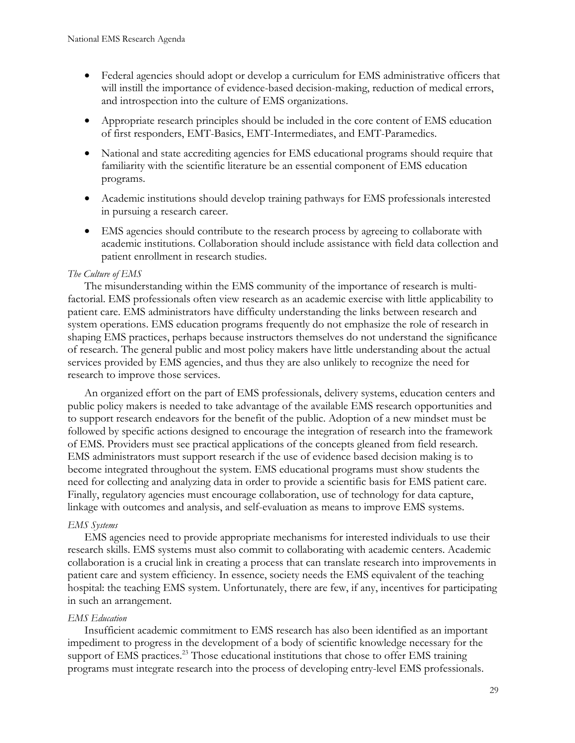- Federal agencies should adopt or develop a curriculum for EMS administrative officers that will instill the importance of evidence-based decision-making, reduction of medical errors, and introspection into the culture of EMS organizations.
- Appropriate research principles should be included in the core content of EMS education of first responders, EMT-Basics, EMT-Intermediates, and EMT-Paramedics.
- National and state accrediting agencies for EMS educational programs should require that familiarity with the scientific literature be an essential component of EMS education programs.
- Academic institutions should develop training pathways for EMS professionals interested in pursuing a research career.
- EMS agencies should contribute to the research process by agreeing to collaborate with academic institutions. Collaboration should include assistance with field data collection and patient enrollment in research studies.

#### *The Culture of EMS*

The misunderstanding within the EMS community of the importance of research is multifactorial. EMS professionals often view research as an academic exercise with little applicability to patient care. EMS administrators have difficulty understanding the links between research and system operations. EMS education programs frequently do not emphasize the role of research in shaping EMS practices, perhaps because instructors themselves do not understand the significance of research. The general public and most policy makers have little understanding about the actual services provided by EMS agencies, and thus they are also unlikely to recognize the need for research to improve those services.

An organized effort on the part of EMS professionals, delivery systems, education centers and public policy makers is needed to take advantage of the available EMS research opportunities and to support research endeavors for the benefit of the public. Adoption of a new mindset must be followed by specific actions designed to encourage the integration of research into the framework of EMS. Providers must see practical applications of the concepts gleaned from field research. EMS administrators must support research if the use of evidence based decision making is to become integrated throughout the system. EMS educational programs must show students the need for collecting and analyzing data in order to provide a scientific basis for EMS patient care. Finally, regulatory agencies must encourage collaboration, use of technology for data capture, linkage with outcomes and analysis, and self-evaluation as means to improve EMS systems.

#### *EMS Systems*

EMS agencies need to provide appropriate mechanisms for interested individuals to use their research skills. EMS systems must also commit to collaborating with academic centers. Academic collaboration is a crucial link in creating a process that can translate research into improvements in patient care and system efficiency. In essence, society needs the EMS equivalent of the teaching hospital: the teaching EMS system. Unfortunately, there are few, if any, incentives for participating in such an arrangement.

#### *EMS Education*

Insufficient academic commitment to EMS research has also been identified as an important impediment to progress in the development of a body of scientific knowledge necessary for the support of EMS practices.<sup>23</sup> Those educational institutions that chose to offer EMS training programs must integrate research into the process of developing entry-level EMS professionals.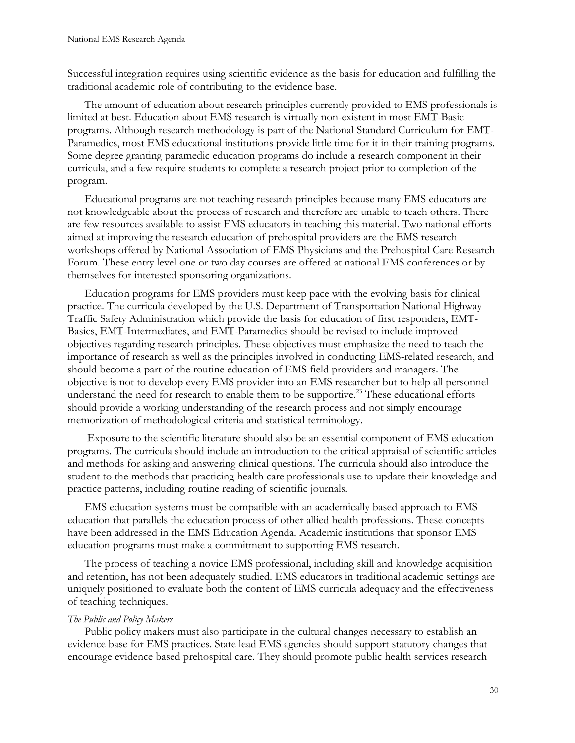Successful integration requires using scientific evidence as the basis for education and fulfilling the traditional academic role of contributing to the evidence base.

The amount of education about research principles currently provided to EMS professionals is limited at best. Education about EMS research is virtually non-existent in most EMT-Basic programs. Although research methodology is part of the National Standard Curriculum for EMT-Paramedics, most EMS educational institutions provide little time for it in their training programs. Some degree granting paramedic education programs do include a research component in their curricula, and a few require students to complete a research project prior to completion of the program.

Educational programs are not teaching research principles because many EMS educators are not knowledgeable about the process of research and therefore are unable to teach others. There are few resources available to assist EMS educators in teaching this material. Two national efforts aimed at improving the research education of prehospital providers are the EMS research workshops offered by National Association of EMS Physicians and the Prehospital Care Research Forum. These entry level one or two day courses are offered at national EMS conferences or by themselves for interested sponsoring organizations.

Education programs for EMS providers must keep pace with the evolving basis for clinical practice. The curricula developed by the U.S. Department of Transportation National Highway Traffic Safety Administration which provide the basis for education of first responders, EMT-Basics, EMT-Intermediates, and EMT-Paramedics should be revised to include improved objectives regarding research principles. These objectives must emphasize the need to teach the importance of research as well as the principles involved in conducting EMS-related research, and should become a part of the routine education of EMS field providers and managers. The objective is not to develop every EMS provider into an EMS researcher but to help all personnel understand the need for research to enable them to be supportive.<sup>23</sup> These educational efforts should provide a working understanding of the research process and not simply encourage memorization of methodological criteria and statistical terminology.

 Exposure to the scientific literature should also be an essential component of EMS education programs. The curricula should include an introduction to the critical appraisal of scientific articles and methods for asking and answering clinical questions. The curricula should also introduce the student to the methods that practicing health care professionals use to update their knowledge and practice patterns, including routine reading of scientific journals.

EMS education systems must be compatible with an academically based approach to EMS education that parallels the education process of other allied health professions. These concepts have been addressed in the EMS Education Agenda. Academic institutions that sponsor EMS education programs must make a commitment to supporting EMS research.

The process of teaching a novice EMS professional, including skill and knowledge acquisition and retention, has not been adequately studied. EMS educators in traditional academic settings are uniquely positioned to evaluate both the content of EMS curricula adequacy and the effectiveness of teaching techniques.

#### *The Public and Policy Makers*

Public policy makers must also participate in the cultural changes necessary to establish an evidence base for EMS practices. State lead EMS agencies should support statutory changes that encourage evidence based prehospital care. They should promote public health services research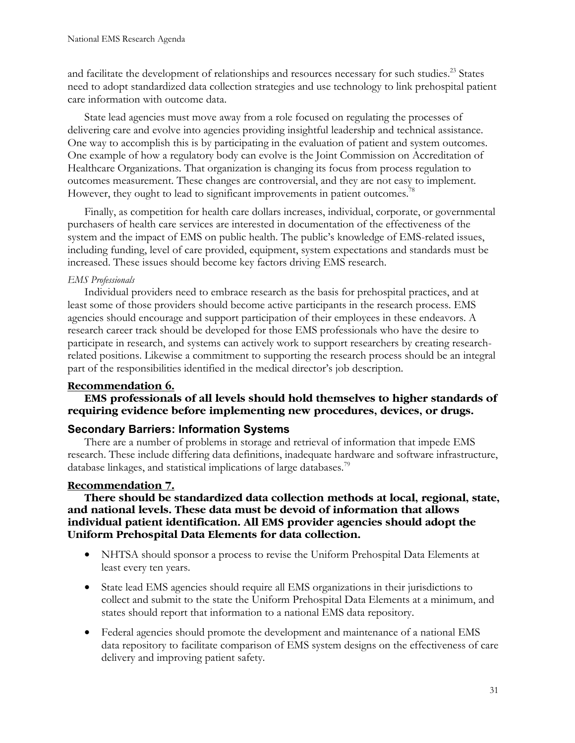and facilitate the development of relationships and resources necessary for such studies.<sup>23</sup> States need to adopt standardized data collection strategies and use technology to link prehospital patient care information with outcome data.

State lead agencies must move away from a role focused on regulating the processes of delivering care and evolve into agencies providing insightful leadership and technical assistance. One way to accomplish this is by participating in the evaluation of patient and system outcomes. One example of how a regulatory body can evolve is the Joint Commission on Accreditation of Healthcare Organizations. That organization is changing its focus from process regulation to outcomes measurement. These changes are controversial, and they are not easy to implement. However, they ought to lead to significant improvements in patient outcomes.<sup>78</sup>

Finally, as competition for health care dollars increases, individual, corporate, or governmental purchasers of health care services are interested in documentation of the effectiveness of the system and the impact of EMS on public health. The public's knowledge of EMS-related issues, including funding, level of care provided, equipment, system expectations and standards must be increased. These issues should become key factors driving EMS research.

### *EMS Professionals*

Individual providers need to embrace research as the basis for prehospital practices, and at least some of those providers should become active participants in the research process. EMS agencies should encourage and support participation of their employees in these endeavors. A research career track should be developed for those EMS professionals who have the desire to participate in research, and systems can actively work to support researchers by creating researchrelated positions. Likewise a commitment to supporting the research process should be an integral part of the responsibilities identified in the medical director's job description.

### **Recommendation 6.**

### **EMS professionals of all levels should hold themselves to higher standards of requiring evidence before implementing new procedures, devices, or drugs.**

### **Secondary Barriers: Information Systems**

There are a number of problems in storage and retrieval of information that impede EMS research. These include differing data definitions, inadequate hardware and software infrastructure, database linkages, and statistical implications of large databases.<sup>79</sup>

### **Recommendation 7.**

#### **There should be standardized data collection methods at local, regional, state, and national levels. These data must be devoid of information that allows individual patient identification. All EMS provider agencies should adopt the Uniform Prehospital Data Elements for data collection.**

- NHTSA should sponsor a process to revise the Uniform Prehospital Data Elements at least every ten years.
- State lead EMS agencies should require all EMS organizations in their jurisdictions to collect and submit to the state the Uniform Prehospital Data Elements at a minimum, and states should report that information to a national EMS data repository.
- Federal agencies should promote the development and maintenance of a national EMS data repository to facilitate comparison of EMS system designs on the effectiveness of care delivery and improving patient safety.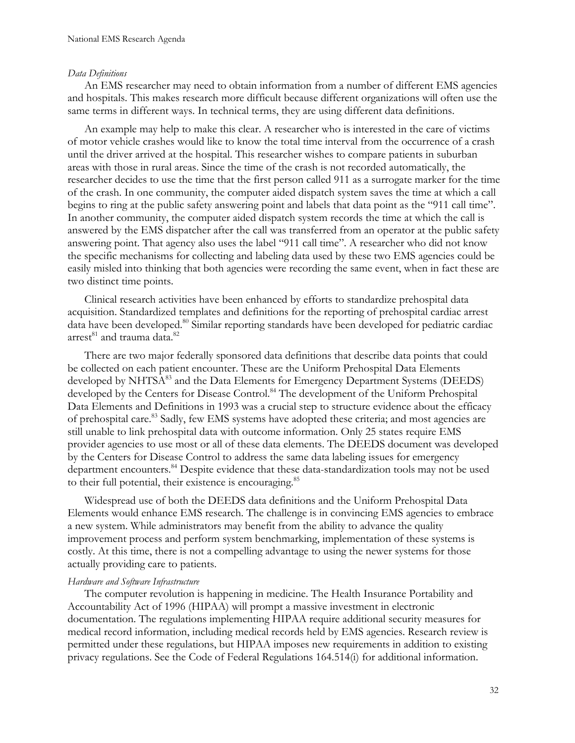#### *Data Definitions*

An EMS researcher may need to obtain information from a number of different EMS agencies and hospitals. This makes research more difficult because different organizations will often use the same terms in different ways. In technical terms, they are using different data definitions.

An example may help to make this clear. A researcher who is interested in the care of victims of motor vehicle crashes would like to know the total time interval from the occurrence of a crash until the driver arrived at the hospital. This researcher wishes to compare patients in suburban areas with those in rural areas. Since the time of the crash is not recorded automatically, the researcher decides to use the time that the first person called 911 as a surrogate marker for the time of the crash. In one community, the computer aided dispatch system saves the time at which a call begins to ring at the public safety answering point and labels that data point as the "911 call time". In another community, the computer aided dispatch system records the time at which the call is answered by the EMS dispatcher after the call was transferred from an operator at the public safety answering point. That agency also uses the label "911 call time". A researcher who did not know the specific mechanisms for collecting and labeling data used by these two EMS agencies could be easily misled into thinking that both agencies were recording the same event, when in fact these are two distinct time points.

Clinical research activities have been enhanced by efforts to standardize prehospital data acquisition. Standardized templates and definitions for the reporting of prehospital cardiac arrest data have been developed.<sup>80</sup> Similar reporting standards have been developed for pediatric cardiac arrest $^{81}$  and trauma data. $^{82}$ 

There are two major federally sponsored data definitions that describe data points that could be collected on each patient encounter. These are the Uniform Prehospital Data Elements developed by NHTSA<sup>83</sup> and the Data Elements for Emergency Department Systems (DEEDS) developed by the Centers for Disease Control.<sup>84</sup> The development of the Uniform Prehospital Data Elements and Definitions in 1993 was a crucial step to structure evidence about the efficacy of prehospital care.<sup>83</sup> Sadly, few EMS systems have adopted these criteria; and most agencies are still unable to link prehospital data with outcome information. Only 25 states require EMS provider agencies to use most or all of these data elements. The DEEDS document was developed by the Centers for Disease Control to address the same data labeling issues for emergency department encounters.<sup>84</sup> Despite evidence that these data-standardization tools may not be used to their full potential, their existence is encouraging.<sup>85</sup>

Widespread use of both the DEEDS data definitions and the Uniform Prehospital Data Elements would enhance EMS research. The challenge is in convincing EMS agencies to embrace a new system. While administrators may benefit from the ability to advance the quality improvement process and perform system benchmarking, implementation of these systems is costly. At this time, there is not a compelling advantage to using the newer systems for those actually providing care to patients.

#### *Hardware and Software Infrastructure*

The computer revolution is happening in medicine. The Health Insurance Portability and Accountability Act of 1996 (HIPAA) will prompt a massive investment in electronic documentation. The regulations implementing HIPAA require additional security measures for medical record information, including medical records held by EMS agencies. Research review is permitted under these regulations, but HIPAA imposes new requirements in addition to existing privacy regulations. See the Code of Federal Regulations 164.514(i) for additional information.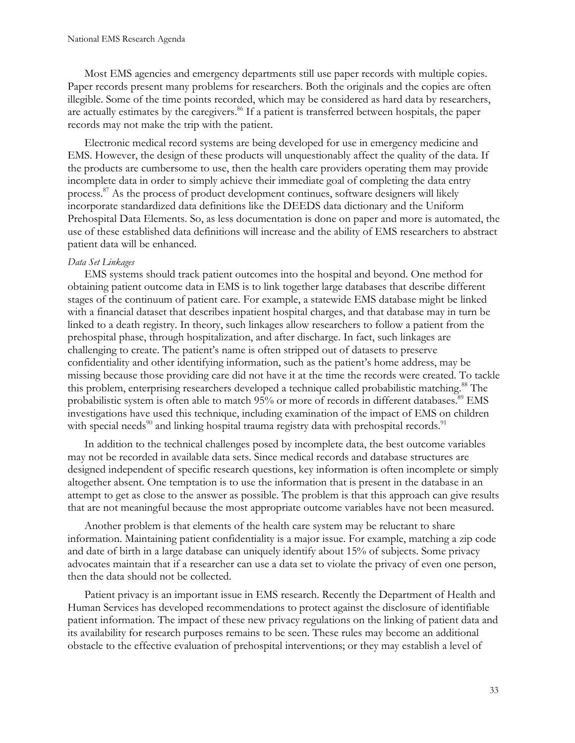Most EMS agencies and emergency departments still use paper records with multiple copies. Paper records present many problems for researchers. Both the originals and the copies are often illegible. Some of the time points recorded, which may be considered as hard data by researchers, are actually estimates by the caregivers.<sup>86</sup> If a patient is transferred between hospitals, the paper records may not make the trip with the patient.

Electronic medical record systems are being developed for use in emergency medicine and EMS. However, the design of these products will unquestionably affect the quality of the data. If the products are cumbersome to use, then the health care providers operating them may provide incomplete data in order to simply achieve their immediate goal of completing the data entry process.87 As the process of product development continues, software designers will likely incorporate standardized data definitions like the DEEDS data dictionary and the Uniform Prehospital Data Elements. So, as less documentation is done on paper and more is automated, the use of these established data definitions will increase and the ability of EMS researchers to abstract patient data will be enhanced.

#### *Data Set Linkages*

EMS systems should track patient outcomes into the hospital and beyond. One method for obtaining patient outcome data in EMS is to link together large databases that describe different stages of the continuum of patient care. For example, a statewide EMS database might be linked with a financial dataset that describes inpatient hospital charges, and that database may in turn be linked to a death registry. In theory, such linkages allow researchers to follow a patient from the prehospital phase, through hospitalization, and after discharge. In fact, such linkages are challenging to create. The patient's name is often stripped out of datasets to preserve confidentiality and other identifying information, such as the patient's home address, may be missing because those providing care did not have it at the time the records were created. To tackle this problem, enterprising researchers developed a technique called probabilistic matching.<sup>88</sup> The probabilistic system is often able to match 95% or more of records in different databases.<sup>89</sup> EMS investigations have used this technique, including examination of the impact of EMS on children with special needs $90$  and linking hospital trauma registry data with prehospital records. $91$ 

In addition to the technical challenges posed by incomplete data, the best outcome variables may not be recorded in available data sets. Since medical records and database structures are designed independent of specific research questions, key information is often incomplete or simply altogether absent. One temptation is to use the information that is present in the database in an attempt to get as close to the answer as possible. The problem is that this approach can give results that are not meaningful because the most appropriate outcome variables have not been measured.

Another problem is that elements of the health care system may be reluctant to share information. Maintaining patient confidentiality is a major issue. For example, matching a zip code and date of birth in a large database can uniquely identify about 15% of subjects. Some privacy advocates maintain that if a researcher can use a data set to violate the privacy of even one person, then the data should not be collected.

Patient privacy is an important issue in EMS research. Recently the Department of Health and Human Services has developed recommendations to protect against the disclosure of identifiable patient information. The impact of these new privacy regulations on the linking of patient data and its availability for research purposes remains to be seen. These rules may become an additional obstacle to the effective evaluation of prehospital interventions; or they may establish a level of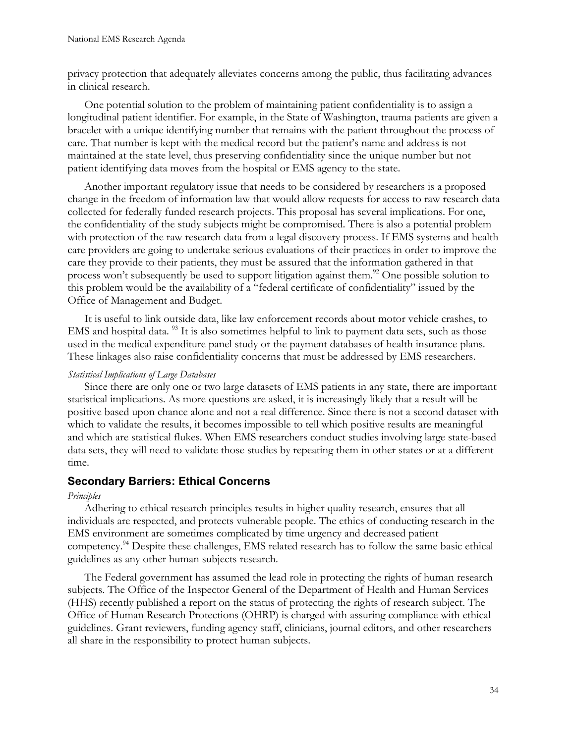privacy protection that adequately alleviates concerns among the public, thus facilitating advances in clinical research.

One potential solution to the problem of maintaining patient confidentiality is to assign a longitudinal patient identifier. For example, in the State of Washington, trauma patients are given a bracelet with a unique identifying number that remains with the patient throughout the process of care. That number is kept with the medical record but the patient's name and address is not maintained at the state level, thus preserving confidentiality since the unique number but not patient identifying data moves from the hospital or EMS agency to the state.

Another important regulatory issue that needs to be considered by researchers is a proposed change in the freedom of information law that would allow requests for access to raw research data collected for federally funded research projects. This proposal has several implications. For one, the confidentiality of the study subjects might be compromised. There is also a potential problem with protection of the raw research data from a legal discovery process. If EMS systems and health care providers are going to undertake serious evaluations of their practices in order to improve the care they provide to their patients, they must be assured that the information gathered in that process won't subsequently be used to support litigation against them.<sup>92</sup> One possible solution to this problem would be the availability of a "federal certificate of confidentiality" issued by the Office of Management and Budget.

It is useful to link outside data, like law enforcement records about motor vehicle crashes, to EMS and hospital data.  $\frac{93}{3}$  It is also sometimes helpful to link to payment data sets, such as those used in the medical expenditure panel study or the payment databases of health insurance plans. These linkages also raise confidentiality concerns that must be addressed by EMS researchers.

#### *Statistical Implications of Large Databases*

Since there are only one or two large datasets of EMS patients in any state, there are important statistical implications. As more questions are asked, it is increasingly likely that a result will be positive based upon chance alone and not a real difference. Since there is not a second dataset with which to validate the results, it becomes impossible to tell which positive results are meaningful and which are statistical flukes. When EMS researchers conduct studies involving large state-based data sets, they will need to validate those studies by repeating them in other states or at a different time.

#### **Secondary Barriers: Ethical Concerns**

#### *Principles*

Adhering to ethical research principles results in higher quality research, ensures that all individuals are respected, and protects vulnerable people. The ethics of conducting research in the EMS environment are sometimes complicated by time urgency and decreased patient competency.94 Despite these challenges, EMS related research has to follow the same basic ethical guidelines as any other human subjects research.

The Federal government has assumed the lead role in protecting the rights of human research subjects. The Office of the Inspector General of the Department of Health and Human Services (HHS) recently published a report on the status of protecting the rights of research subject. The Office of Human Research Protections (OHRP) is charged with assuring compliance with ethical guidelines. Grant reviewers, funding agency staff, clinicians, journal editors, and other researchers all share in the responsibility to protect human subjects.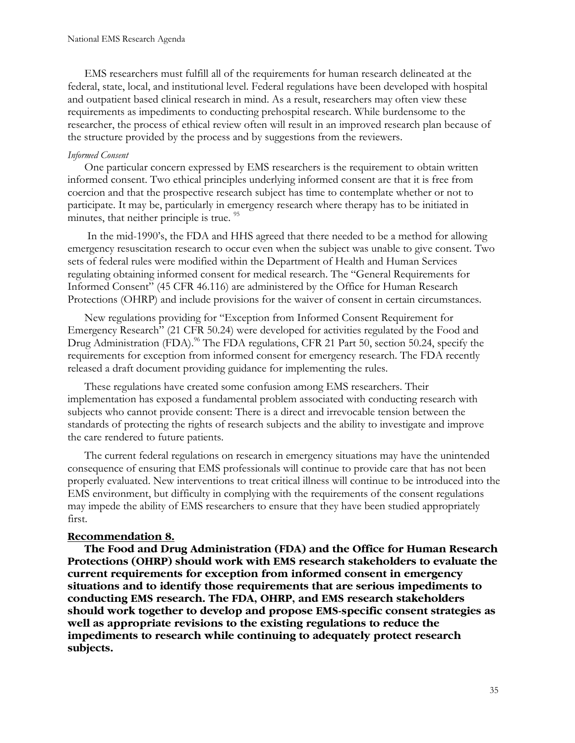EMS researchers must fulfill all of the requirements for human research delineated at the federal, state, local, and institutional level. Federal regulations have been developed with hospital and outpatient based clinical research in mind. As a result, researchers may often view these requirements as impediments to conducting prehospital research. While burdensome to the researcher, the process of ethical review often will result in an improved research plan because of the structure provided by the process and by suggestions from the reviewers.

#### *Informed Consent*

One particular concern expressed by EMS researchers is the requirement to obtain written informed consent. Two ethical principles underlying informed consent are that it is free from coercion and that the prospective research subject has time to contemplate whether or not to participate. It may be, particularly in emergency research where therapy has to be initiated in minutes, that neither principle is true. <sup>95</sup>

 In the mid-1990's, the FDA and HHS agreed that there needed to be a method for allowing emergency resuscitation research to occur even when the subject was unable to give consent. Two sets of federal rules were modified within the Department of Health and Human Services regulating obtaining informed consent for medical research. The "General Requirements for Informed Consent" (45 CFR 46.116) are administered by the Office for Human Research Protections (OHRP) and include provisions for the waiver of consent in certain circumstances.

New regulations providing for "Exception from Informed Consent Requirement for Emergency Research" (21 CFR 50.24) were developed for activities regulated by the Food and Drug Administration (FDA).<sup>96</sup> The FDA regulations, CFR 21 Part 50, section 50.24, specify the requirements for exception from informed consent for emergency research. The FDA recently released a draft document providing guidance for implementing the rules.

These regulations have created some confusion among EMS researchers. Their implementation has exposed a fundamental problem associated with conducting research with subjects who cannot provide consent: There is a direct and irrevocable tension between the standards of protecting the rights of research subjects and the ability to investigate and improve the care rendered to future patients.

The current federal regulations on research in emergency situations may have the unintended consequence of ensuring that EMS professionals will continue to provide care that has not been properly evaluated. New interventions to treat critical illness will continue to be introduced into the EMS environment, but difficulty in complying with the requirements of the consent regulations may impede the ability of EMS researchers to ensure that they have been studied appropriately first.

#### **Recommendation 8.**

**The Food and Drug Administration (FDA) and the Office for Human Research Protections (OHRP) should work with EMS research stakeholders to evaluate the current requirements for exception from informed consent in emergency situations and to identify those requirements that are serious impediments to conducting EMS research. The FDA, OHRP, and EMS research stakeholders should work together to develop and propose EMS-specific consent strategies as well as appropriate revisions to the existing regulations to reduce the impediments to research while continuing to adequately protect research subjects.**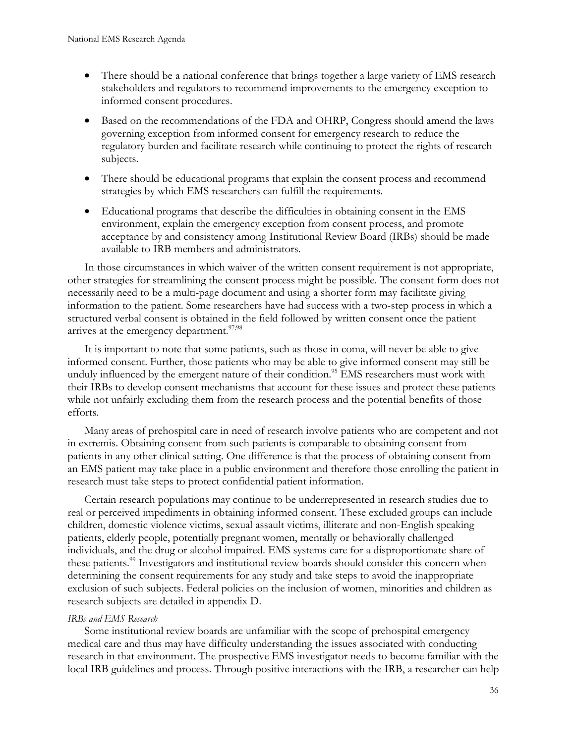- There should be a national conference that brings together a large variety of EMS research stakeholders and regulators to recommend improvements to the emergency exception to informed consent procedures.
- Based on the recommendations of the FDA and OHRP, Congress should amend the laws governing exception from informed consent for emergency research to reduce the regulatory burden and facilitate research while continuing to protect the rights of research subjects.
- There should be educational programs that explain the consent process and recommend strategies by which EMS researchers can fulfill the requirements.
- Educational programs that describe the difficulties in obtaining consent in the EMS environment, explain the emergency exception from consent process, and promote acceptance by and consistency among Institutional Review Board (IRBs) should be made available to IRB members and administrators.

In those circumstances in which waiver of the written consent requirement is not appropriate, other strategies for streamlining the consent process might be possible. The consent form does not necessarily need to be a multi-page document and using a shorter form may facilitate giving information to the patient. Some researchers have had success with a two-step process in which a structured verbal consent is obtained in the field followed by written consent once the patient arrives at the emergency department.<sup>97,98</sup>

It is important to note that some patients, such as those in coma, will never be able to give informed consent. Further, those patients who may be able to give informed consent may still be unduly influenced by the emergent nature of their condition.<sup>95</sup> EMS researchers must work with their IRBs to develop consent mechanisms that account for these issues and protect these patients while not unfairly excluding them from the research process and the potential benefits of those efforts.

Many areas of prehospital care in need of research involve patients who are competent and not in extremis. Obtaining consent from such patients is comparable to obtaining consent from patients in any other clinical setting. One difference is that the process of obtaining consent from an EMS patient may take place in a public environment and therefore those enrolling the patient in research must take steps to protect confidential patient information.

Certain research populations may continue to be underrepresented in research studies due to real or perceived impediments in obtaining informed consent. These excluded groups can include children, domestic violence victims, sexual assault victims, illiterate and non-English speaking patients, elderly people, potentially pregnant women, mentally or behaviorally challenged individuals, and the drug or alcohol impaired. EMS systems care for a disproportionate share of these patients.<sup>99</sup> Investigators and institutional review boards should consider this concern when determining the consent requirements for any study and take steps to avoid the inappropriate exclusion of such subjects. Federal policies on the inclusion of women, minorities and children as research subjects are detailed in appendix D.

#### *IRBs and EMS Research*

Some institutional review boards are unfamiliar with the scope of prehospital emergency medical care and thus may have difficulty understanding the issues associated with conducting research in that environment. The prospective EMS investigator needs to become familiar with the local IRB guidelines and process. Through positive interactions with the IRB, a researcher can help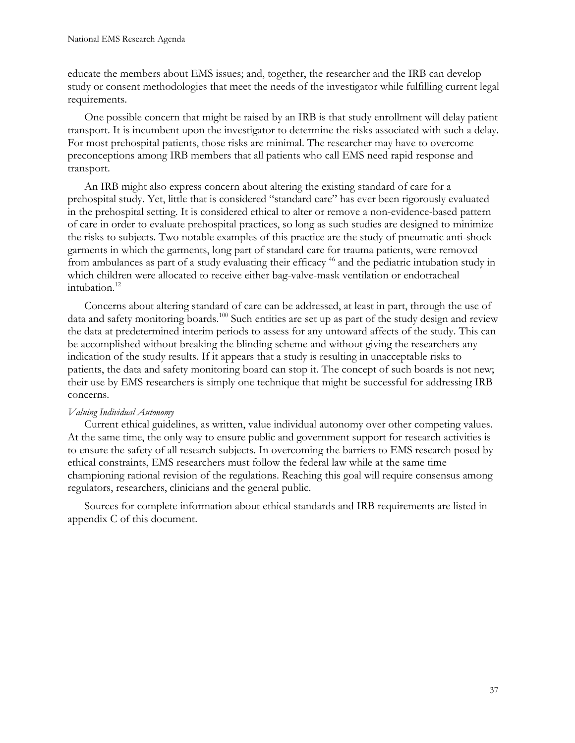educate the members about EMS issues; and, together, the researcher and the IRB can develop study or consent methodologies that meet the needs of the investigator while fulfilling current legal requirements.

One possible concern that might be raised by an IRB is that study enrollment will delay patient transport. It is incumbent upon the investigator to determine the risks associated with such a delay. For most prehospital patients, those risks are minimal. The researcher may have to overcome preconceptions among IRB members that all patients who call EMS need rapid response and transport.

An IRB might also express concern about altering the existing standard of care for a prehospital study. Yet, little that is considered "standard care" has ever been rigorously evaluated in the prehospital setting. It is considered ethical to alter or remove a non-evidence-based pattern of care in order to evaluate prehospital practices, so long as such studies are designed to minimize the risks to subjects. Two notable examples of this practice are the study of pneumatic anti-shock garments in which the garments, long part of standard care for trauma patients, were removed from ambulances as part of a study evaluating their efficacy<sup>46</sup> and the pediatric intubation study in which children were allocated to receive either bag-valve-mask ventilation or endotracheal intubation.<sup>12</sup>

Concerns about altering standard of care can be addressed, at least in part, through the use of data and safety monitoring boards.<sup>100</sup> Such entities are set up as part of the study design and review the data at predetermined interim periods to assess for any untoward affects of the study. This can be accomplished without breaking the blinding scheme and without giving the researchers any indication of the study results. If it appears that a study is resulting in unacceptable risks to patients, the data and safety monitoring board can stop it. The concept of such boards is not new; their use by EMS researchers is simply one technique that might be successful for addressing IRB concerns.

#### *Valuing Individual Autonomy*

Current ethical guidelines, as written, value individual autonomy over other competing values. At the same time, the only way to ensure public and government support for research activities is to ensure the safety of all research subjects. In overcoming the barriers to EMS research posed by ethical constraints, EMS researchers must follow the federal law while at the same time championing rational revision of the regulations. Reaching this goal will require consensus among regulators, researchers, clinicians and the general public.

Sources for complete information about ethical standards and IRB requirements are listed in appendix C of this document.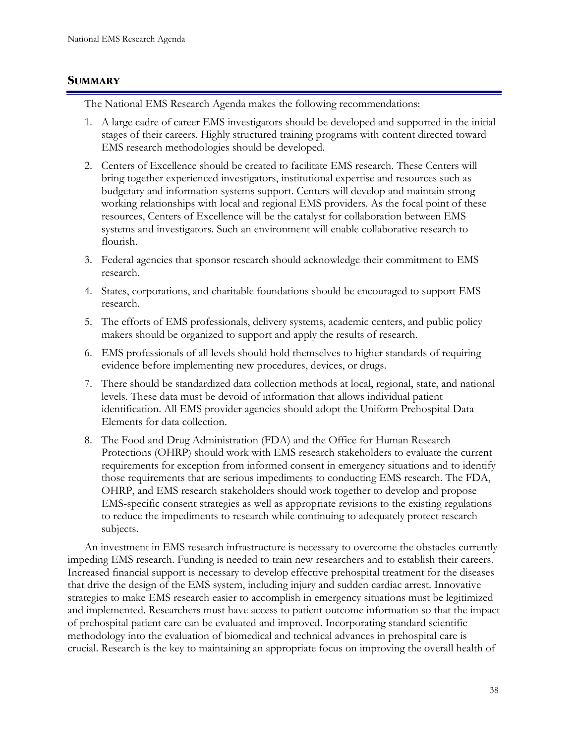# **SUMMARY**

The National EMS Research Agenda makes the following recommendations:

- 1. A large cadre of career EMS investigators should be developed and supported in the initial stages of their careers. Highly structured training programs with content directed toward EMS research methodologies should be developed.
- 2. Centers of Excellence should be created to facilitate EMS research. These Centers will bring together experienced investigators, institutional expertise and resources such as budgetary and information systems support. Centers will develop and maintain strong working relationships with local and regional EMS providers. As the focal point of these resources, Centers of Excellence will be the catalyst for collaboration between EMS systems and investigators. Such an environment will enable collaborative research to flourish.
- 3. Federal agencies that sponsor research should acknowledge their commitment to EMS research.
- 4. States, corporations, and charitable foundations should be encouraged to support EMS research.
- 5. The efforts of EMS professionals, delivery systems, academic centers, and public policy makers should be organized to support and apply the results of research.
- 6. EMS professionals of all levels should hold themselves to higher standards of requiring evidence before implementing new procedures, devices, or drugs.
- 7. There should be standardized data collection methods at local, regional, state, and national levels. These data must be devoid of information that allows individual patient identification. All EMS provider agencies should adopt the Uniform Prehospital Data Elements for data collection.
- 8. The Food and Drug Administration (FDA) and the Office for Human Research Protections (OHRP) should work with EMS research stakeholders to evaluate the current requirements for exception from informed consent in emergency situations and to identify those requirements that are serious impediments to conducting EMS research. The FDA, OHRP, and EMS research stakeholders should work together to develop and propose EMS-specific consent strategies as well as appropriate revisions to the existing regulations to reduce the impediments to research while continuing to adequately protect research subjects.

An investment in EMS research infrastructure is necessary to overcome the obstacles currently impeding EMS research. Funding is needed to train new researchers and to establish their careers. Increased financial support is necessary to develop effective prehospital treatment for the diseases that drive the design of the EMS system, including injury and sudden cardiac arrest. Innovative strategies to make EMS research easier to accomplish in emergency situations must be legitimized and implemented. Researchers must have access to patient outcome information so that the impact of prehospital patient care can be evaluated and improved. Incorporating standard scientific methodology into the evaluation of biomedical and technical advances in prehospital care is crucial. Research is the key to maintaining an appropriate focus on improving the overall health of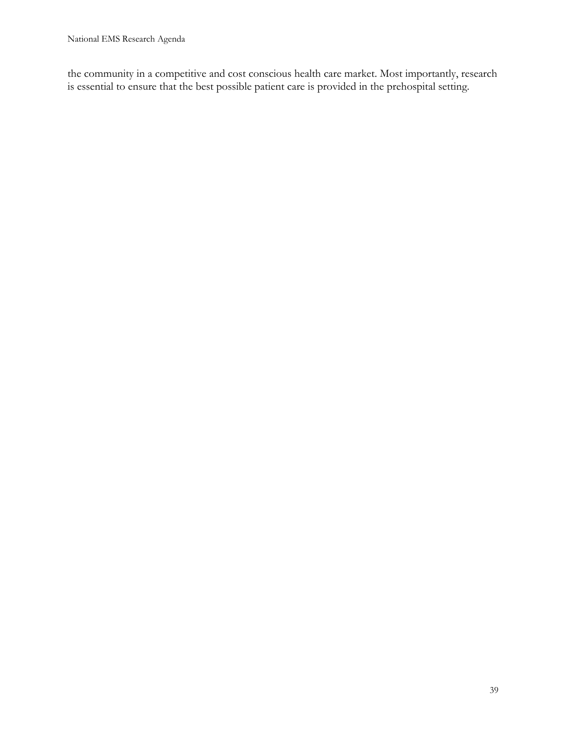the community in a competitive and cost conscious health care market. Most importantly, research is essential to ensure that the best possible patient care is provided in the prehospital setting.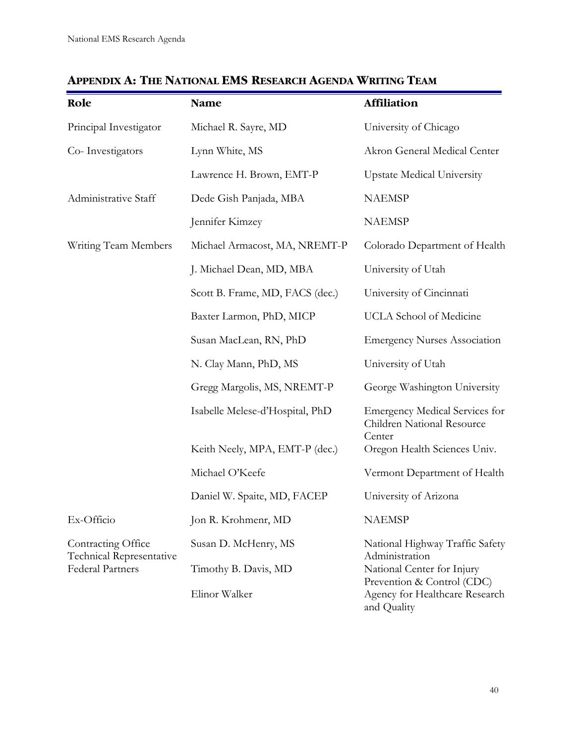| Role                                                  | <b>Name</b>                     | Affiliation                                                                   |
|-------------------------------------------------------|---------------------------------|-------------------------------------------------------------------------------|
| Principal Investigator                                | Michael R. Sayre, MD            | University of Chicago                                                         |
| Co- Investigators                                     | Lynn White, MS                  | Akron General Medical Center                                                  |
|                                                       | Lawrence H. Brown, EMT-P        | <b>Upstate Medical University</b>                                             |
| Administrative Staff                                  | Dede Gish Panjada, MBA          | <b>NAEMSP</b>                                                                 |
|                                                       | Jennifer Kimzey                 | <b>NAEMSP</b>                                                                 |
| Writing Team Members                                  | Michael Armacost, MA, NREMT-P   | Colorado Department of Health                                                 |
|                                                       | J. Michael Dean, MD, MBA        | University of Utah                                                            |
|                                                       | Scott B. Frame, MD, FACS (dec.) | University of Cincinnati                                                      |
|                                                       | Baxter Larmon, PhD, MICP        | UCLA School of Medicine                                                       |
|                                                       | Susan MacLean, RN, PhD          | <b>Emergency Nurses Association</b>                                           |
|                                                       | N. Clay Mann, PhD, MS           | University of Utah                                                            |
|                                                       | Gregg Margolis, MS, NREMT-P     | George Washington University                                                  |
|                                                       | Isabelle Melese-d'Hospital, PhD | <b>Emergency Medical Services for</b><br>Children National Resource<br>Center |
|                                                       | Keith Neely, MPA, EMT-P (dec.)  | Oregon Health Sciences Univ.                                                  |
|                                                       | Michael O'Keefe                 | Vermont Department of Health                                                  |
|                                                       | Daniel W. Spaite, MD, FACEP     | University of Arizona                                                         |
| Ex-Officio                                            | Jon R. Krohmenr, MD             | <b>NAEMSP</b>                                                                 |
| Contracting Office<br><b>Technical Representative</b> | Susan D. McHenry, MS            | National Highway Traffic Safety<br>Administration                             |
| <b>Federal Partners</b>                               | Timothy B. Davis, MD            | National Center for Injury                                                    |
|                                                       | Elinor Walker                   | Prevention & Control (CDC)<br>Agency for Healthcare Research<br>and Quality   |

# **APPENDIX A: THE NATIONAL EMS RESEARCH AGENDA WRITING TEAM**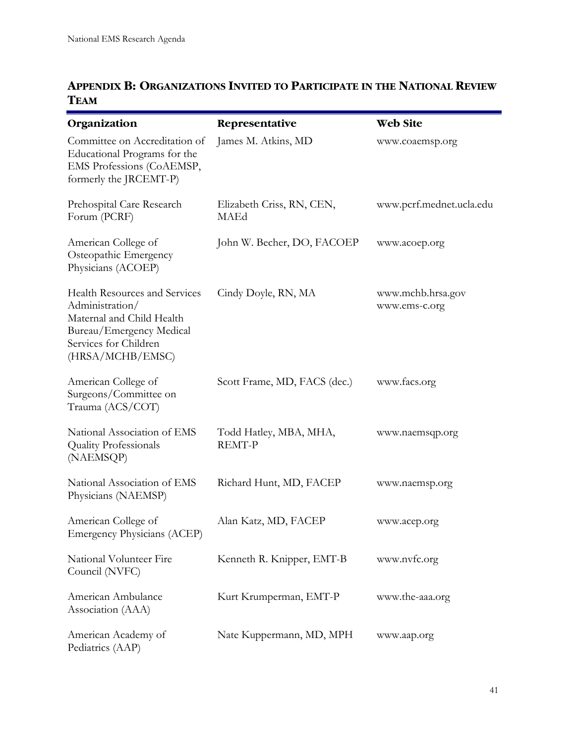# **APPENDIX B: ORGANIZATIONS INVITED TO PARTICIPATE IN THE NATIONAL REVIEW TEAM**

| Organization                                                                                                                                           | Representative                          | <b>Web Site</b>                    |
|--------------------------------------------------------------------------------------------------------------------------------------------------------|-----------------------------------------|------------------------------------|
| Committee on Accreditation of<br>Educational Programs for the<br>EMS Professions (CoAEMSP,<br>formerly the JRCEMT-P)                                   | James M. Atkins, MD                     | www.coaemsp.org                    |
| Prehospital Care Research<br>Forum (PCRF)                                                                                                              | Elizabeth Criss, RN, CEN,<br>MAEd       | www.pcrf.mednet.ucla.edu           |
| American College of<br>Osteopathic Emergency<br>Physicians (ACOEP)                                                                                     | John W. Becher, DO, FACOEP              | www.acoep.org                      |
| Health Resources and Services<br>Administration/<br>Maternal and Child Health<br>Bureau/Emergency Medical<br>Services for Children<br>(HRSA/MCHB/EMSC) | Cindy Doyle, RN, MA                     | www.mchb.hrsa.gov<br>www.ems-c.org |
| American College of<br>Surgeons/Committee on<br>Trauma (ACS/COT)                                                                                       | Scott Frame, MD, FACS (dec.)            | www.facs.org                       |
| National Association of EMS<br><b>Quality Professionals</b><br>(NAEMSQP)                                                                               | Todd Hatley, MBA, MHA,<br><b>REMT-P</b> | www.naemsqp.org                    |
| National Association of EMS<br>Physicians (NAEMSP)                                                                                                     | Richard Hunt, MD, FACEP                 | www.naemsp.org                     |
| American College of<br>Emergency Physicians (ACEP)                                                                                                     | Alan Katz, MD, FACEP                    | www.acep.org                       |
| National Volunteer Fire<br>Council (NVFC)                                                                                                              | Kenneth R. Knipper, EMT-B               | www.nvfc.org                       |
| American Ambulance<br>Association (AAA)                                                                                                                | Kurt Krumperman, EMT-P                  | www.the-aaa.org                    |
| American Academy of<br>Pediatrics (AAP)                                                                                                                | Nate Kuppermann, MD, MPH                | www.aap.org                        |

÷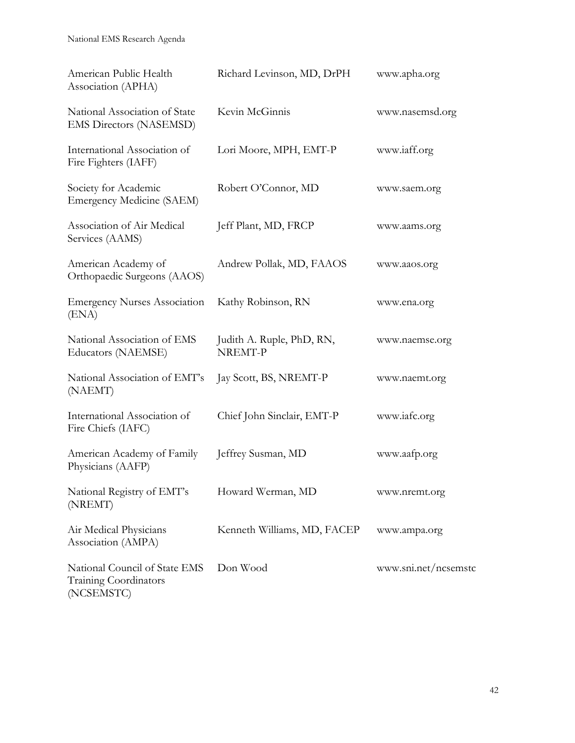| American Public Health<br>Association (APHA)                                | Richard Levinson, MD, DrPH           | www.apha.org         |
|-----------------------------------------------------------------------------|--------------------------------------|----------------------|
| National Association of State<br>EMS Directors (NASEMSD)                    | Kevin McGinnis                       | www.nasemsd.org      |
| International Association of<br>Fire Fighters (IAFF)                        | Lori Moore, MPH, EMT-P               | www.iaff.org         |
| Society for Academic<br>Emergency Medicine (SAEM)                           | Robert O'Connor, MD                  | www.saem.org         |
| Association of Air Medical<br>Services (AAMS)                               | Jeff Plant, MD, FRCP                 | www.aams.org         |
| American Academy of<br>Orthopaedic Surgeons (AAOS)                          | Andrew Pollak, MD, FAAOS             | www.aaos.org         |
| <b>Emergency Nurses Association</b><br>(ENA)                                | Kathy Robinson, RN                   | www.ena.org          |
| National Association of EMS<br>Educators (NAEMSE)                           | Judith A. Ruple, PhD, RN,<br>NREMT-P | www.naemse.org       |
| National Association of EMT's<br>(NAEMT)                                    | Jay Scott, BS, NREMT-P               | www.naemt.org        |
| International Association of<br>Fire Chiefs (IAFC)                          | Chief John Sinclair, EMT-P           | www.iafc.org         |
| American Academy of Family<br>Physicians (AAFP)                             | Jeffrey Susman, MD                   | www.aafp.org         |
| National Registry of EMT's<br>(NREMT)                                       | Howard Werman, MD                    | www.nremt.org        |
| Air Medical Physicians<br>Association (AMPA)                                | Kenneth Williams, MD, FACEP          | www.ampa.org         |
| National Council of State EMS<br><b>Training Coordinators</b><br>(NCSEMSTC) | Don Wood                             | www.sni.net/ncsemstc |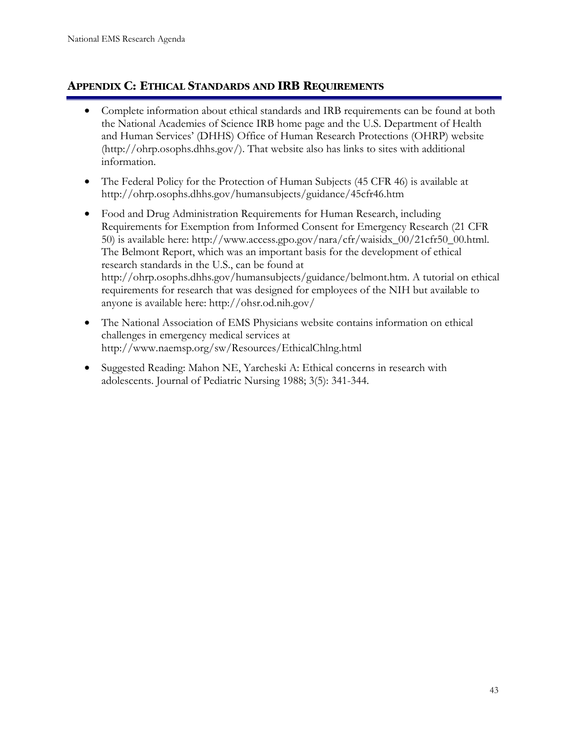# **APPENDIX C: ETHICAL STANDARDS AND IRB REQUIREMENTS**

- Complete information about ethical standards and IRB requirements can be found at both the National Academies of Science IRB home page and the U.S. Department of Health and Human Services' (DHHS) Office of Human Research Protections (OHRP) website (http://ohrp.osophs.dhhs.gov/). That website also has links to sites with additional information.
- The Federal Policy for the Protection of Human Subjects (45 CFR 46) is available at http://ohrp.osophs.dhhs.gov/humansubjects/guidance/45cfr46.htm
- Food and Drug Administration Requirements for Human Research, including Requirements for Exemption from Informed Consent for Emergency Research (21 CFR 50) is available here: http://www.access.gpo.gov/nara/cfr/waisidx\_00/21cfr50\_00.html. The Belmont Report, which was an important basis for the development of ethical research standards in the U.S., can be found at http://ohrp.osophs.dhhs.gov/humansubjects/guidance/belmont.htm. A tutorial on ethical requirements for research that was designed for employees of the NIH but available to anyone is available here: http://ohsr.od.nih.gov/
- The National Association of EMS Physicians website contains information on ethical challenges in emergency medical services at http://www.naemsp.org/sw/Resources/EthicalChlng.html
- Suggested Reading: Mahon NE, Yarcheski A: Ethical concerns in research with adolescents. Journal of Pediatric Nursing 1988; 3(5): 341-344.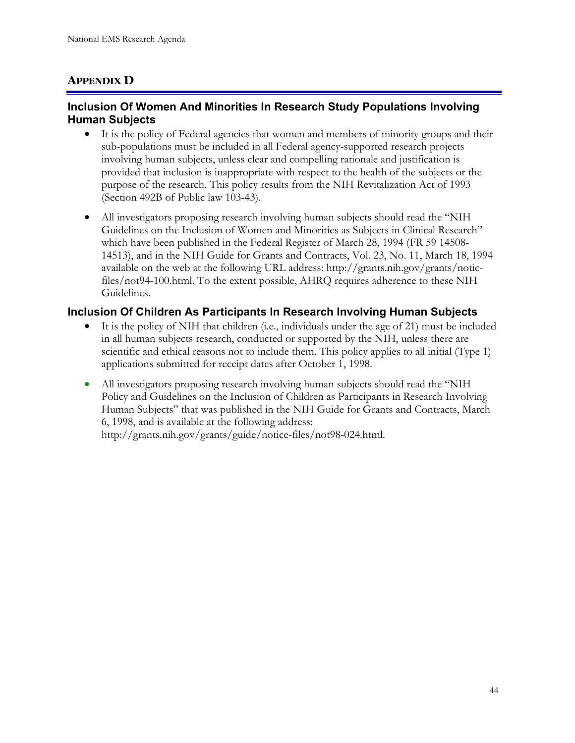# **APPENDIX D**

# **Inclusion Of Women And Minorities In Research Study Populations Involving Human Subjects**

- It is the policy of Federal agencies that women and members of minority groups and their sub-populations must be included in all Federal agency-supported research projects involving human subjects, unless clear and compelling rationale and justification is provided that inclusion is inappropriate with respect to the health of the subjects or the purpose of the research. This policy results from the NIH Revitalization Act of 1993 (Section 492B of Public law 103-43).
- All investigators proposing research involving human subjects should read the "NIH Guidelines on the Inclusion of Women and Minorities as Subjects in Clinical Research" which have been published in the Federal Register of March 28, 1994 (FR 59 14508- 14513), and in the NIH Guide for Grants and Contracts, Vol. 23, No. 11, March 18, 1994 available on the web at the following URL address: http://grants.nih.gov/grants/noticfiles/not94-100.html. To the extent possible, AHRQ requires adherence to these NIH Guidelines.

# **Inclusion Of Children As Participants In Research Involving Human Subjects**

- It is the policy of NIH that children (i.e., individuals under the age of 21) must be included in all human subjects research, conducted or supported by the NIH, unless there are scientific and ethical reasons not to include them. This policy applies to all initial (Type 1) applications submitted for receipt dates after October 1, 1998.
- All investigators proposing research involving human subjects should read the "NIH Policy and Guidelines on the Inclusion of Children as Participants in Research Involving Human Subjects" that was published in the NIH Guide for Grants and Contracts, March 6, 1998, and is available at the following address: http://grants.nih.gov/grants/guide/notice-files/not98-024.html.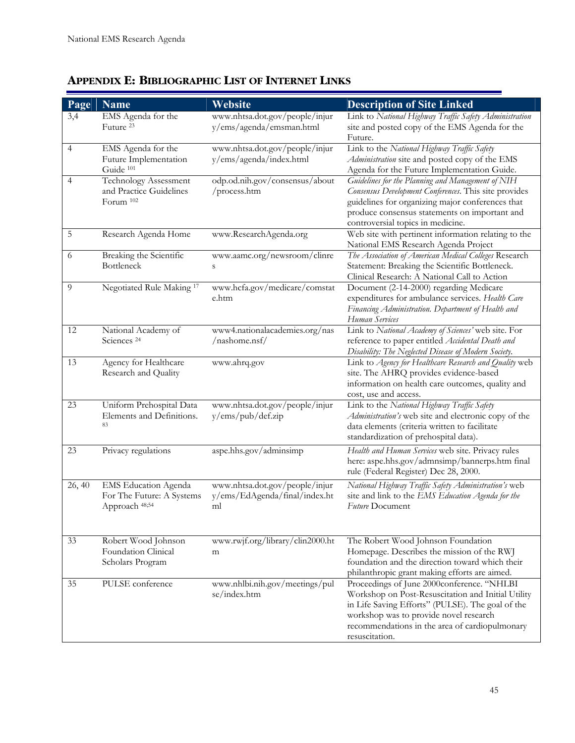| Page   | <b>Name</b>                                                                | Website                                                               | <b>Description of Site Linked</b>                                                                                                                                                                                                                                  |
|--------|----------------------------------------------------------------------------|-----------------------------------------------------------------------|--------------------------------------------------------------------------------------------------------------------------------------------------------------------------------------------------------------------------------------------------------------------|
| 3,4    | EMS Agenda for the<br>Future <sup>23</sup>                                 | www.nhtsa.dot.gov/people/injur<br>y/ems/agenda/emsman.html            | Link to National Highway Traffic Safety Administration<br>site and posted copy of the EMS Agenda for the<br>Future.                                                                                                                                                |
| 4      | EMS Agenda for the<br>Future Implementation<br>Guide 101                   | www.nhtsa.dot.gov/people/injur<br>y/ems/agenda/index.html             | Link to the National Highway Traffic Safety<br>Administration site and posted copy of the EMS<br>Agenda for the Future Implementation Guide.                                                                                                                       |
| 4      | Technology Assessment<br>and Practice Guidelines<br>Forum <sup>102</sup>   | odp.od.nih.gov/consensus/about<br>/process.htm                        | Guidelines for the Planning and Management of NIH<br>Consensus Development Conferences. This site provides<br>guidelines for organizing major conferences that<br>produce consensus statements on important and<br>controversial topics in medicine.               |
| 5      | Research Agenda Home                                                       | www.ResearchAgenda.org                                                | Web site with pertinent information relating to the<br>National EMS Research Agenda Project                                                                                                                                                                        |
| 6      | Breaking the Scientific<br>Bottleneck                                      | www.aamc.org/newsroom/clinre<br>S                                     | The Association of American Medical Colleges Research<br>Statement: Breaking the Scientific Bottleneck.<br>Clinical Research: A National Call to Action                                                                                                            |
| 9      | Negotiated Rule Making <sup>17</sup>                                       | www.hcfa.gov/medicare/comstat<br>e.htm                                | Document (2-14-2000) regarding Medicare<br>expenditures for ambulance services. Health Care<br>Financing Administration. Department of Health and<br>Human Services                                                                                                |
| 12     | National Academy of<br>Sciences <sup>24</sup>                              | www4.nationalacademies.org/nas<br>/nashome.nsf/                       | Link to National Academy of Sciences' web site. For<br>reference to paper entitled Accidental Death and<br>Disability: The Neglected Disease of Modern Society.                                                                                                    |
| 13     | Agency for Healthcare<br>Research and Quality                              | www.ahrq.gov                                                          | Link to Agency for Healthcare Research and Quality web<br>site. The AHRQ provides evidence-based<br>information on health care outcomes, quality and<br>cost, use and access.                                                                                      |
| 23     | Uniform Prehospital Data<br>Elements and Definitions.<br>83                | www.nhtsa.dot.gov/people/injur<br>y/ems/pub/def.zip                   | Link to the National Highway Traffic Safety<br>Administration's web site and electronic copy of the<br>data elements (criteria written to facilitate<br>standardization of prehospital data).                                                                      |
| 23     | Privacy regulations                                                        | aspe.hhs.gov/adminsimp                                                | Health and Human Services web site. Privacy rules<br>here: aspe.hhs.gov/admnsimp/bannerps.htm final<br>rule (Federal Register) Dec 28, 2000.                                                                                                                       |
| 26, 40 | <b>EMS</b> Education Agenda<br>For The Future: A Systems<br>Approach 48;54 | www.nhtsa.dot.gov/people/injur<br>y/ems/EdAgenda/final/index.ht<br>ml | National Highway Traffic Safety Administration's web<br>site and link to the EMS Education Agenda for the<br><b>Future Document</b>                                                                                                                                |
| 33     | Robert Wood Johnson<br>Foundation Clinical<br>Scholars Program             | www.rwjf.org/library/clin2000.ht<br>m                                 | The Robert Wood Johnson Foundation<br>Homepage. Describes the mission of the RWJ<br>foundation and the direction toward which their<br>philanthropic grant making efforts are aimed.                                                                               |
| 35     | PULSE conference                                                           | www.nhlbi.nih.gov/meetings/pul<br>se/index.htm                        | Proceedings of June 2000conference. "NHLBI<br>Workshop on Post-Resuscitation and Initial Utility<br>in Life Saving Efforts" (PULSE). The goal of the<br>workshop was to provide novel research<br>recommendations in the area of cardiopulmonary<br>resuscitation. |

# **APPENDIX E: BIBLIOGRAPHIC LIST OF INTERNET LINKS**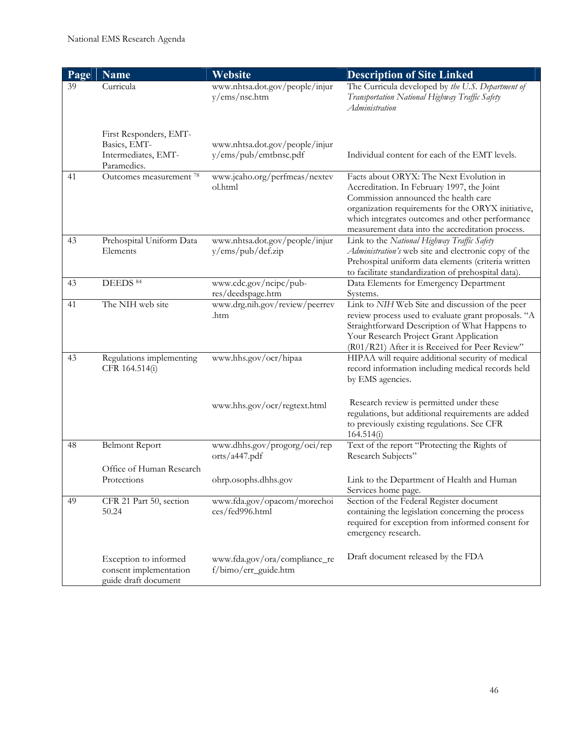| Page | <b>Name</b>                                                                  | Website                                                 | <b>Description of Site Linked</b>                                                                                                                                                                                                                                                          |
|------|------------------------------------------------------------------------------|---------------------------------------------------------|--------------------------------------------------------------------------------------------------------------------------------------------------------------------------------------------------------------------------------------------------------------------------------------------|
| 39   | Curricula                                                                    | www.nhtsa.dot.gov/people/injur<br>y/ems/nsc.htm         | The Curricula developed by the U.S. Department of<br>Transportation National Highway Traffic Safety<br>Administration                                                                                                                                                                      |
|      | First Responders, EMT-<br>Basics, EMT-<br>Intermediates, EMT-<br>Paramedics. | www.nhtsa.dot.gov/people/injur<br>y/ems/pub/emtbnsc.pdf | Individual content for each of the EMT levels.                                                                                                                                                                                                                                             |
| 41   | Outcomes measurement <sup>78</sup>                                           | www.jcaho.org/perfmeas/nextev<br>ol.html                | Facts about ORYX: The Next Evolution in<br>Accreditation. In February 1997, the Joint<br>Commission announced the health care<br>organization requirements for the ORYX initiative,<br>which integrates outcomes and other performance<br>measurement data into the accreditation process. |
| 43   | Prehospital Uniform Data<br>Elements                                         | www.nhtsa.dot.gov/people/injur<br>y/ems/pub/def.zip     | Link to the National Highway Traffic Safety<br>Administration's web site and electronic copy of the<br>Prehospital uniform data elements (criteria written<br>to facilitate standardization of prehospital data).                                                                          |
| 43   | DEEDS <sup>84</sup>                                                          | www.cdc.gov/ncipc/pub-<br>res/deedspage.htm             | Data Elements for Emergency Department<br>Systems.                                                                                                                                                                                                                                         |
| 41   | The NIH web site                                                             | www.drg.nih.gov/review/peerrev<br>.htm                  | Link to NIH Web Site and discussion of the peer<br>review process used to evaluate grant proposals. "A<br>Straightforward Description of What Happens to<br>Your Research Project Grant Application<br>(R01/R21) After it is Received for Peer Review"                                     |
| 43   | Regulations implementing<br>CFR 164.514(i)                                   | www.hhs.gov/ocr/hipaa                                   | HIPAA will require additional security of medical<br>record information including medical records held<br>by EMS agencies.                                                                                                                                                                 |
|      |                                                                              | www.hhs.gov/ocr/regtext.html                            | Research review is permitted under these<br>regulations, but additional requirements are added<br>to previously existing regulations. See CFR<br>164.514(i)                                                                                                                                |
| 48   | <b>Belmont Report</b>                                                        | www.dhhs.gov/progorg/oei/rep<br>orts/a447.pdf           | Text of the report "Protecting the Rights of<br>Research Subjects"                                                                                                                                                                                                                         |
|      | Office of Human Research<br>Protections                                      | ohrp.osophs.dhhs.gov                                    | Link to the Department of Health and Human<br>Services home page.                                                                                                                                                                                                                          |
| 49   | CFR 21 Part 50, section<br>50.24                                             | www.fda.gov/opacom/morechoi<br>ces/fed996.html          | Section of the Federal Register document<br>containing the legislation concerning the process<br>required for exception from informed consent for<br>emergency research.                                                                                                                   |
|      | Exception to informed<br>consent implementation<br>guide draft document      | www.fda.gov/ora/compliance_re<br>f/bimo/err_guide.htm   | Draft document released by the FDA                                                                                                                                                                                                                                                         |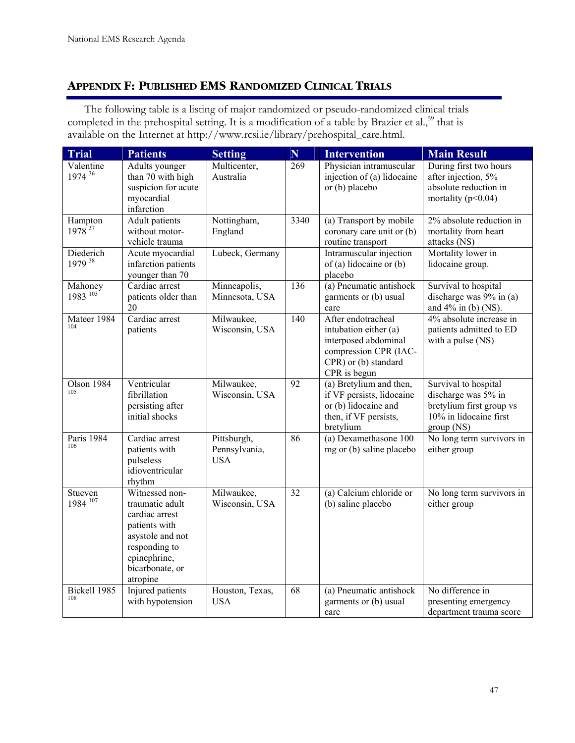# **APPENDIX F: PUBLISHED EMS RANDOMIZED CLINICAL TRIALS**

The following table is a listing of major randomized or pseudo-randomized clinical trials completed in the prehospital setting. It is a modification of a table by Brazier et al.,<sup>59</sup> that is available on the Internet at http://www.rcsi.ie/library/prehospital\_care.html.

| <b>Trial</b>             | <b>Patients</b>                                                                                                                                          | <b>Setting</b>                             | $\mathbf N$ | <b>Intervention</b>                                                                                                                  | <b>Main Result</b>                                                                                              |
|--------------------------|----------------------------------------------------------------------------------------------------------------------------------------------------------|--------------------------------------------|-------------|--------------------------------------------------------------------------------------------------------------------------------------|-----------------------------------------------------------------------------------------------------------------|
| Valentine<br>1974 36     | Adults younger<br>than 70 with high<br>suspicion for acute<br>myocardial<br>infarction                                                                   | Multicenter,<br>Australia                  | 269         | Physician intramuscular<br>injection of (a) lidocaine<br>or (b) placebo                                                              | During first two hours<br>after injection, 5%<br>absolute reduction in<br>mortality ( $p<0.04$ )                |
| Hampton<br>$1978^{37}$   | Adult patients<br>without motor-<br>vehicle trauma                                                                                                       | Nottingham,<br>England                     | 3340        | (a) Transport by mobile<br>coronary care unit or (b)<br>routine transport                                                            | 2% absolute reduction in<br>mortality from heart<br>attacks (NS)                                                |
| Diederich<br>1979 38     | Acute myocardial<br>infarction patients<br>younger than 70                                                                                               | Lubeck, Germany                            |             | Intramuscular injection<br>of (a) lidocaine or $(b)$<br>placebo                                                                      | Mortality lower in<br>lidocaine group.                                                                          |
| Mahoney<br>1983 103      | Cardiac arrest<br>patients older than<br>20                                                                                                              | Minneapolis,<br>Minnesota, USA             | 136         | (a) Pneumatic antishock<br>garments or (b) usual<br>care                                                                             | Survival to hospital<br>discharge was $9\%$ in (a)<br>and $4\%$ in (b) (NS).                                    |
| Mateer 1984<br>104       | Cardiac arrest<br>patients                                                                                                                               | Milwaukee,<br>Wisconsin, USA               | 140         | After endotracheal<br>intubation either (a)<br>interposed abdominal<br>compression CPR (IAC-<br>CPR) or (b) standard<br>CPR is begun | 4% absolute increase in<br>patients admitted to ED<br>with a pulse (NS)                                         |
| <b>Olson 1984</b><br>105 | Ventricular<br>fibrillation<br>persisting after<br>initial shocks                                                                                        | Milwaukee,<br>Wisconsin, USA               | 92          | (a) Bretylium and then,<br>if VF persists, lidocaine<br>or (b) lidocaine and<br>then, if VF persists,<br>bretylium                   | Survival to hospital<br>discharge was 5% in<br>bretylium first group vs<br>10% in lidocaine first<br>group (NS) |
| Paris 1984<br>106        | Cardiac arrest<br>patients with<br>pulseless<br>idioventricular<br>rhythm                                                                                | Pittsburgh,<br>Pennsylvania,<br><b>USA</b> | 86          | (a) Dexamethasone 100<br>mg or (b) saline placebo                                                                                    | No long term survivors in<br>either group                                                                       |
| Stueven<br>1984 107      | Witnessed non-<br>traumatic adult<br>cardiac arrest<br>patients with<br>asystole and not<br>responding to<br>epinephrine,<br>bicarbonate, or<br>atropine | Milwaukee,<br>Wisconsin, USA               | 32          | (a) Calcium chloride or<br>(b) saline placebo                                                                                        | No long term survivors in<br>either group                                                                       |
| Bickell 1985<br>108      | Injured patients<br>with hypotension                                                                                                                     | Houston, Texas,<br><b>USA</b>              | 68          | (a) Pneumatic antishock<br>garments or (b) usual<br>care                                                                             | No difference in<br>presenting emergency<br>department trauma score                                             |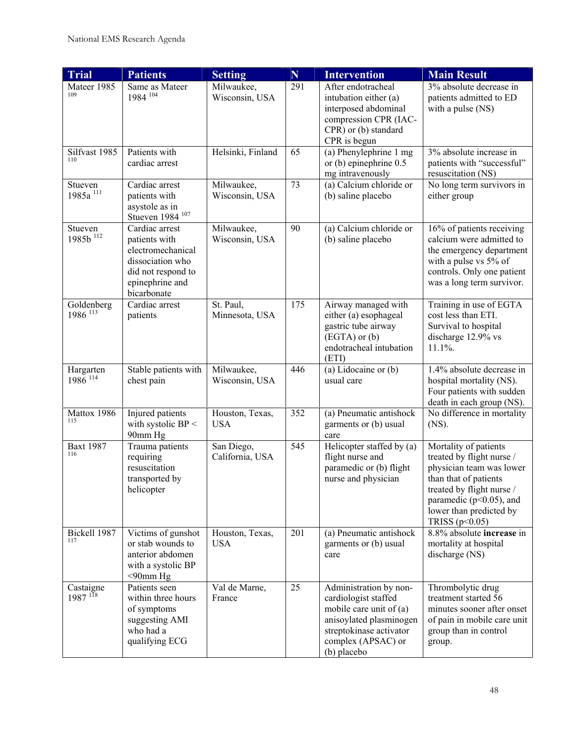| <b>Trial</b>                       | <b>Patients</b>                                                                                                                  | <b>Setting</b>                | N   | <b>Intervention</b>                                                                                                                                                    | <b>Main Result</b>                                                                                                                                                                                                 |
|------------------------------------|----------------------------------------------------------------------------------------------------------------------------------|-------------------------------|-----|------------------------------------------------------------------------------------------------------------------------------------------------------------------------|--------------------------------------------------------------------------------------------------------------------------------------------------------------------------------------------------------------------|
| Mateer 1985<br>109                 | Same as Mateer<br>1984 104                                                                                                       | Milwaukee,<br>Wisconsin, USA  | 291 | After endotracheal<br>intubation either (a)<br>interposed abdominal<br>compression CPR (IAC-<br>CPR) or (b) standard<br>CPR is begun                                   | 3% absolute decrease in<br>patients admitted to ED<br>with a pulse (NS)                                                                                                                                            |
| Silfvast 1985<br>110               | Patients with<br>cardiac arrest                                                                                                  | Helsinki, Finland             | 65  | (a) Phenylephrine 1 mg<br>or (b) epinephrine $0.5$<br>mg intravenously                                                                                                 | 3% absolute increase in<br>patients with "successful"<br>resuscitation (NS)                                                                                                                                        |
| Stueven<br>1985a <sup>111</sup>    | Cardiac arrest<br>patients with<br>asystole as in<br>Stueven 1984 <sup>107</sup>                                                 | Milwaukee,<br>Wisconsin, USA  | 73  | (a) Calcium chloride or<br>(b) saline placebo                                                                                                                          | No long term survivors in<br>either group                                                                                                                                                                          |
| Stueven<br>1985b <sup>112</sup>    | Cardiac arrest<br>patients with<br>electromechanical<br>dissociation who<br>did not respond to<br>epinephrine and<br>bicarbonate | Milwaukee,<br>Wisconsin, USA  | 90  | (a) Calcium chloride or<br>(b) saline placebo                                                                                                                          | 16% of patients receiving<br>calcium were admitted to<br>the emergency department<br>with a pulse vs 5% of<br>controls. Only one patient<br>was a long term survivor.                                              |
| Goldenberg<br>1986 113             | Cardiac arrest<br>patients                                                                                                       | St. Paul,<br>Minnesota, USA   | 175 | Airway managed with<br>either (a) esophageal<br>gastric tube airway<br>$(EGTA)$ or $(b)$<br>endotracheal intubation<br>(ETI)                                           | Training in use of EGTA<br>cost less than ETI.<br>Survival to hospital<br>discharge 12.9% vs<br>$11.1\%$ .                                                                                                         |
| Hargarten<br>1986 <sup>114</sup>   | Stable patients with<br>chest pain                                                                                               | Milwaukee,<br>Wisconsin, USA  | 446 | (a) Lidocaine or $(b)$<br>usual care                                                                                                                                   | 1.4% absolute decrease in<br>hospital mortality (NS).<br>Four patients with sudden<br>death in each group (NS).                                                                                                    |
| Mattox 1986<br>115                 | Injured patients<br>with systolic $BP <$<br>90mm Hg                                                                              | Houston, Texas,<br><b>USA</b> | 352 | (a) Pneumatic antishock<br>garments or (b) usual<br>care                                                                                                               | No difference in mortality<br>(NS).                                                                                                                                                                                |
| <b>Baxt 1987</b><br>116            | Trauma patients<br>requiring<br>resuscitation<br>transported by<br>helicopter                                                    | San Diego,<br>California, USA | 545 | Helicopter staffed by (a)<br>flight nurse and<br>paramedic or (b) flight<br>nurse and physician                                                                        | Mortality of patients<br>treated by flight nurse /<br>physician team was lower<br>than that of patients<br>treated by flight nurse /<br>paramedic ( $p<0.05$ ), and<br>lower than predicted by<br>TRISS $(p<0.05)$ |
| Bickell 1987<br>117                | Victims of gunshot<br>or stab wounds to<br>anterior abdomen<br>with a systolic BP<br>$<$ 90mm Hg                                 | Houston, Texas,<br><b>USA</b> | 201 | (a) Pneumatic antishock<br>garments or (b) usual<br>care                                                                                                               | 8.8% absolute increase in<br>mortality at hospital<br>discharge (NS)                                                                                                                                               |
| Castaigne<br>$1987$ <sup>118</sup> | Patients seen<br>within three hours<br>of symptoms<br>suggesting AMI<br>who had a<br>qualifying ECG                              | Val de Marne,<br>France       | 25  | Administration by non-<br>cardiologist staffed<br>mobile care unit of $(a)$<br>anisoylated plasminogen<br>streptokinase activator<br>complex (APSAC) or<br>(b) placebo | Thrombolytic drug<br>treatment started 56<br>minutes sooner after onset<br>of pain in mobile care unit<br>group than in control<br>group.                                                                          |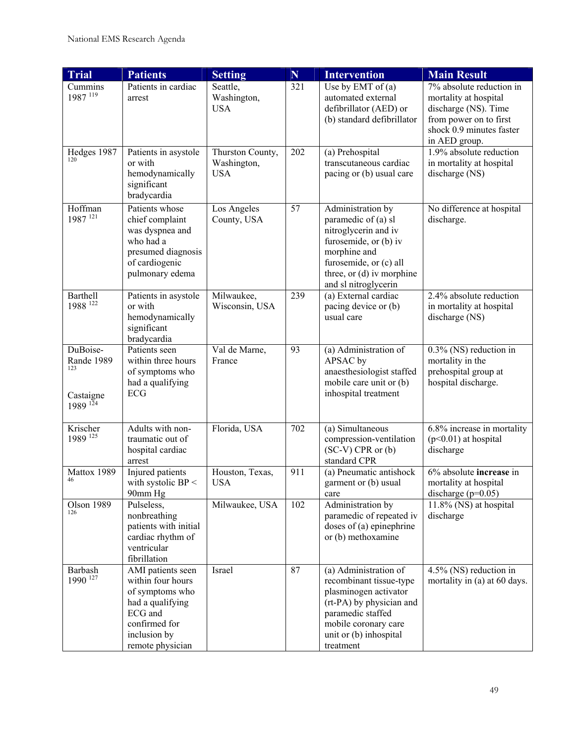| <b>Trial</b>                                                        | <b>Patients</b>                                                                                                                               | <b>Setting</b>                                | N   | <b>Intervention</b>                                                                                                                                                                       | <b>Main Result</b>                                                                                                                               |
|---------------------------------------------------------------------|-----------------------------------------------------------------------------------------------------------------------------------------------|-----------------------------------------------|-----|-------------------------------------------------------------------------------------------------------------------------------------------------------------------------------------------|--------------------------------------------------------------------------------------------------------------------------------------------------|
| Cummins<br>1987 119                                                 | Patients in cardiac<br>arrest                                                                                                                 | Seattle,<br>Washington,<br><b>USA</b>         | 321 | Use by EMT of $(a)$<br>automated external<br>defibrillator (AED) or<br>(b) standard defibrillator                                                                                         | 7% absolute reduction in<br>mortality at hospital<br>discharge (NS). Time<br>from power on to first<br>shock 0.9 minutes faster<br>in AED group. |
| Hedges 1987<br>120                                                  | Patients in asystole<br>or with<br>hemodynamically<br>significant<br>bradycardia                                                              | Thurston County,<br>Washington,<br><b>USA</b> | 202 | (a) Prehospital<br>transcutaneous cardiac<br>pacing or (b) usual care                                                                                                                     | 1.9% absolute reduction<br>in mortality at hospital<br>discharge (NS)                                                                            |
| Hoffman<br>1987 <sup>121</sup>                                      | Patients whose<br>chief complaint<br>was dyspnea and<br>who had a<br>presumed diagnosis<br>of cardiogenic<br>pulmonary edema                  | Los Angeles<br>County, USA                    | 57  | Administration by<br>paramedic of (a) sl<br>nitroglycerin and iv<br>furosemide, or (b) iv<br>morphine and<br>furosemide, or (c) all<br>three, or (d) iv morphine<br>and sl nitroglycerin  | No difference at hospital<br>discharge.                                                                                                          |
| <b>Barthell</b><br>1988 <sup>122</sup>                              | Patients in asystole<br>or with<br>hemodynamically<br>significant<br>bradycardia                                                              | Milwaukee,<br>Wisconsin, USA                  | 239 | (a) External cardiac<br>pacing device or (b)<br>usual care                                                                                                                                | 2.4% absolute reduction<br>in mortality at hospital<br>discharge (NS)                                                                            |
| DuBoise-<br>Rande 1989<br>123<br>Castaigne<br>$1989$ <sup>124</sup> | Patients seen<br>within three hours<br>of symptoms who<br>had a qualifying<br>ECG                                                             | Val de Marne,<br>France                       | 93  | (a) Administration of<br>APSAC by<br>anaesthesiologist staffed<br>mobile care unit or (b)<br>inhospital treatment                                                                         | 0.3% (NS) reduction in<br>mortality in the<br>prehospital group at<br>hospital discharge.                                                        |
| Krischer<br>1989 125                                                | Adults with non-<br>traumatic out of<br>hospital cardiac<br>arrest                                                                            | Florida, USA                                  | 702 | (a) Simultaneous<br>compression-ventilation<br>$(SC-V)$ CPR or $(b)$<br>standard CPR                                                                                                      | 6.8% increase in mortality<br>$(p<0.01)$ at hospital<br>discharge                                                                                |
| Mattox 1989<br>46                                                   | Injured patients<br>with systolic $BP <$<br>90mm Hg                                                                                           | Houston, Texas,<br><b>USA</b>                 | 911 | (a) Pneumatic antishock<br>garment or (b) usual<br>care                                                                                                                                   | 6% absolute increase in<br>mortality at hospital<br>discharge $(p=0.05)$                                                                         |
| <b>Olson 1989</b><br>126                                            | Pulseless,<br>nonbreathing<br>patients with initial<br>cardiac rhythm of<br>ventricular<br>fibrillation                                       | Milwaukee, USA                                | 102 | Administration by<br>paramedic of repeated iv<br>doses of (a) epinephrine<br>or (b) methoxamine                                                                                           | 11.8% (NS) at hospital<br>discharge                                                                                                              |
| Barbash<br>1990 127                                                 | AMI patients seen<br>within four hours<br>of symptoms who<br>had a qualifying<br>ECG and<br>confirmed for<br>inclusion by<br>remote physician | Israel                                        | 87  | (a) Administration of<br>recombinant tissue-type<br>plasminogen activator<br>(rt-PA) by physician and<br>paramedic staffed<br>mobile coronary care<br>unit or (b) inhospital<br>treatment | 4.5% (NS) reduction in<br>mortality in (a) at 60 days.                                                                                           |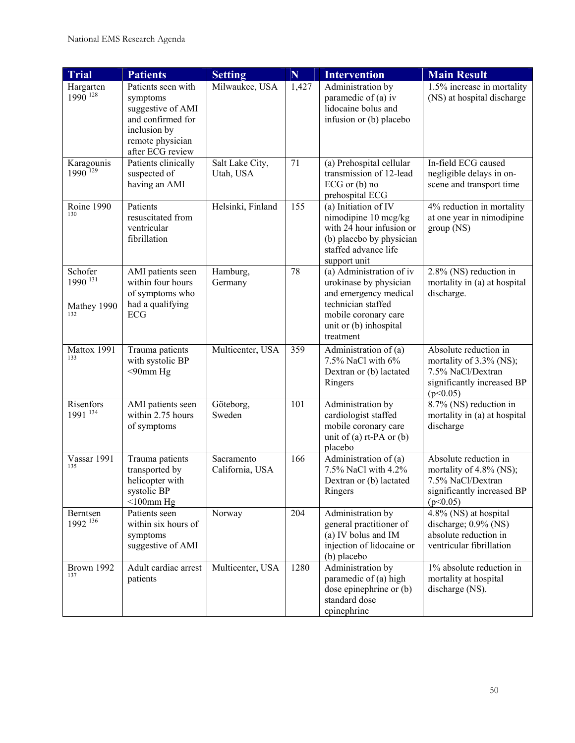| <b>Trial</b>                                     | <b>Patients</b>                                                                                                                  | <b>Setting</b>                | N     | <b>Intervention</b>                                                                                                                                              | <b>Main Result</b>                                                                                              |
|--------------------------------------------------|----------------------------------------------------------------------------------------------------------------------------------|-------------------------------|-------|------------------------------------------------------------------------------------------------------------------------------------------------------------------|-----------------------------------------------------------------------------------------------------------------|
| Hargarten<br>$1990^{128}$                        | Patients seen with<br>symptoms<br>suggestive of AMI<br>and confirmed for<br>inclusion by<br>remote physician<br>after ECG review | Milwaukee, USA                | 1,427 | Administration by<br>paramedic of (a) iv<br>lidocaine bolus and<br>infusion or (b) placebo                                                                       | 1.5% increase in mortality<br>(NS) at hospital discharge                                                        |
| Karagounis<br>$1990$ <sup><math>129</math></sup> | Patients clinically<br>suspected of<br>having an AMI                                                                             | Salt Lake City,<br>Utah, USA  | 71    | (a) Prehospital cellular<br>transmission of 12-lead<br>ECG or $(b)$ no<br>prehospital ECG                                                                        | In-field ECG caused<br>negligible delays in on-<br>scene and transport time                                     |
| Roine 1990<br>130                                | Patients<br>resuscitated from<br>ventricular<br>fibrillation                                                                     | Helsinki, Finland             | 155   | (a) Initiation of IV<br>nimodipine 10 mcg/kg<br>with 24 hour infusion or<br>(b) placebo by physician<br>staffed advance life<br>support unit                     | 4% reduction in mortality<br>at one year in nimodipine<br>group (NS)                                            |
| Schofer<br>1990 131<br>Mathey 1990<br>132        | AMI patients seen<br>within four hours<br>of symptoms who<br>had a qualifying<br>ECG                                             | Hamburg,<br>Germany           | 78    | (a) Administration of iv<br>urokinase by physician<br>and emergency medical<br>technician staffed<br>mobile coronary care<br>unit or (b) inhospital<br>treatment | 2.8% (NS) reduction in<br>mortality in (a) at hospital<br>discharge.                                            |
| Mattox 1991<br>133                               | Trauma patients<br>with systolic BP<br>$<$ 90mm Hg                                                                               | Multicenter, USA              | 359   | Administration of (a)<br>7.5% NaCl with 6%<br>Dextran or (b) lactated<br>Ringers                                                                                 | Absolute reduction in<br>mortality of 3.3% (NS);<br>7.5% NaCl/Dextran<br>significantly increased BP<br>(p<0.05) |
| Risenfors<br>1991 134                            | AMI patients seen<br>within 2.75 hours<br>of symptoms                                                                            | Göteborg,<br>Sweden           | 101   | Administration by<br>cardiologist staffed<br>mobile coronary care<br>unit of (a) $rt$ -PA or (b)<br>placebo                                                      | 8.7% (NS) reduction in<br>mortality in (a) at hospital<br>discharge                                             |
| Vassar 1991<br>135                               | Trauma patients<br>transported by<br>helicopter with<br>systolic BP<br>$\leq 100$ mm Hg                                          | Sacramento<br>California, USA | 166   | Administration of (a)<br>7.5% NaCl with 4.2%<br>Dextran or (b) lactated<br>Ringers                                                                               | Absolute reduction in<br>mortality of 4.8% (NS);<br>7.5% NaCl/Dextran<br>significantly increased BP<br>(p<0.05) |
| Berntsen<br>1992 136                             | Patients seen<br>within six hours of<br>symptoms<br>suggestive of AMI                                                            | Norway                        | 204   | Administration by<br>general practitioner of<br>(a) IV bolus and IM<br>injection of lidocaine or<br>(b) placebo                                                  | 4.8% (NS) at hospital<br>discharge; 0.9% (NS)<br>absolute reduction in<br>ventricular fibrillation              |
| Brown 1992<br>137                                | Adult cardiac arrest<br>patients                                                                                                 | Multicenter, USA              | 1280  | Administration by<br>paramedic of (a) high<br>dose epinephrine or (b)<br>standard dose<br>epinephrine                                                            | 1% absolute reduction in<br>mortality at hospital<br>discharge (NS).                                            |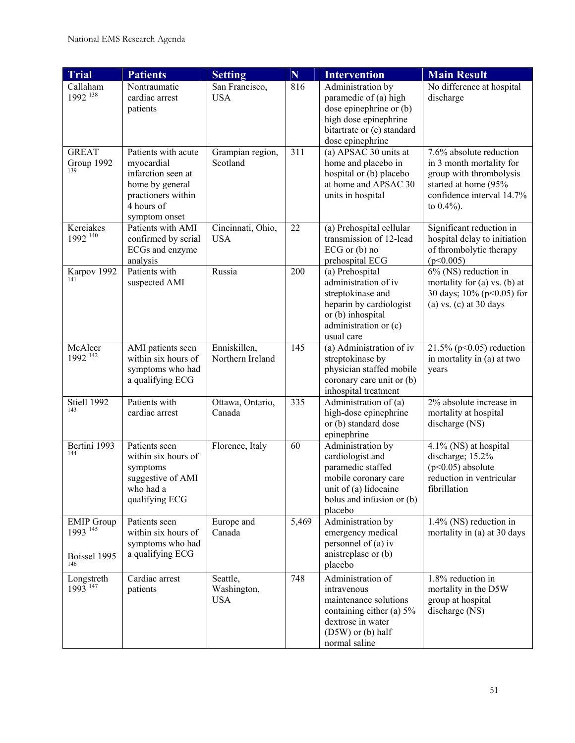| Trial                                                | <b>Patients</b>                                                                                                                 | <b>Setting</b>                        | N     | <b>Intervention</b>                                                                                                                                  | <b>Main Result</b>                                                                                                                                   |
|------------------------------------------------------|---------------------------------------------------------------------------------------------------------------------------------|---------------------------------------|-------|------------------------------------------------------------------------------------------------------------------------------------------------------|------------------------------------------------------------------------------------------------------------------------------------------------------|
| Callaham<br>1992 138                                 | Nontraumatic<br>cardiac arrest<br>patients                                                                                      | San Francisco,<br><b>USA</b>          | 816   | Administration by<br>paramedic of (a) high<br>dose epinephrine or (b)<br>high dose epinephrine<br>bitartrate or (c) standard<br>dose epinephrine     | No difference at hospital<br>discharge                                                                                                               |
| <b>GREAT</b><br>Group 1992                           | Patients with acute<br>myocardial<br>infarction seen at<br>home by general<br>practioners within<br>4 hours of<br>symptom onset | Grampian region,<br>Scotland          | 311   | (a) APSAC 30 units at<br>home and placebo in<br>hospital or (b) placebo<br>at home and APSAC 30<br>units in hospital                                 | 7.6% absolute reduction<br>in 3 month mortality for<br>group with thrombolysis<br>started at home (95%<br>confidence interval 14.7%<br>to $0.4\%$ ). |
| Kereiakes<br>1992 140                                | Patients with AMI<br>confirmed by serial<br>ECGs and enzyme<br>analysis                                                         | Cincinnati, Ohio,<br><b>USA</b>       | 22    | (a) Prehospital cellular<br>transmission of 12-lead<br>ECG or $(b)$ no<br>prehospital ECG                                                            | Significant reduction in<br>hospital delay to initiation<br>of thrombolytic therapy<br>(p<0.005)                                                     |
| Karpov 1992<br>141                                   | Patients with<br>suspected AMI                                                                                                  | Russia                                | 200   | (a) Prehospital<br>administration of iv<br>streptokinase and<br>heparin by cardiologist<br>or (b) inhospital<br>administration or (c)<br>usual care  | $6\%$ (NS) reduction in<br>mortality for $(a)$ vs. $(b)$ at<br>30 days; $10\%$ (p < 0.05) for<br>(a) vs. $(c)$ at 30 days                            |
| McAleer<br>1992 142                                  | AMI patients seen<br>within six hours of<br>symptoms who had<br>a qualifying ECG                                                | Enniskillen,<br>Northern Ireland      | 145   | (a) Administration of iv<br>streptokinase by<br>physician staffed mobile<br>coronary care unit or (b)<br>inhospital treatment                        | 21.5% ( $p<0.05$ ) reduction<br>in mortality in (a) at two<br>years                                                                                  |
| Stiell $19\overline{92}$<br>143                      | Patients with<br>cardiac arrest                                                                                                 | Ottawa, Ontario,<br>Canada            | 335   | Administration of (a)<br>high-dose epinephrine<br>or (b) standard dose<br>epinephrine                                                                | 2% absolute increase in<br>mortality at hospital<br>discharge (NS)                                                                                   |
| Bertini 1993<br>144                                  | Patients seen<br>within six hours of<br>symptoms<br>suggestive of AMI<br>who had a<br>qualifying ECG                            | Florence, Italy                       | 60    | Administration by<br>cardiologist and<br>paramedic staffed<br>mobile coronary care<br>unit of (a) lidocaine<br>bolus and infusion or (b)<br>placebo  | 4.1% (NS) at hospital<br>discharge; 15.2%<br>$(p<0.05)$ absolute<br>reduction in ventricular<br>fibrillation                                         |
| <b>EMIP Group</b><br>1993 145<br>Boissel 1995<br>146 | Patients seen<br>within six hours of<br>symptoms who had<br>a qualifying ECG                                                    | Europe and<br>Canada                  | 5,469 | Administration by<br>emergency medical<br>personnel of (a) iv<br>anistreplase or (b)<br>placebo                                                      | $1.4\%$ (NS) reduction in<br>mortality in (a) at 30 days                                                                                             |
| Longstreth<br>$1993^{147}$                           | Cardiac arrest<br>patients                                                                                                      | Seattle,<br>Washington,<br><b>USA</b> | 748   | Administration of<br>intravenous<br>maintenance solutions<br>containing either (a) 5%<br>dextrose in water<br>$(D5W)$ or $(b)$ half<br>normal saline | 1.8% reduction in<br>mortality in the D5W<br>group at hospital<br>discharge (NS)                                                                     |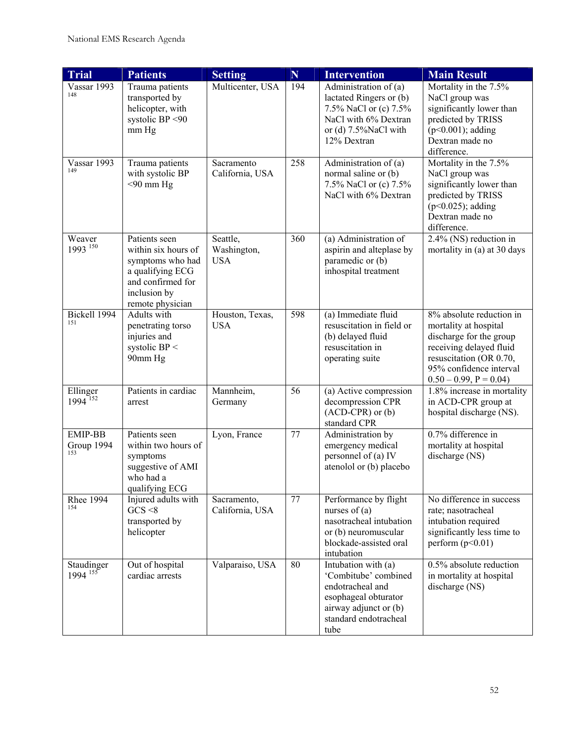| <b>Trial</b>                        | <b>Patients</b>                                                                                                                       | <b>Setting</b>                        | N   | <b>Intervention</b>                                                                                                                               | <b>Main Result</b>                                                                                                                                                                            |
|-------------------------------------|---------------------------------------------------------------------------------------------------------------------------------------|---------------------------------------|-----|---------------------------------------------------------------------------------------------------------------------------------------------------|-----------------------------------------------------------------------------------------------------------------------------------------------------------------------------------------------|
| Vassar 1993<br>148                  | Trauma patients<br>transported by<br>helicopter, with<br>systolic BP <90<br>mm Hg                                                     | Multicenter, USA                      | 194 | Administration of (a)<br>lactated Ringers or (b)<br>7.5% NaCl or (c) 7.5%<br>NaCl with 6% Dextran<br>or (d) $7.5\%$ NaCl with<br>12% Dextran      | Mortality in the $\overline{7.5\%}$<br>NaCl group was<br>significantly lower than<br>predicted by TRISS<br>$(p<0.001)$ ; adding<br>Dextran made no<br>difference.                             |
| Vassar 1993<br>149                  | Trauma patients<br>with systolic BP<br>$<$ 90 mm Hg                                                                                   | Sacramento<br>California, USA         | 258 | Administration of (a)<br>normal saline or (b)<br>7.5% NaCl or (c) 7.5%<br>NaCl with 6% Dextran                                                    | Mortality in the 7.5%<br>NaCl group was<br>significantly lower than<br>predicted by TRISS<br>$(p<0.025)$ ; adding<br>Dextran made no<br>difference.                                           |
| Weaver<br>1993 150                  | Patients seen<br>within six hours of<br>symptoms who had<br>a qualifying ECG<br>and confirmed for<br>inclusion by<br>remote physician | Seattle,<br>Washington,<br><b>USA</b> | 360 | (a) Administration of<br>aspirin and alteplase by<br>paramedic or (b)<br>inhospital treatment                                                     | 2.4% (NS) reduction in<br>mortality in (a) at 30 days                                                                                                                                         |
| Bickell 1994<br>151                 | Adults with<br>penetrating torso<br>injuries and<br>systolic $BP <$<br>90mm Hg                                                        | Houston, Texas,<br><b>USA</b>         | 598 | (a) Immediate fluid<br>resuscitation in field or<br>(b) delayed fluid<br>resuscitation in<br>operating suite                                      | 8% absolute reduction in<br>mortality at hospital<br>discharge for the group<br>receiving delayed fluid<br>resuscitation (OR 0.70,<br>95% confidence interval<br>$0.50 - 0.99$ , $P = 0.04$ ) |
| Ellinger<br>1994 <sup>152</sup>     | Patients in cardiac<br>arrest                                                                                                         | Mannheim,<br>Germany                  | 56  | (a) Active compression<br>decompression CPR<br>$(ACD-CPR)$ or $(b)$<br>standard CPR                                                               | 1.8% increase in mortality<br>in ACD-CPR group at<br>hospital discharge (NS).                                                                                                                 |
| <b>EMIP-BB</b><br>Group 1994<br>153 | Patients seen<br>within two hours of<br>symptoms<br>suggestive of AMI<br>who had a<br>qualifying ECG                                  | Lyon, France                          | 77  | Administration by<br>emergency medical<br>personnel of (a) IV<br>atenolol or (b) placebo                                                          | 0.7% difference in<br>mortality at hospital<br>discharge (NS)                                                                                                                                 |
| <b>Rhee 1994</b><br>154             | Injured adults with<br>GCS < 8<br>transported by<br>helicopter                                                                        | Sacramento,<br>California, USA        | 77  | Performance by flight<br>nurses of $(a)$<br>nasotracheal intubation<br>or (b) neuromuscular<br>blockade-assisted oral<br>intubation               | No difference in success<br>rate; nasotracheal<br>intubation required<br>significantly less time to<br>perform $(p<0.01)$                                                                     |
| Staudinger<br>$1994^{155}$          | Out of hospital<br>cardiac arrests                                                                                                    | Valparaiso, USA                       | 80  | Intubation with (a)<br>'Combitube' combined<br>endotracheal and<br>esophageal obturator<br>airway adjunct or (b)<br>standard endotracheal<br>tube | 0.5% absolute reduction<br>in mortality at hospital<br>discharge (NS)                                                                                                                         |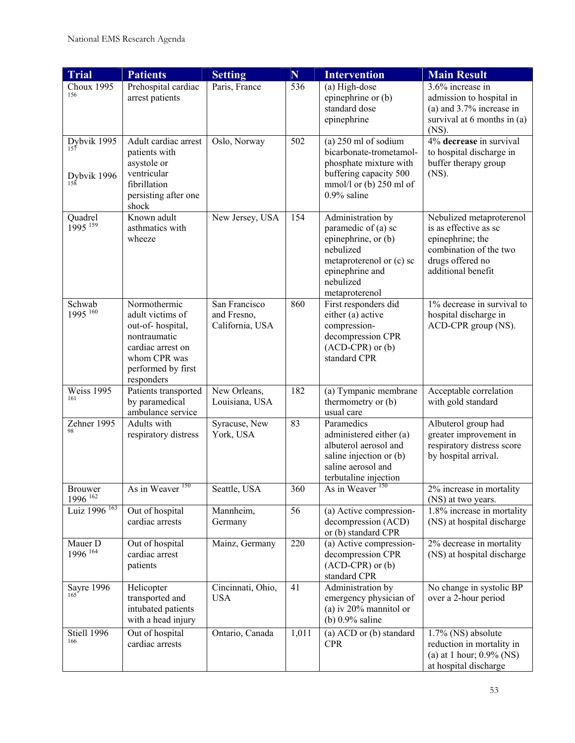| <b>Trial</b>                              | <b>Patients</b>                                                                                                                               | <b>Setting</b>                                  | $\mathbf N$      | <b>Intervention</b>                                                                                                                                        | <b>Main Result</b>                                                                                                                        |
|-------------------------------------------|-----------------------------------------------------------------------------------------------------------------------------------------------|-------------------------------------------------|------------------|------------------------------------------------------------------------------------------------------------------------------------------------------------|-------------------------------------------------------------------------------------------------------------------------------------------|
| <b>Choux 1995</b><br>156                  | Prehospital cardiac<br>arrest patients                                                                                                        | Paris, France                                   | 536              | (a) High-dose<br>epinephrine or (b)<br>standard dose<br>epinephrine                                                                                        | $3.6\%$ increase in<br>admission to hospital in<br>(a) and $3.7\%$ increase in<br>survival at 6 months in (a)<br>(NS).                    |
| Dybvik 1995<br>Dybvik 1996<br>$15\bar{8}$ | Adult cardiac arrest<br>patients with<br>asystole or<br>ventricular<br>fibrillation<br>persisting after one<br>shock                          | Oslo, Norway                                    | 502              | $(a)$ 250 ml of sodium<br>bicarbonate-trometamol-<br>phosphate mixture with<br>buffering capacity 500<br>mmol/l or (b) 250 ml of<br>$0.9\%$ saline         | 4% decrease in survival<br>to hospital discharge in<br>buffer therapy group<br>(NS).                                                      |
| Quadrel<br>1995 159                       | Known adult<br>asthmatics with<br>wheeze                                                                                                      | New Jersey, USA                                 | 154              | Administration by<br>paramedic of (a) sc<br>epinephrine, or (b)<br>nebulized<br>metaproterenol or (c) sc<br>epinephrine and<br>nebulized<br>metaproterenol | Nebulized metaproterenol<br>is as effective as sc<br>epinephrine; the<br>combination of the two<br>drugs offered no<br>additional benefit |
| Schwab<br>1995 160                        | Normothermic<br>adult victims of<br>out-of-hospital,<br>nontraumatic<br>cardiac arrest on<br>whom CPR was<br>performed by first<br>responders | San Francisco<br>and Fresno,<br>California, USA | 860              | First responders did<br>either (a) active<br>compression-<br>decompression CPR<br>$(ACD-CPR)$ or $(b)$<br>standard CPR                                     | 1% decrease in survival to<br>hospital discharge in<br>ACD-CPR group (NS).                                                                |
| <b>Weiss 1995</b><br>161                  | Patients transported<br>by paramedical<br>ambulance service                                                                                   | New Orleans,<br>Louisiana, USA                  | 182              | (a) Tympanic membrane<br>thermometry or (b)<br>usual care                                                                                                  | Acceptable correlation<br>with gold standard                                                                                              |
| Zehner 1995                               | <b>Adults</b> with<br>respiratory distress                                                                                                    | Syracuse, New<br>York, USA                      | 83               | Paramedics<br>administered either (a)<br>albuterol aerosol and<br>saline injection or (b)<br>saline aerosol and<br>terbutaline injection                   | Albuterol group had<br>greater improvement in<br>respiratory distress score<br>by hospital arrival.                                       |
| <b>Brouwer</b><br>1996 162                | 150<br>As in Weaver                                                                                                                           | Seattle, USA                                    | 360              | 150<br>As in Weaver                                                                                                                                        | $2\%$ increase in mortality<br>(NS) at two years.                                                                                         |
| Luiz 1996 <sup>163</sup>                  | Out of hospital<br>cardiac arrests                                                                                                            | Mannheim,<br>Germany                            | 56               | (a) Active compression-<br>decompression (ACD)<br>or (b) standard CPR                                                                                      | 1.8% increase in mortality<br>(NS) at hospital discharge                                                                                  |
| Mauer D<br>1996 164                       | Out of hospital<br>cardiac arrest<br>patients                                                                                                 | Mainz, Germany                                  | $\overline{220}$ | (a) Active compression-<br>decompression CPR<br>$(ACD-CPR)$ or $(b)$<br>standard CPR                                                                       | 2% decrease in mortality<br>(NS) at hospital discharge                                                                                    |
| Sayre 1996<br>165                         | Helicopter<br>transported and<br>intubated patients<br>with a head injury                                                                     | Cincinnati, Ohio,<br><b>USA</b>                 | 41               | Administration by<br>emergency physician of<br>(a) iv $20\%$ mannitol or<br>(b) $0.9\%$ saline                                                             | No change in systolic BP<br>over a 2-hour period                                                                                          |
| Stiell 1996<br>166                        | Out of hospital<br>cardiac arrests                                                                                                            | Ontario, Canada                                 | 1,011            | (a) ACD or (b) standard<br><b>CPR</b>                                                                                                                      | 1.7% (NS) absolute<br>reduction in mortality in<br>(a) at 1 hour; $0.9\%$ (NS)<br>at hospital discharge                                   |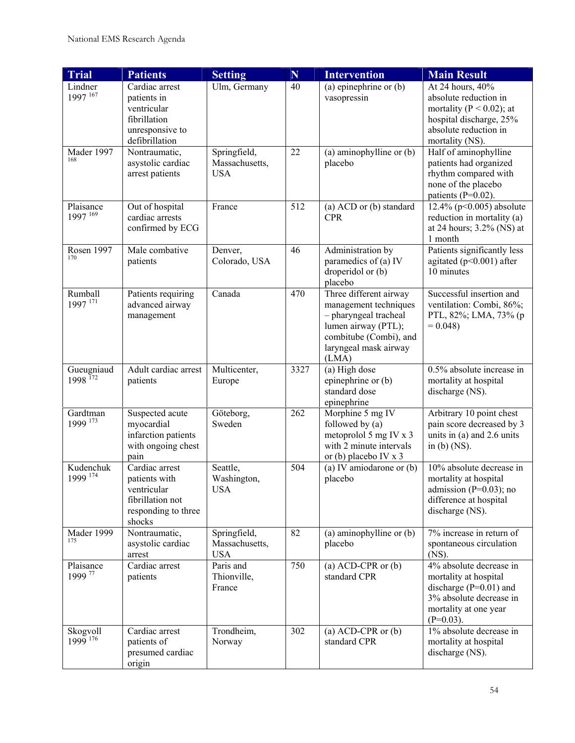| <b>Trial</b>             | <b>Patients</b>                                                                                     | <b>Setting</b>                               | N    | <b>Intervention</b>                                                                                                                                         | <b>Main Result</b>                                                                                                                               |
|--------------------------|-----------------------------------------------------------------------------------------------------|----------------------------------------------|------|-------------------------------------------------------------------------------------------------------------------------------------------------------------|--------------------------------------------------------------------------------------------------------------------------------------------------|
| Lindner<br>1997 167      | Cardiac arrest<br>patients in<br>ventricular<br>fibrillation<br>unresponsive to<br>defibrillation   | Ulm, Germany                                 | 40   | (a) epinephrine or $\overline{(b)}$<br>vasopressin                                                                                                          | At 24 hours, 40%<br>absolute reduction in<br>mortality ( $P < 0.02$ ); at<br>hospital discharge, 25%<br>absolute reduction in<br>mortality (NS). |
| Mader 1997<br>168        | Nontraumatic,<br>asystolic cardiac<br>arrest patients                                               | Springfield,<br>Massachusetts,<br><b>USA</b> | 22   | (a) aminophylline or (b)<br>placebo                                                                                                                         | Half of aminophylline<br>patients had organized<br>rhythm compared with<br>none of the placebo<br>patients ( $P=0.02$ ).                         |
| Plaisance<br>1997 169    | Out of hospital<br>cardiac arrests<br>confirmed by ECG                                              | France                                       | 512  | (a) ACD or (b) standard<br><b>CPR</b>                                                                                                                       | 12.4% ( $p<0.005$ ) absolute<br>reduction in mortality (a)<br>at 24 hours; $3.2\%$ (NS) at<br>1 month                                            |
| <b>Rosen 1997</b><br>170 | Male combative<br>patients                                                                          | Denver,<br>Colorado, USA                     | 46   | Administration by<br>paramedics of (a) IV<br>droperidol or (b)<br>placebo                                                                                   | Patients significantly less<br>agitated ( $p<0.001$ ) after<br>10 minutes                                                                        |
| Rumball<br>1997 171      | Patients requiring<br>advanced airway<br>management                                                 | Canada                                       | 470  | Three different airway<br>management techniques<br>- pharyngeal tracheal<br>lumen airway (PTL);<br>combitube (Combi), and<br>laryngeal mask airway<br>(LMA) | Successful insertion and<br>ventilation: Combi, 86%;<br>PTL, 82%; LMA, 73% (p<br>$= 0.048$                                                       |
| Gueugniaud<br>1998 172   | Adult cardiac arrest<br>patients                                                                    | Multicenter,<br>Europe                       | 3327 | (a) High dose<br>epinephrine or (b)<br>standard dose<br>epinephrine                                                                                         | 0.5% absolute increase in<br>mortality at hospital<br>discharge (NS).                                                                            |
| Gardtman<br>1999 173     | Suspected acute<br>myocardial<br>infarction patients<br>with ongoing chest<br>pain                  | Göteborg,<br>Sweden                          | 262  | Morphine 5 mg IV<br>followed by (a)<br>metoprolol 5 mg IV x 3<br>with 2 minute intervals<br>or (b) placebo IV x 3                                           | Arbitrary 10 point chest<br>pain score decreased by 3<br>units in (a) and $2.6$ units<br>in $(b)$ (NS).                                          |
| Kudenchuk<br>1999 174    | Cardiac arrest<br>patients with<br>ventricular<br>fibrillation not<br>responding to three<br>shocks | Seattle,<br>Washington,<br>USA               | 504  | (a) IV amiodarone or $(b)$<br>placebo                                                                                                                       | 10% absolute decrease in<br>mortality at hospital<br>admission ( $P=0.03$ ); no<br>difference at hospital<br>discharge (NS).                     |
| Mader 1999<br>175        | Nontraumatic,<br>asystolic cardiac<br>arrest                                                        | Springfield,<br>Massachusetts,<br><b>USA</b> | 82   | (a) aminophylline or (b)<br>placebo                                                                                                                         | 7% increase in return of<br>spontaneous circulation<br>(NS).                                                                                     |
| Plaisance<br>1999 77     | Cardiac arrest<br>patients                                                                          | Paris and<br>Thionville,<br>France           | 750  | (a) ACD-CPR or $(b)$<br>standard CPR                                                                                                                        | 4% absolute decrease in<br>mortality at hospital<br>discharge $(P=0.01)$ and<br>3% absolute decrease in<br>mortality at one year<br>$(P=0.03)$ . |
| Skogvoll<br>1999 176     | Cardiac arrest<br>patients of<br>presumed cardiac<br>origin                                         | Trondheim,<br>Norway                         | 302  | (a) ACD-CPR or $(b)$<br>standard CPR                                                                                                                        | 1% absolute decrease in<br>mortality at hospital<br>discharge (NS).                                                                              |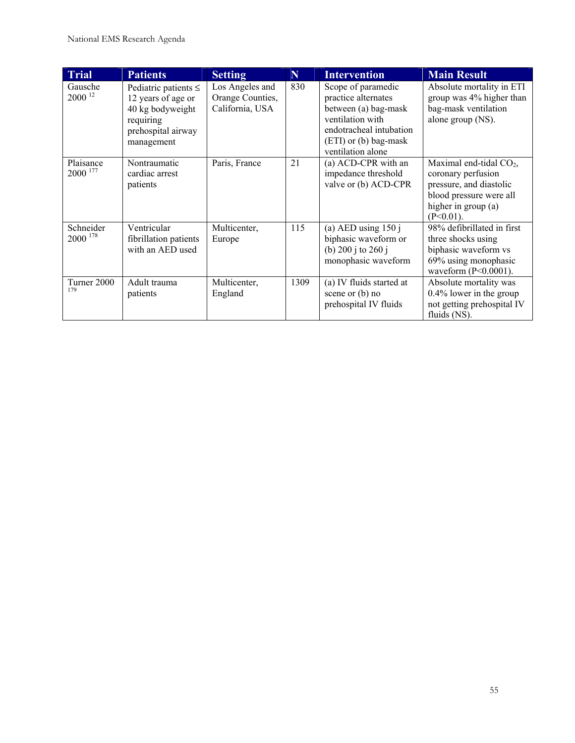| <b>Trial</b>                       | <b>Patients</b>                                                                                                      | <b>Setting</b>                                         | N    | <b>Intervention</b>                                                                                                                                            | <b>Main Result</b>                                                                                                                           |
|------------------------------------|----------------------------------------------------------------------------------------------------------------------|--------------------------------------------------------|------|----------------------------------------------------------------------------------------------------------------------------------------------------------------|----------------------------------------------------------------------------------------------------------------------------------------------|
| Gausche<br>$2000$ <sup>12</sup>    | Pediatric patients $\leq$<br>12 years of age or<br>40 kg bodyweight<br>requiring<br>prehospital airway<br>management | Los Angeles and<br>Orange Counties,<br>California, USA | 830  | Scope of paramedic<br>practice alternates<br>between (a) bag-mask<br>ventilation with<br>endotracheal intubation<br>(ETI) or (b) bag-mask<br>ventilation alone | Absolute mortality in ETI<br>group was 4% higher than<br>bag-mask ventilation<br>alone group (NS).                                           |
| Plaisance<br>$2000$ $^{177}$       | Nontraumatic<br>cardiac arrest<br>patients                                                                           | Paris, France                                          | 21   | (a) ACD-CPR with an<br>impedance threshold<br>valve or (b) ACD-CPR                                                                                             | Maximal end-tidal $CO2$ ,<br>coronary perfusion<br>pressure, and diastolic<br>blood pressure were all<br>higher in group (a)<br>$(P<0.01)$ . |
| Schneider<br>$2000$ <sup>178</sup> | Ventricular<br>fibrillation patients<br>with an AED used                                                             | Multicenter,<br>Europe                                 | 115  | (a) AED using $150j$<br>biphasic waveform or<br>(b) 200 $\frac{1}{2}$ to 260 $\frac{1}{2}$<br>monophasic waveform                                              | 98% defibrillated in first<br>three shocks using<br>biphasic waveform vs<br>69% using monophasic<br>waveform (P<0.0001).                     |
| Turner 2000<br>179                 | Adult trauma<br>patients                                                                                             | Multicenter,<br>England                                | 1309 | (a) IV fluids started at<br>scene or $(b)$ no<br>prehospital IV fluids                                                                                         | Absolute mortality was<br>$0.4\%$ lower in the group<br>not getting prehospital IV<br>fluids (NS).                                           |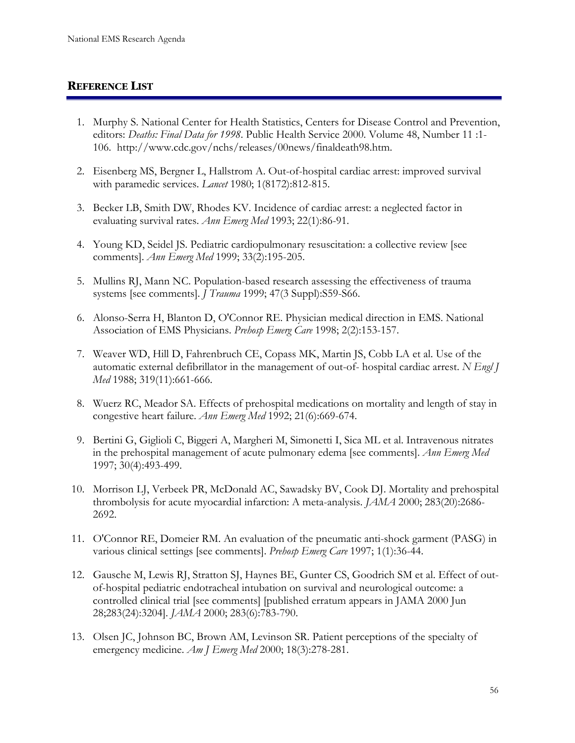# **REFERENCE LIST**

- 1. Murphy S. National Center for Health Statistics, Centers for Disease Control and Prevention, editors: *Deaths: Final Data for 1998*. Public Health Service 2000. Volume 48, Number 11 :1- 106. http://www.cdc.gov/nchs/releases/00news/finaldeath98.htm.
- 2. Eisenberg MS, Bergner L, Hallstrom A. Out-of-hospital cardiac arrest: improved survival with paramedic services. *Lancet* 1980; 1(8172):812-815.
- 3. Becker LB, Smith DW, Rhodes KV. Incidence of cardiac arrest: a neglected factor in evaluating survival rates. *Ann Emerg Med* 1993; 22(1):86-91.
- 4. Young KD, Seidel JS. Pediatric cardiopulmonary resuscitation: a collective review [see comments]. *Ann Emerg Med* 1999; 33(2):195-205.
- 5. Mullins RJ, Mann NC. Population-based research assessing the effectiveness of trauma systems [see comments]. *J Trauma* 1999; 47(3 Suppl):S59-S66.
- 6. Alonso-Serra H, Blanton D, O'Connor RE. Physician medical direction in EMS. National Association of EMS Physicians. *Prehosp Emerg Care* 1998; 2(2):153-157.
- 7. Weaver WD, Hill D, Fahrenbruch CE, Copass MK, Martin JS, Cobb LA et al. Use of the automatic external defibrillator in the management of out-of- hospital cardiac arrest. *N Engl J Med* 1988; 319(11):661-666.
- 8. Wuerz RC, Meador SA. Effects of prehospital medications on mortality and length of stay in congestive heart failure. *Ann Emerg Med* 1992; 21(6):669-674.
- 9. Bertini G, Giglioli C, Biggeri A, Margheri M, Simonetti I, Sica ML et al. Intravenous nitrates in the prehospital management of acute pulmonary edema [see comments]. *Ann Emerg Med* 1997; 30(4):493-499.
- 10. Morrison LJ, Verbeek PR, McDonald AC, Sawadsky BV, Cook DJ. Mortality and prehospital thrombolysis for acute myocardial infarction: A meta-analysis. *JAMA* 2000; 283(20):2686- 2692.
- 11. O'Connor RE, Domeier RM. An evaluation of the pneumatic anti-shock garment (PASG) in various clinical settings [see comments]. *Prehosp Emerg Care* 1997; 1(1):36-44.
- 12. Gausche M, Lewis RJ, Stratton SJ, Haynes BE, Gunter CS, Goodrich SM et al. Effect of outof-hospital pediatric endotracheal intubation on survival and neurological outcome: a controlled clinical trial [see comments] [published erratum appears in JAMA 2000 Jun 28;283(24):3204]. *JAMA* 2000; 283(6):783-790.
- 13. Olsen JC, Johnson BC, Brown AM, Levinson SR. Patient perceptions of the specialty of emergency medicine. *Am J Emerg Med* 2000; 18(3):278-281.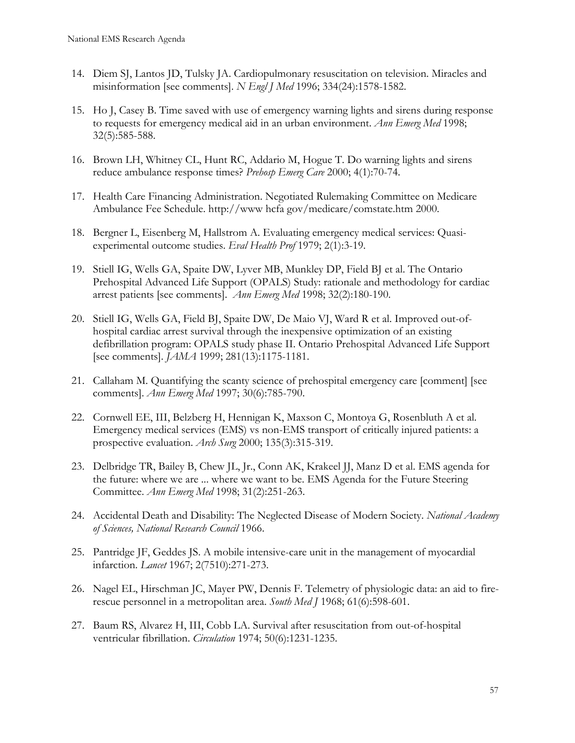- 14. Diem SJ, Lantos JD, Tulsky JA. Cardiopulmonary resuscitation on television. Miracles and misinformation [see comments]. *N Engl J Med* 1996; 334(24):1578-1582.
- 15. Ho J, Casey B. Time saved with use of emergency warning lights and sirens during response to requests for emergency medical aid in an urban environment. *Ann Emerg Med* 1998; 32(5):585-588.
- 16. Brown LH, Whitney CL, Hunt RC, Addario M, Hogue T. Do warning lights and sirens reduce ambulance response times? *Prehosp Emerg Care* 2000; 4(1):70-74.
- 17. Health Care Financing Administration. Negotiated Rulemaking Committee on Medicare Ambulance Fee Schedule. http://www hcfa gov/medicare/comstate.htm 2000.
- 18. Bergner L, Eisenberg M, Hallstrom A. Evaluating emergency medical services: Quasiexperimental outcome studies. *Eval Health Prof* 1979; 2(1):3-19.
- 19. Stiell IG, Wells GA, Spaite DW, Lyver MB, Munkley DP, Field BJ et al. The Ontario Prehospital Advanced Life Support (OPALS) Study: rationale and methodology for cardiac arrest patients [see comments]. *Ann Emerg Med* 1998; 32(2):180-190.
- 20. Stiell IG, Wells GA, Field BJ, Spaite DW, De Maio VJ, Ward R et al. Improved out-ofhospital cardiac arrest survival through the inexpensive optimization of an existing defibrillation program: OPALS study phase II. Ontario Prehospital Advanced Life Support [see comments]. *JAMA* 1999; 281(13):1175-1181.
- 21. Callaham M. Quantifying the scanty science of prehospital emergency care [comment] [see comments]. *Ann Emerg Med* 1997; 30(6):785-790.
- 22. Cornwell EE, III, Belzberg H, Hennigan K, Maxson C, Montoya G, Rosenbluth A et al. Emergency medical services (EMS) vs non-EMS transport of critically injured patients: a prospective evaluation. *Arch Surg* 2000; 135(3):315-319.
- 23. Delbridge TR, Bailey B, Chew JL, Jr., Conn AK, Krakeel JJ, Manz D et al. EMS agenda for the future: where we are ... where we want to be. EMS Agenda for the Future Steering Committee. *Ann Emerg Med* 1998; 31(2):251-263.
- 24. Accidental Death and Disability: The Neglected Disease of Modern Society. *National Academy of Sciences, National Research Council* 1966.
- 25. Pantridge JF, Geddes JS. A mobile intensive-care unit in the management of myocardial infarction. *Lancet* 1967; 2(7510):271-273.
- 26. Nagel EL, Hirschman JC, Mayer PW, Dennis F. Telemetry of physiologic data: an aid to firerescue personnel in a metropolitan area. *South Med J* 1968; 61(6):598-601.
- 27. Baum RS, Alvarez H, III, Cobb LA. Survival after resuscitation from out-of-hospital ventricular fibrillation. *Circulation* 1974; 50(6):1231-1235.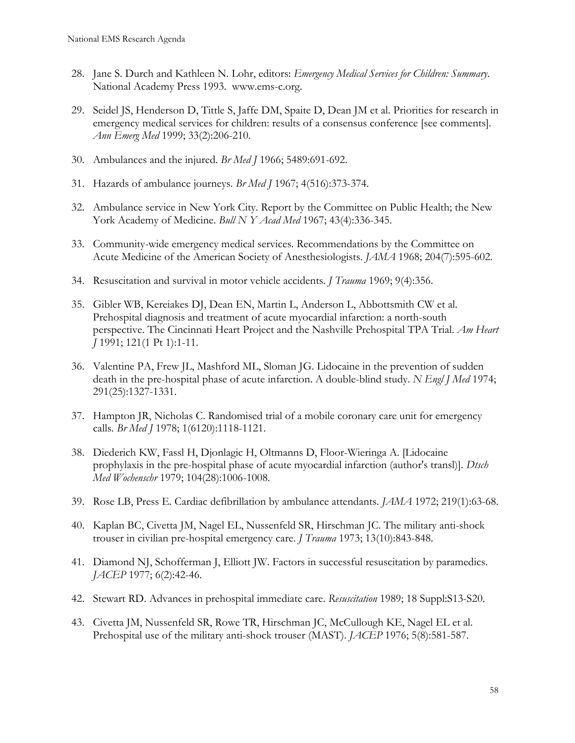- 28. Jane S. Durch and Kathleen N. Lohr, editors: *Emergency Medical Services for Children: Summary*. National Academy Press 1993. www.ems-c.org.
- 29. Seidel JS, Henderson D, Tittle S, Jaffe DM, Spaite D, Dean JM et al. Priorities for research in emergency medical services for children: results of a consensus conference [see comments]. *Ann Emerg Med* 1999; 33(2):206-210.
- 30. Ambulances and the injured. *Br Med J* 1966; 5489:691-692.
- 31. Hazards of ambulance journeys. *Br Med J* 1967; 4(516):373-374.
- 32. Ambulance service in New York City. Report by the Committee on Public Health; the New York Academy of Medicine. *Bull N Y Acad Med* 1967; 43(4):336-345.
- 33. Community-wide emergency medical services. Recommendations by the Committee on Acute Medicine of the American Society of Anesthesiologists. *JAMA* 1968; 204(7):595-602.
- 34. Resuscitation and survival in motor vehicle accidents. *J Trauma* 1969; 9(4):356.
- 35. Gibler WB, Kereiakes DJ, Dean EN, Martin L, Anderson L, Abbottsmith CW et al. Prehospital diagnosis and treatment of acute myocardial infarction: a north-south perspective. The Cincinnati Heart Project and the Nashville Prehospital TPA Trial. *Am Heart J* 1991; 121(1 Pt 1):1-11.
- 36. Valentine PA, Frew JL, Mashford ML, Sloman JG. Lidocaine in the prevention of sudden death in the pre-hospital phase of acute infarction. A double-blind study. *N Engl J Med* 1974; 291(25):1327-1331.
- 37. Hampton JR, Nicholas C. Randomised trial of a mobile coronary care unit for emergency calls. *Br Med J* 1978; 1(6120):1118-1121.
- 38. Diederich KW, Fassl H, Djonlagic H, Oltmanns D, Floor-Wieringa A. [Lidocaine prophylaxis in the pre-hospital phase of acute myocardial infarction (author's transl)]. *Dtsch Med Wochenschr* 1979; 104(28):1006-1008.
- 39. Rose LB, Press E. Cardiac defibrillation by ambulance attendants. *JAMA* 1972; 219(1):63-68.
- 40. Kaplan BC, Civetta JM, Nagel EL, Nussenfeld SR, Hirschman JC. The military anti-shock trouser in civilian pre-hospital emergency care. *J Trauma* 1973; 13(10):843-848.
- 41. Diamond NJ, Schofferman J, Elliott JW. Factors in successful resuscitation by paramedics. *JACEP* 1977; 6(2):42-46.
- 42. Stewart RD. Advances in prehospital immediate care. *Resuscitation* 1989; 18 Suppl:S13-S20.
- 43. Civetta JM, Nussenfeld SR, Rowe TR, Hirschman JC, McCullough KE, Nagel EL et al. Prehospital use of the military anti-shock trouser (MAST). *JACEP* 1976; 5(8):581-587.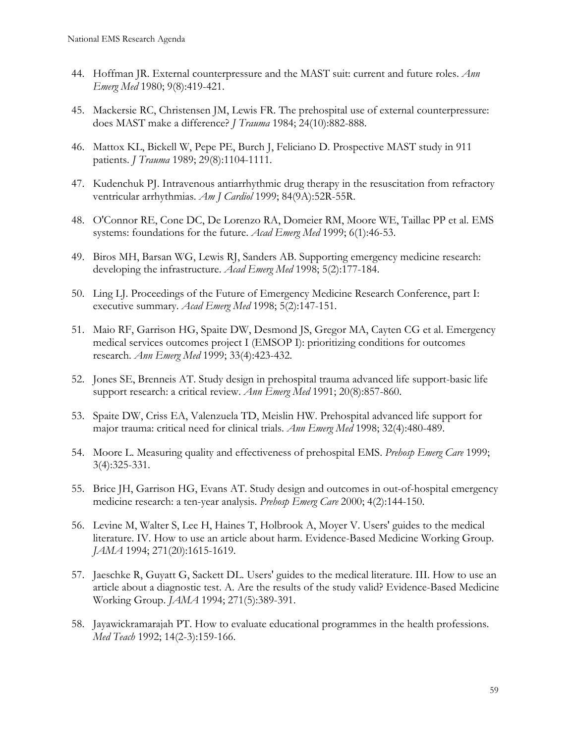- 44. Hoffman JR. External counterpressure and the MAST suit: current and future roles. *Ann Emerg Med* 1980; 9(8):419-421.
- 45. Mackersie RC, Christensen JM, Lewis FR. The prehospital use of external counterpressure: does MAST make a difference? *J Trauma* 1984; 24(10):882-888.
- 46. Mattox KL, Bickell W, Pepe PE, Burch J, Feliciano D. Prospective MAST study in 911 patients. *J Trauma* 1989; 29(8):1104-1111.
- 47. Kudenchuk PJ. Intravenous antiarrhythmic drug therapy in the resuscitation from refractory ventricular arrhythmias. *Am J Cardiol* 1999; 84(9A):52R-55R.
- 48. O'Connor RE, Cone DC, De Lorenzo RA, Domeier RM, Moore WE, Taillac PP et al. EMS systems: foundations for the future. *Acad Emerg Med* 1999; 6(1):46-53.
- 49. Biros MH, Barsan WG, Lewis RJ, Sanders AB. Supporting emergency medicine research: developing the infrastructure. *Acad Emerg Med* 1998; 5(2):177-184.
- 50. Ling LJ. Proceedings of the Future of Emergency Medicine Research Conference, part I: executive summary. *Acad Emerg Med* 1998; 5(2):147-151.
- 51. Maio RF, Garrison HG, Spaite DW, Desmond JS, Gregor MA, Cayten CG et al. Emergency medical services outcomes project I (EMSOP I): prioritizing conditions for outcomes research. *Ann Emerg Med* 1999; 33(4):423-432.
- 52. Jones SE, Brenneis AT. Study design in prehospital trauma advanced life support-basic life support research: a critical review. *Ann Emerg Med* 1991; 20(8):857-860.
- 53. Spaite DW, Criss EA, Valenzuela TD, Meislin HW. Prehospital advanced life support for major trauma: critical need for clinical trials. *Ann Emerg Med* 1998; 32(4):480-489.
- 54. Moore L. Measuring quality and effectiveness of prehospital EMS. *Prehosp Emerg Care* 1999; 3(4):325-331.
- 55. Brice JH, Garrison HG, Evans AT. Study design and outcomes in out-of-hospital emergency medicine research: a ten-year analysis. *Prehosp Emerg Care* 2000; 4(2):144-150.
- 56. Levine M, Walter S, Lee H, Haines T, Holbrook A, Moyer V. Users' guides to the medical literature. IV. How to use an article about harm. Evidence-Based Medicine Working Group. *JAMA* 1994; 271(20):1615-1619.
- 57. Jaeschke R, Guyatt G, Sackett DL. Users' guides to the medical literature. III. How to use an article about a diagnostic test. A. Are the results of the study valid? Evidence-Based Medicine Working Group. *JAMA* 1994; 271(5):389-391.
- 58. Jayawickramarajah PT. How to evaluate educational programmes in the health professions. *Med Teach* 1992; 14(2-3):159-166.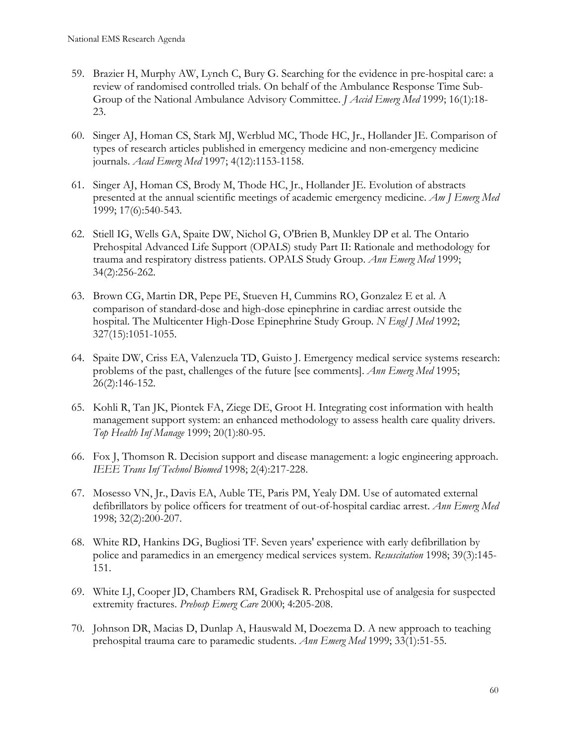- 59. Brazier H, Murphy AW, Lynch C, Bury G. Searching for the evidence in pre-hospital care: a review of randomised controlled trials. On behalf of the Ambulance Response Time Sub-Group of the National Ambulance Advisory Committee. *J Accid Emerg Med* 1999; 16(1):18- 23.
- 60. Singer AJ, Homan CS, Stark MJ, Werblud MC, Thode HC, Jr., Hollander JE. Comparison of types of research articles published in emergency medicine and non-emergency medicine journals. *Acad Emerg Med* 1997; 4(12):1153-1158.
- 61. Singer AJ, Homan CS, Brody M, Thode HC, Jr., Hollander JE. Evolution of abstracts presented at the annual scientific meetings of academic emergency medicine. *Am J Emerg Med* 1999; 17(6):540-543.
- 62. Stiell IG, Wells GA, Spaite DW, Nichol G, O'Brien B, Munkley DP et al. The Ontario Prehospital Advanced Life Support (OPALS) study Part II: Rationale and methodology for trauma and respiratory distress patients. OPALS Study Group. *Ann Emerg Med* 1999; 34(2):256-262.
- 63. Brown CG, Martin DR, Pepe PE, Stueven H, Cummins RO, Gonzalez E et al. A comparison of standard-dose and high-dose epinephrine in cardiac arrest outside the hospital. The Multicenter High-Dose Epinephrine Study Group. *N Engl J Med* 1992; 327(15):1051-1055.
- 64. Spaite DW, Criss EA, Valenzuela TD, Guisto J. Emergency medical service systems research: problems of the past, challenges of the future [see comments]. *Ann Emerg Med* 1995; 26(2):146-152.
- 65. Kohli R, Tan JK, Piontek FA, Ziege DE, Groot H. Integrating cost information with health management support system: an enhanced methodology to assess health care quality drivers. *Top Health Inf Manage* 1999; 20(1):80-95.
- 66. Fox J, Thomson R. Decision support and disease management: a logic engineering approach. *IEEE Trans Inf Technol Biomed* 1998; 2(4):217-228.
- 67. Mosesso VN, Jr., Davis EA, Auble TE, Paris PM, Yealy DM. Use of automated external defibrillators by police officers for treatment of out-of-hospital cardiac arrest. *Ann Emerg Med* 1998; 32(2):200-207.
- 68. White RD, Hankins DG, Bugliosi TF. Seven years' experience with early defibrillation by police and paramedics in an emergency medical services system. *Resuscitation* 1998; 39(3):145- 151.
- 69. White LJ, Cooper JD, Chambers RM, Gradisek R. Prehospital use of analgesia for suspected extremity fractures. *Prehosp Emerg Care* 2000; 4:205-208.
- 70. Johnson DR, Macias D, Dunlap A, Hauswald M, Doezema D. A new approach to teaching prehospital trauma care to paramedic students. *Ann Emerg Med* 1999; 33(1):51-55.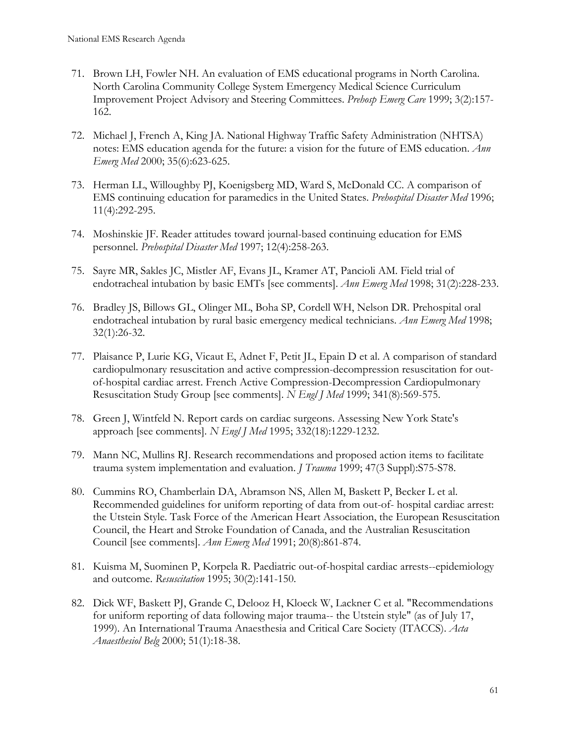- 71. Brown LH, Fowler NH. An evaluation of EMS educational programs in North Carolina. North Carolina Community College System Emergency Medical Science Curriculum Improvement Project Advisory and Steering Committees. *Prehosp Emerg Care* 1999; 3(2):157- 162.
- 72. Michael J, French A, King JA. National Highway Traffic Safety Administration (NHTSA) notes: EMS education agenda for the future: a vision for the future of EMS education. *Ann Emerg Med* 2000; 35(6):623-625.
- 73. Herman LL, Willoughby PJ, Koenigsberg MD, Ward S, McDonald CC. A comparison of EMS continuing education for paramedics in the United States. *Prehospital Disaster Med* 1996; 11(4):292-295.
- 74. Moshinskie JF. Reader attitudes toward journal-based continuing education for EMS personnel. *Prehospital Disaster Med* 1997; 12(4):258-263.
- 75. Sayre MR, Sakles JC, Mistler AF, Evans JL, Kramer AT, Pancioli AM. Field trial of endotracheal intubation by basic EMTs [see comments]. *Ann Emerg Med* 1998; 31(2):228-233.
- 76. Bradley JS, Billows GL, Olinger ML, Boha SP, Cordell WH, Nelson DR. Prehospital oral endotracheal intubation by rural basic emergency medical technicians. *Ann Emerg Med* 1998; 32(1):26-32.
- 77. Plaisance P, Lurie KG, Vicaut E, Adnet F, Petit JL, Epain D et al. A comparison of standard cardiopulmonary resuscitation and active compression-decompression resuscitation for outof-hospital cardiac arrest. French Active Compression-Decompression Cardiopulmonary Resuscitation Study Group [see comments]. *N Engl J Med* 1999; 341(8):569-575.
- 78. Green J, Wintfeld N. Report cards on cardiac surgeons. Assessing New York State's approach [see comments]. *N Engl J Med* 1995; 332(18):1229-1232.
- 79. Mann NC, Mullins RJ. Research recommendations and proposed action items to facilitate trauma system implementation and evaluation. *J Trauma* 1999; 47(3 Suppl):S75-S78.
- 80. Cummins RO, Chamberlain DA, Abramson NS, Allen M, Baskett P, Becker L et al. Recommended guidelines for uniform reporting of data from out-of- hospital cardiac arrest: the Utstein Style. Task Force of the American Heart Association, the European Resuscitation Council, the Heart and Stroke Foundation of Canada, and the Australian Resuscitation Council [see comments]. *Ann Emerg Med* 1991; 20(8):861-874.
- 81. Kuisma M, Suominen P, Korpela R. Paediatric out-of-hospital cardiac arrests--epidemiology and outcome. *Resuscitation* 1995; 30(2):141-150.
- 82. Dick WF, Baskett PJ, Grande C, Delooz H, Kloeck W, Lackner C et al. "Recommendations for uniform reporting of data following major trauma-- the Utstein style" (as of July 17, 1999). An International Trauma Anaesthesia and Critical Care Society (ITACCS). *Acta Anaesthesiol Belg* 2000; 51(1):18-38.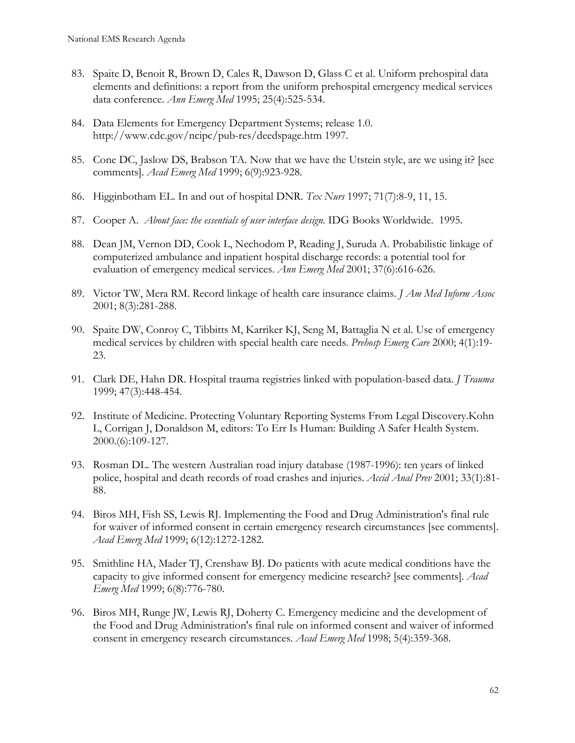- 83. Spaite D, Benoit R, Brown D, Cales R, Dawson D, Glass C et al. Uniform prehospital data elements and definitions: a report from the uniform prehospital emergency medical services data conference. *Ann Emerg Med* 1995; 25(4):525-534.
- 84. Data Elements for Emergency Department Systems; release 1.0. http://www.cdc.gov/ncipc/pub-res/deedspage.htm 1997.
- 85. Cone DC, Jaslow DS, Brabson TA. Now that we have the Utstein style, are we using it? [see comments]. *Acad Emerg Med* 1999; 6(9):923-928.
- 86. Higginbotham EL. In and out of hospital DNR. *Tex Nurs* 1997; 71(7):8-9, 11, 15.
- 87. Cooper A. *About face: the essentials of user interface design*. IDG Books Worldwide. 1995.
- 88. Dean JM, Vernon DD, Cook L, Nechodom P, Reading J, Suruda A. Probabilistic linkage of computerized ambulance and inpatient hospital discharge records: a potential tool for evaluation of emergency medical services. *Ann Emerg Med* 2001; 37(6):616-626.
- 89. Victor TW, Mera RM. Record linkage of health care insurance claims. *J Am Med Inform Assoc* 2001; 8(3):281-288.
- 90. Spaite DW, Conroy C, Tibbitts M, Karriker KJ, Seng M, Battaglia N et al. Use of emergency medical services by children with special health care needs. *Prehosp Emerg Care* 2000; 4(1):19- 23.
- 91. Clark DE, Hahn DR. Hospital trauma registries linked with population-based data. *J Trauma* 1999; 47(3):448-454.
- 92. Institute of Medicine. Protecting Voluntary Reporting Systems From Legal Discovery.Kohn L, Corrigan J, Donaldson M, editors: To Err Is Human: Building A Safer Health System. 2000.(6):109-127.
- 93. Rosman DL. The western Australian road injury database (1987-1996): ten years of linked police, hospital and death records of road crashes and injuries. *Accid Anal Prev* 2001; 33(1):81- 88.
- 94. Biros MH, Fish SS, Lewis RJ. Implementing the Food and Drug Administration's final rule for waiver of informed consent in certain emergency research circumstances [see comments]. *Acad Emerg Med* 1999; 6(12):1272-1282.
- 95. Smithline HA, Mader TJ, Crenshaw BJ. Do patients with acute medical conditions have the capacity to give informed consent for emergency medicine research? [see comments]. *Acad Emerg Med* 1999; 6(8):776-780.
- 96. Biros MH, Runge JW, Lewis RJ, Doherty C. Emergency medicine and the development of the Food and Drug Administration's final rule on informed consent and waiver of informed consent in emergency research circumstances. *Acad Emerg Med* 1998; 5(4):359-368.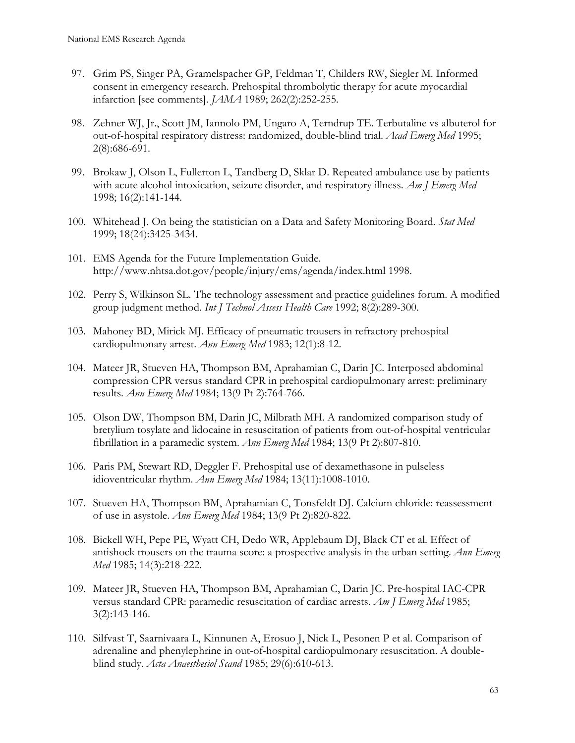- 97. Grim PS, Singer PA, Gramelspacher GP, Feldman T, Childers RW, Siegler M. Informed consent in emergency research. Prehospital thrombolytic therapy for acute myocardial infarction [see comments]. *JAMA* 1989; 262(2):252-255.
- 98. Zehner WJ, Jr., Scott JM, Iannolo PM, Ungaro A, Terndrup TE. Terbutaline vs albuterol for out-of-hospital respiratory distress: randomized, double-blind trial. *Acad Emerg Med* 1995; 2(8):686-691.
- 99. Brokaw J, Olson L, Fullerton L, Tandberg D, Sklar D. Repeated ambulance use by patients with acute alcohol intoxication, seizure disorder, and respiratory illness. *Am J Emerg Med* 1998; 16(2):141-144.
- 100. Whitehead J. On being the statistician on a Data and Safety Monitoring Board. *Stat Med* 1999; 18(24):3425-3434.
- 101. EMS Agenda for the Future Implementation Guide. http://www.nhtsa.dot.gov/people/injury/ems/agenda/index.html 1998.
- 102. Perry S, Wilkinson SL. The technology assessment and practice guidelines forum. A modified group judgment method. *Int J Technol Assess Health Care* 1992; 8(2):289-300.
- 103. Mahoney BD, Mirick MJ. Efficacy of pneumatic trousers in refractory prehospital cardiopulmonary arrest. *Ann Emerg Med* 1983; 12(1):8-12.
- 104. Mateer JR, Stueven HA, Thompson BM, Aprahamian C, Darin JC. Interposed abdominal compression CPR versus standard CPR in prehospital cardiopulmonary arrest: preliminary results. *Ann Emerg Med* 1984; 13(9 Pt 2):764-766.
- 105. Olson DW, Thompson BM, Darin JC, Milbrath MH. A randomized comparison study of bretylium tosylate and lidocaine in resuscitation of patients from out-of-hospital ventricular fibrillation in a paramedic system. *Ann Emerg Med* 1984; 13(9 Pt 2):807-810.
- 106. Paris PM, Stewart RD, Deggler F. Prehospital use of dexamethasone in pulseless idioventricular rhythm. *Ann Emerg Med* 1984; 13(11):1008-1010.
- 107. Stueven HA, Thompson BM, Aprahamian C, Tonsfeldt DJ. Calcium chloride: reassessment of use in asystole. *Ann Emerg Med* 1984; 13(9 Pt 2):820-822.
- 108. Bickell WH, Pepe PE, Wyatt CH, Dedo WR, Applebaum DJ, Black CT et al. Effect of antishock trousers on the trauma score: a prospective analysis in the urban setting. *Ann Emerg Med* 1985; 14(3):218-222.
- 109. Mateer JR, Stueven HA, Thompson BM, Aprahamian C, Darin JC. Pre-hospital IAC-CPR versus standard CPR: paramedic resuscitation of cardiac arrests. *Am J Emerg Med* 1985; 3(2):143-146.
- 110. Silfvast T, Saarnivaara L, Kinnunen A, Erosuo J, Nick L, Pesonen P et al. Comparison of adrenaline and phenylephrine in out-of-hospital cardiopulmonary resuscitation. A doubleblind study. *Acta Anaesthesiol Scand* 1985; 29(6):610-613.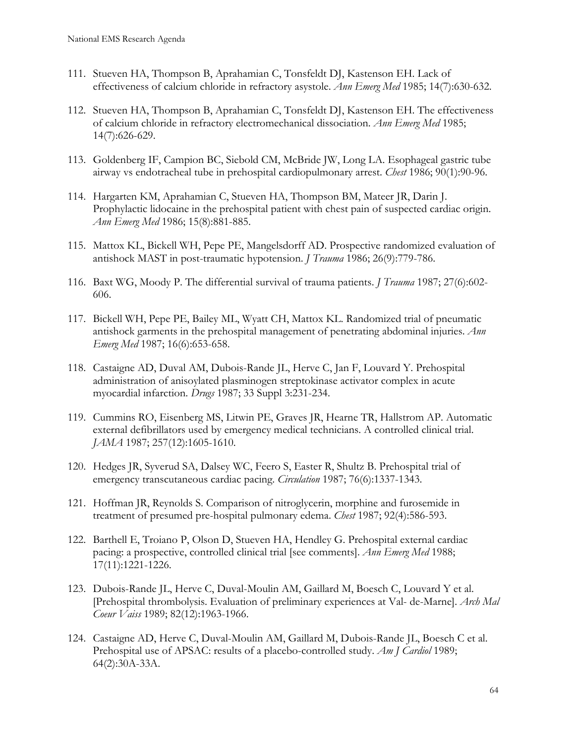- 111. Stueven HA, Thompson B, Aprahamian C, Tonsfeldt DJ, Kastenson EH. Lack of effectiveness of calcium chloride in refractory asystole. *Ann Emerg Med* 1985; 14(7):630-632.
- 112. Stueven HA, Thompson B, Aprahamian C, Tonsfeldt DJ, Kastenson EH. The effectiveness of calcium chloride in refractory electromechanical dissociation. *Ann Emerg Med* 1985; 14(7):626-629.
- 113. Goldenberg IF, Campion BC, Siebold CM, McBride JW, Long LA. Esophageal gastric tube airway vs endotracheal tube in prehospital cardiopulmonary arrest. *Chest* 1986; 90(1):90-96.
- 114. Hargarten KM, Aprahamian C, Stueven HA, Thompson BM, Mateer JR, Darin J. Prophylactic lidocaine in the prehospital patient with chest pain of suspected cardiac origin. *Ann Emerg Med* 1986; 15(8):881-885.
- 115. Mattox KL, Bickell WH, Pepe PE, Mangelsdorff AD. Prospective randomized evaluation of antishock MAST in post-traumatic hypotension. *J Trauma* 1986; 26(9):779-786.
- 116. Baxt WG, Moody P. The differential survival of trauma patients. *J Trauma* 1987; 27(6):602- 606.
- 117. Bickell WH, Pepe PE, Bailey ML, Wyatt CH, Mattox KL. Randomized trial of pneumatic antishock garments in the prehospital management of penetrating abdominal injuries. *Ann Emerg Med* 1987; 16(6):653-658.
- 118. Castaigne AD, Duval AM, Dubois-Rande JL, Herve C, Jan F, Louvard Y. Prehospital administration of anisoylated plasminogen streptokinase activator complex in acute myocardial infarction. *Drugs* 1987; 33 Suppl 3:231-234.
- 119. Cummins RO, Eisenberg MS, Litwin PE, Graves JR, Hearne TR, Hallstrom AP. Automatic external defibrillators used by emergency medical technicians. A controlled clinical trial. *JAMA* 1987; 257(12):1605-1610.
- 120. Hedges JR, Syverud SA, Dalsey WC, Feero S, Easter R, Shultz B. Prehospital trial of emergency transcutaneous cardiac pacing. *Circulation* 1987; 76(6):1337-1343.
- 121. Hoffman JR, Reynolds S. Comparison of nitroglycerin, morphine and furosemide in treatment of presumed pre-hospital pulmonary edema. *Chest* 1987; 92(4):586-593.
- 122. Barthell E, Troiano P, Olson D, Stueven HA, Hendley G. Prehospital external cardiac pacing: a prospective, controlled clinical trial [see comments]. *Ann Emerg Med* 1988; 17(11):1221-1226.
- 123. Dubois-Rande JL, Herve C, Duval-Moulin AM, Gaillard M, Boesch C, Louvard Y et al. [Prehospital thrombolysis. Evaluation of preliminary experiences at Val- de-Marne]. *Arch Mal Coeur Vaiss* 1989; 82(12):1963-1966.
- 124. Castaigne AD, Herve C, Duval-Moulin AM, Gaillard M, Dubois-Rande JL, Boesch C et al. Prehospital use of APSAC: results of a placebo-controlled study. *Am J Cardiol* 1989; 64(2):30A-33A.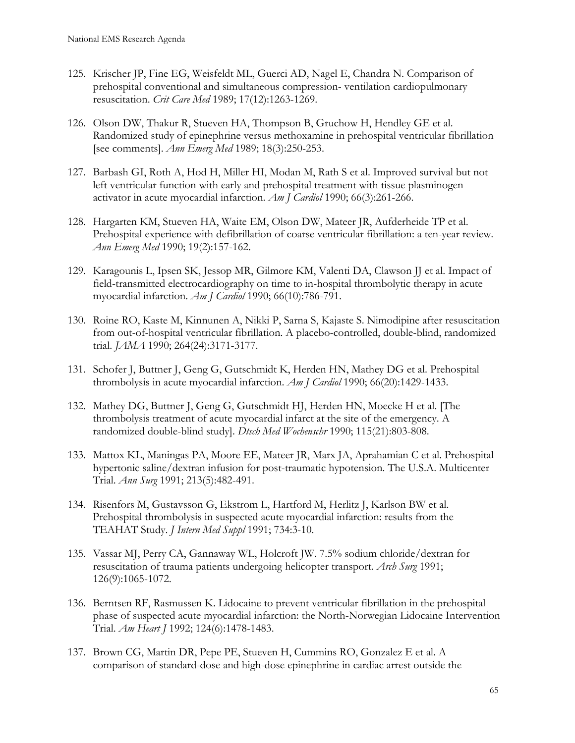- 125. Krischer JP, Fine EG, Weisfeldt ML, Guerci AD, Nagel E, Chandra N. Comparison of prehospital conventional and simultaneous compression- ventilation cardiopulmonary resuscitation. *Crit Care Med* 1989; 17(12):1263-1269.
- 126. Olson DW, Thakur R, Stueven HA, Thompson B, Gruchow H, Hendley GE et al. Randomized study of epinephrine versus methoxamine in prehospital ventricular fibrillation [see comments]. *Ann Emerg Med* 1989; 18(3):250-253.
- 127. Barbash GI, Roth A, Hod H, Miller HI, Modan M, Rath S et al. Improved survival but not left ventricular function with early and prehospital treatment with tissue plasminogen activator in acute myocardial infarction. *Am J Cardiol* 1990; 66(3):261-266.
- 128. Hargarten KM, Stueven HA, Waite EM, Olson DW, Mateer JR, Aufderheide TP et al. Prehospital experience with defibrillation of coarse ventricular fibrillation: a ten-year review. *Ann Emerg Med* 1990; 19(2):157-162.
- 129. Karagounis L, Ipsen SK, Jessop MR, Gilmore KM, Valenti DA, Clawson JJ et al. Impact of field-transmitted electrocardiography on time to in-hospital thrombolytic therapy in acute myocardial infarction. *Am J Cardiol* 1990; 66(10):786-791.
- 130. Roine RO, Kaste M, Kinnunen A, Nikki P, Sarna S, Kajaste S. Nimodipine after resuscitation from out-of-hospital ventricular fibrillation. A placebo-controlled, double-blind, randomized trial. *JAMA* 1990; 264(24):3171-3177.
- 131. Schofer J, Buttner J, Geng G, Gutschmidt K, Herden HN, Mathey DG et al. Prehospital thrombolysis in acute myocardial infarction. *Am J Cardiol* 1990; 66(20):1429-1433.
- 132. Mathey DG, Buttner J, Geng G, Gutschmidt HJ, Herden HN, Moecke H et al. [The thrombolysis treatment of acute myocardial infarct at the site of the emergency. A randomized double-blind study]. *Dtsch Med Wochenschr* 1990; 115(21):803-808.
- 133. Mattox KL, Maningas PA, Moore EE, Mateer JR, Marx JA, Aprahamian C et al. Prehospital hypertonic saline/dextran infusion for post-traumatic hypotension. The U.S.A. Multicenter Trial. *Ann Surg* 1991; 213(5):482-491.
- 134. Risenfors M, Gustavsson G, Ekstrom L, Hartford M, Herlitz J, Karlson BW et al. Prehospital thrombolysis in suspected acute myocardial infarction: results from the TEAHAT Study. *J Intern Med Suppl* 1991; 734:3-10.
- 135. Vassar MJ, Perry CA, Gannaway WL, Holcroft JW. 7.5% sodium chloride/dextran for resuscitation of trauma patients undergoing helicopter transport. *Arch Surg* 1991; 126(9):1065-1072.
- 136. Berntsen RF, Rasmussen K. Lidocaine to prevent ventricular fibrillation in the prehospital phase of suspected acute myocardial infarction: the North-Norwegian Lidocaine Intervention Trial. *Am Heart J* 1992; 124(6):1478-1483.
- 137. Brown CG, Martin DR, Pepe PE, Stueven H, Cummins RO, Gonzalez E et al. A comparison of standard-dose and high-dose epinephrine in cardiac arrest outside the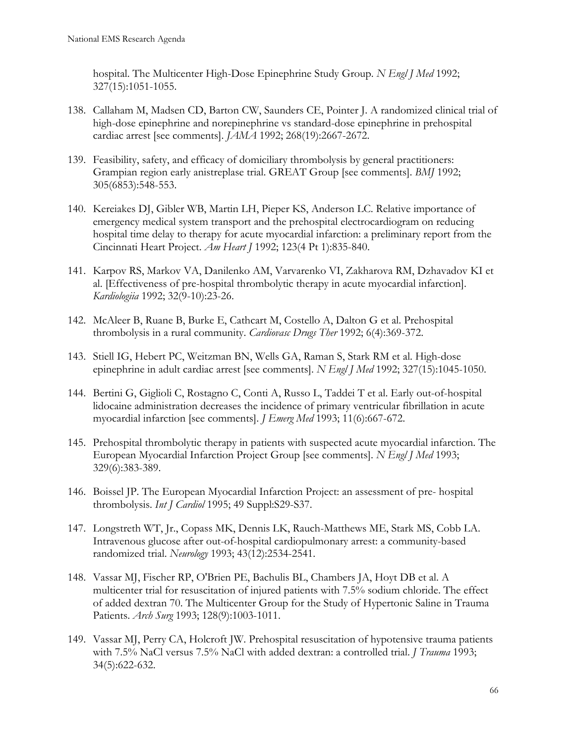hospital. The Multicenter High-Dose Epinephrine Study Group. *N Engl J Med* 1992; 327(15):1051-1055.

- 138. Callaham M, Madsen CD, Barton CW, Saunders CE, Pointer J. A randomized clinical trial of high-dose epinephrine and norepinephrine vs standard-dose epinephrine in prehospital cardiac arrest [see comments]. *JAMA* 1992; 268(19):2667-2672.
- 139. Feasibility, safety, and efficacy of domiciliary thrombolysis by general practitioners: Grampian region early anistreplase trial. GREAT Group [see comments]. *BMJ* 1992; 305(6853):548-553.
- 140. Kereiakes DJ, Gibler WB, Martin LH, Pieper KS, Anderson LC. Relative importance of emergency medical system transport and the prehospital electrocardiogram on reducing hospital time delay to therapy for acute myocardial infarction: a preliminary report from the Cincinnati Heart Project. *Am Heart J* 1992; 123(4 Pt 1):835-840.
- 141. Karpov RS, Markov VA, Danilenko AM, Varvarenko VI, Zakharova RM, Dzhavadov KI et al. [Effectiveness of pre-hospital thrombolytic therapy in acute myocardial infarction]. *Kardiologiia* 1992; 32(9-10):23-26.
- 142. McAleer B, Ruane B, Burke E, Cathcart M, Costello A, Dalton G et al. Prehospital thrombolysis in a rural community. *Cardiovasc Drugs Ther* 1992; 6(4):369-372.
- 143. Stiell IG, Hebert PC, Weitzman BN, Wells GA, Raman S, Stark RM et al. High-dose epinephrine in adult cardiac arrest [see comments]. *N Engl J Med* 1992; 327(15):1045-1050.
- 144. Bertini G, Giglioli C, Rostagno C, Conti A, Russo L, Taddei T et al. Early out-of-hospital lidocaine administration decreases the incidence of primary ventricular fibrillation in acute myocardial infarction [see comments]. *J Emerg Med* 1993; 11(6):667-672.
- 145. Prehospital thrombolytic therapy in patients with suspected acute myocardial infarction. The European Myocardial Infarction Project Group [see comments]. *N Engl J Med* 1993; 329(6):383-389.
- 146. Boissel JP. The European Myocardial Infarction Project: an assessment of pre- hospital thrombolysis. *Int J Cardiol* 1995; 49 Suppl:S29-S37.
- 147. Longstreth WT, Jr., Copass MK, Dennis LK, Rauch-Matthews ME, Stark MS, Cobb LA. Intravenous glucose after out-of-hospital cardiopulmonary arrest: a community-based randomized trial. *Neurology* 1993; 43(12):2534-2541.
- 148. Vassar MJ, Fischer RP, O'Brien PE, Bachulis BL, Chambers JA, Hoyt DB et al. A multicenter trial for resuscitation of injured patients with 7.5% sodium chloride. The effect of added dextran 70. The Multicenter Group for the Study of Hypertonic Saline in Trauma Patients. *Arch Surg* 1993; 128(9):1003-1011.
- 149. Vassar MJ, Perry CA, Holcroft JW. Prehospital resuscitation of hypotensive trauma patients with 7.5% NaCl versus 7.5% NaCl with added dextran: a controlled trial. *J Trauma* 1993; 34(5):622-632.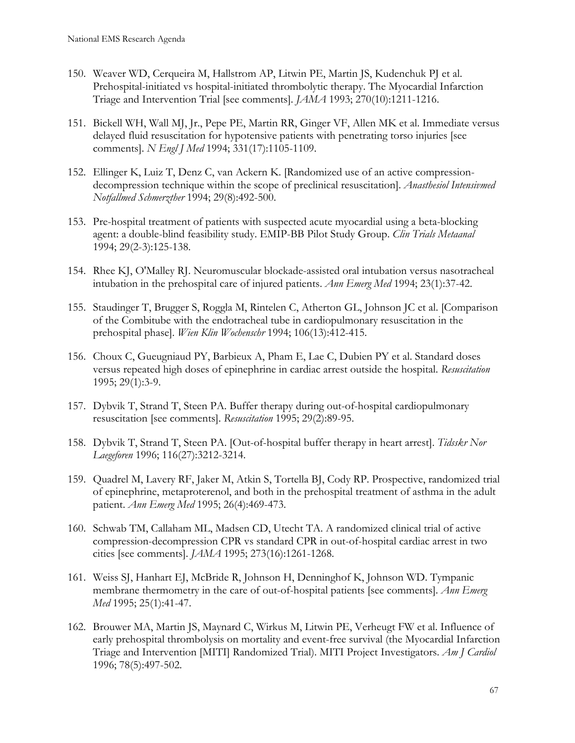- 150. Weaver WD, Cerqueira M, Hallstrom AP, Litwin PE, Martin JS, Kudenchuk PJ et al. Prehospital-initiated vs hospital-initiated thrombolytic therapy. The Myocardial Infarction Triage and Intervention Trial [see comments]. *JAMA* 1993; 270(10):1211-1216.
- 151. Bickell WH, Wall MJ, Jr., Pepe PE, Martin RR, Ginger VF, Allen MK et al. Immediate versus delayed fluid resuscitation for hypotensive patients with penetrating torso injuries [see comments]. *N Engl J Med* 1994; 331(17):1105-1109.
- 152. Ellinger K, Luiz T, Denz C, van Ackern K. [Randomized use of an active compressiondecompression technique within the scope of preclinical resuscitation]. *Anasthesiol Intensivmed Notfallmed Schmerzther* 1994; 29(8):492-500.
- 153. Pre-hospital treatment of patients with suspected acute myocardial using a beta-blocking agent: a double-blind feasibility study. EMIP-BB Pilot Study Group. *Clin Trials Metaanal* 1994; 29(2-3):125-138.
- 154. Rhee KJ, O'Malley RJ. Neuromuscular blockade-assisted oral intubation versus nasotracheal intubation in the prehospital care of injured patients. *Ann Emerg Med* 1994; 23(1):37-42.
- 155. Staudinger T, Brugger S, Roggla M, Rintelen C, Atherton GL, Johnson JC et al. [Comparison of the Combitube with the endotracheal tube in cardiopulmonary resuscitation in the prehospital phase]. *Wien Klin Wochenschr* 1994; 106(13):412-415.
- 156. Choux C, Gueugniaud PY, Barbieux A, Pham E, Lae C, Dubien PY et al. Standard doses versus repeated high doses of epinephrine in cardiac arrest outside the hospital. *Resuscitation* 1995; 29(1):3-9.
- 157. Dybvik T, Strand T, Steen PA. Buffer therapy during out-of-hospital cardiopulmonary resuscitation [see comments]. *Resuscitation* 1995; 29(2):89-95.
- 158. Dybvik T, Strand T, Steen PA. [Out-of-hospital buffer therapy in heart arrest]. *Tidsskr Nor Laegeforen* 1996; 116(27):3212-3214.
- 159. Quadrel M, Lavery RF, Jaker M, Atkin S, Tortella BJ, Cody RP. Prospective, randomized trial of epinephrine, metaproterenol, and both in the prehospital treatment of asthma in the adult patient. *Ann Emerg Med* 1995; 26(4):469-473.
- 160. Schwab TM, Callaham ML, Madsen CD, Utecht TA. A randomized clinical trial of active compression-decompression CPR vs standard CPR in out-of-hospital cardiac arrest in two cities [see comments]. *JAMA* 1995; 273(16):1261-1268.
- 161. Weiss SJ, Hanhart EJ, McBride R, Johnson H, Denninghof K, Johnson WD. Tympanic membrane thermometry in the care of out-of-hospital patients [see comments]. *Ann Emerg Med* 1995; 25(1):41-47.
- 162. Brouwer MA, Martin JS, Maynard C, Wirkus M, Litwin PE, Verheugt FW et al. Influence of early prehospital thrombolysis on mortality and event-free survival (the Myocardial Infarction Triage and Intervention [MITI] Randomized Trial). MITI Project Investigators. *Am J Cardiol* 1996; 78(5):497-502.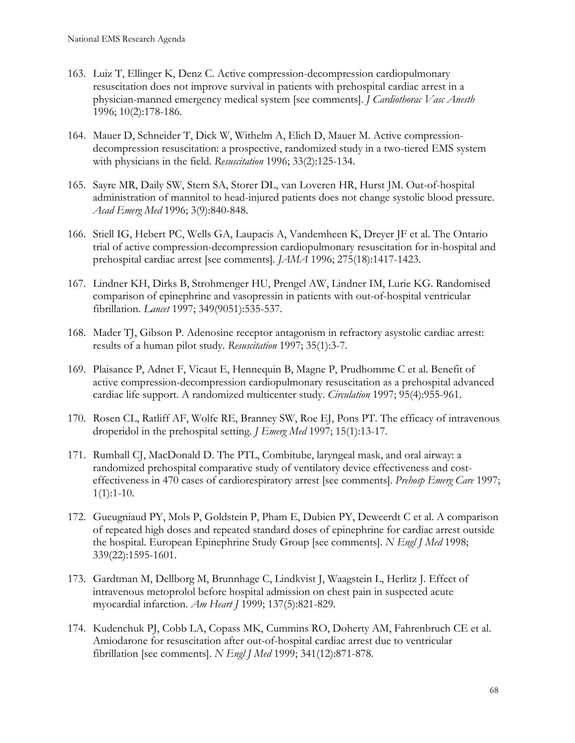- 163. Luiz T, Ellinger K, Denz C. Active compression-decompression cardiopulmonary resuscitation does not improve survival in patients with prehospital cardiac arrest in a physician-manned emergency medical system [see comments]. *J Cardiothorac Vasc Anesth* 1996; 10(2):178-186.
- 164. Mauer D, Schneider T, Dick W, Withelm A, Elich D, Mauer M. Active compressiondecompression resuscitation: a prospective, randomized study in a two-tiered EMS system with physicians in the field. *Resuscitation* 1996; 33(2):125-134.
- 165. Sayre MR, Daily SW, Stern SA, Storer DL, van Loveren HR, Hurst JM. Out-of-hospital administration of mannitol to head-injured patients does not change systolic blood pressure. *Acad Emerg Med* 1996; 3(9):840-848.
- 166. Stiell IG, Hebert PC, Wells GA, Laupacis A, Vandemheen K, Dreyer JF et al. The Ontario trial of active compression-decompression cardiopulmonary resuscitation for in-hospital and prehospital cardiac arrest [see comments]. *JAMA* 1996; 275(18):1417-1423.
- 167. Lindner KH, Dirks B, Strohmenger HU, Prengel AW, Lindner IM, Lurie KG. Randomised comparison of epinephrine and vasopressin in patients with out-of-hospital ventricular fibrillation. *Lancet* 1997; 349(9051):535-537.
- 168. Mader TJ, Gibson P. Adenosine receptor antagonism in refractory asystolic cardiac arrest: results of a human pilot study. *Resuscitation* 1997; 35(1):3-7.
- 169. Plaisance P, Adnet F, Vicaut E, Hennequin B, Magne P, Prudhomme C et al. Benefit of active compression-decompression cardiopulmonary resuscitation as a prehospital advanced cardiac life support. A randomized multicenter study. *Circulation* 1997; 95(4):955-961.
- 170. Rosen CL, Ratliff AF, Wolfe RE, Branney SW, Roe EJ, Pons PT. The efficacy of intravenous droperidol in the prehospital setting. *J Emerg Med* 1997; 15(1):13-17.
- 171. Rumball CJ, MacDonald D. The PTL, Combitube, laryngeal mask, and oral airway: a randomized prehospital comparative study of ventilatory device effectiveness and costeffectiveness in 470 cases of cardiorespiratory arrest [see comments]. *Prehosp Emerg Care* 1997;  $1(1):1-10.$
- 172. Gueugniaud PY, Mols P, Goldstein P, Pham E, Dubien PY, Deweerdt C et al. A comparison of repeated high doses and repeated standard doses of epinephrine for cardiac arrest outside the hospital. European Epinephrine Study Group [see comments]. *N Engl J Med* 1998; 339(22):1595-1601.
- 173. Gardtman M, Dellborg M, Brunnhage C, Lindkvist J, Waagstein L, Herlitz J. Effect of intravenous metoprolol before hospital admission on chest pain in suspected acute myocardial infarction. *Am Heart J* 1999; 137(5):821-829.
- 174. Kudenchuk PJ, Cobb LA, Copass MK, Cummins RO, Doherty AM, Fahrenbruch CE et al. Amiodarone for resuscitation after out-of-hospital cardiac arrest due to ventricular fibrillation [see comments]. *N Engl J Med* 1999; 341(12):871-878.